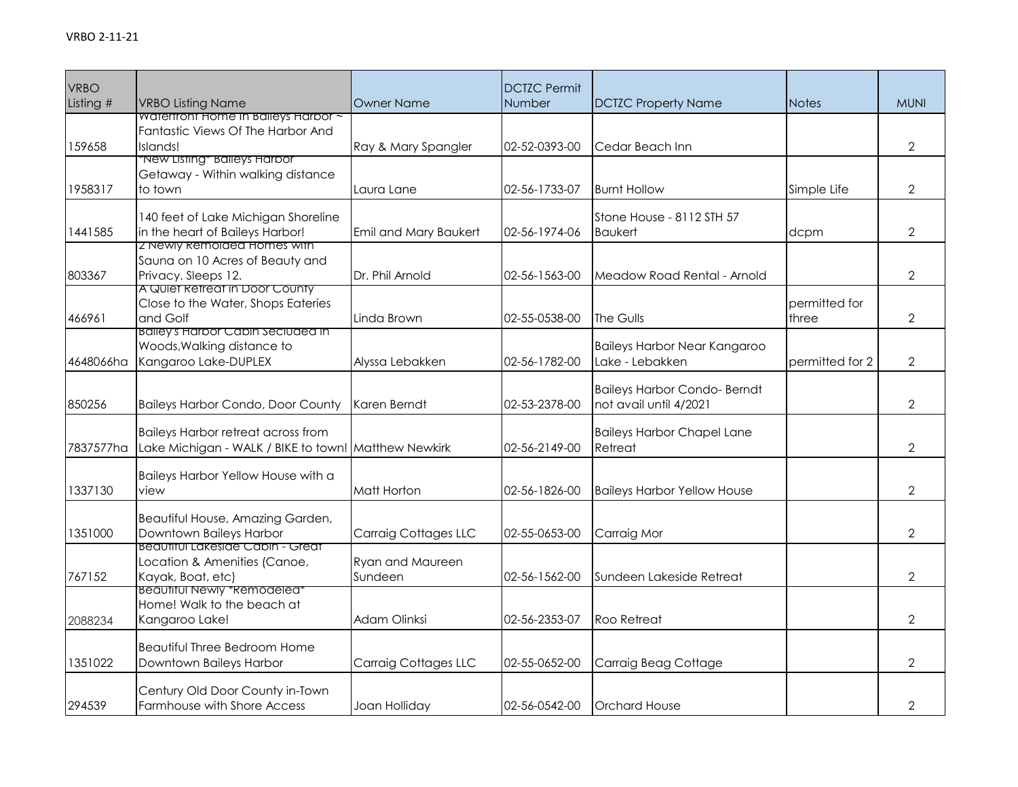| <b>VRBO</b> |                                                                                                   |                       | <b>DCTZC Permit</b> |                                              |                 |                |
|-------------|---------------------------------------------------------------------------------------------------|-----------------------|---------------------|----------------------------------------------|-----------------|----------------|
| Listing #   | <b>VRBO Listing Name</b>                                                                          | <b>Owner Name</b>     | Number              | <b>DCTZC Property Name</b>                   | <b>Notes</b>    | <b>MUNI</b>    |
|             | Watertront Home In Baileys Harbor ~<br>Fantastic Views Of The Harbor And                          |                       |                     |                                              |                 |                |
| 159658      | Islands!                                                                                          | Ray & Mary Spangler   | 02-52-0393-00       | Cedar Beach Inn                              |                 | $\overline{2}$ |
|             | "New Listing" Balleys Harbor                                                                      |                       |                     |                                              |                 |                |
|             | Getaway - Within walking distance                                                                 |                       |                     |                                              |                 |                |
| 1958317     | to town                                                                                           | Laura Lane            | 02-56-1733-07       | <b>Burnt Hollow</b>                          | Simple Life     | $\overline{2}$ |
|             |                                                                                                   |                       |                     |                                              |                 |                |
|             | 140 feet of Lake Michigan Shoreline                                                               |                       |                     | Stone House - 8112 STH 57                    |                 |                |
| 1441585     | in the heart of Baileys Harbor!<br>2 Newly Remolded Homes with                                    | Emil and Mary Baukert | 02-56-1974-06       | <b>Baukert</b>                               | dcpm            | $\overline{2}$ |
|             | Sauna on 10 Acres of Beauty and                                                                   |                       |                     |                                              |                 |                |
| 803367      | Privacy. Sleeps 12.                                                                               | Dr. Phil Arnold       | 02-56-1563-00       | Meadow Road Rental - Arnold                  |                 | $\overline{2}$ |
|             | A Quiet Retreat in Door County                                                                    |                       |                     |                                              |                 |                |
|             | Close to the Water, Shops Eateries                                                                |                       |                     |                                              | permitted for   |                |
| 466961      | and Golf<br><b>Balleys Harbor Cabin Seciuded in</b>                                               | Linda Brown           | 02-55-0538-00       | The Gulls                                    | three           | $\overline{2}$ |
|             | Woods, Walking distance to                                                                        |                       |                     | <b>Baileys Harbor Near Kangaroo</b>          |                 |                |
| 4648066ha   | Kangaroo Lake-DUPLEX                                                                              | Alyssa Lebakken       | 02-56-1782-00       | Lake - Lebakken                              | permitted for 2 | $\overline{2}$ |
|             |                                                                                                   |                       |                     |                                              |                 |                |
|             |                                                                                                   |                       |                     | <b>Baileys Harbor Condo- Berndt</b>          |                 |                |
| 850256      | <b>Baileys Harbor Condo, Door County</b>                                                          | Karen Berndt          | 02-53-2378-00       | not avail until 4/2021                       |                 | $\overline{2}$ |
|             |                                                                                                   |                       |                     |                                              |                 |                |
| 7837577ha   | <b>Baileys Harbor retreat across from</b><br>Lake Michigan - WALK / BIKE to town! Matthew Newkirk |                       | 02-56-2149-00       | <b>Baileys Harbor Chapel Lane</b><br>Retreat |                 | $\overline{2}$ |
|             |                                                                                                   |                       |                     |                                              |                 |                |
|             | Baileys Harbor Yellow House with a                                                                |                       |                     |                                              |                 |                |
| 1337130     | view                                                                                              | Matt Horton           | 02-56-1826-00       | <b>Baileys Harbor Yellow House</b>           |                 | $\overline{2}$ |
|             |                                                                                                   |                       |                     |                                              |                 |                |
|             | Beautiful House, Amazing Garden,                                                                  |                       |                     |                                              |                 |                |
| 1351000     | Downtown Baileys Harbor<br>Beautiful Lakeside Cabin - Great                                       | Carraig Cottages LLC  | 02-55-0653-00       | Carraig Mor                                  |                 | $\overline{2}$ |
|             | Location & Amenities (Canoe,                                                                      | Ryan and Maureen      |                     |                                              |                 |                |
| 767152      | Kayak, Boat, etc)                                                                                 | Sundeen               | 02-56-1562-00       | Sundeen Lakeside Retreat                     |                 | $\overline{2}$ |
|             | <b>Beaufiful Newly *Remodeled*</b>                                                                |                       |                     |                                              |                 |                |
|             | Home! Walk to the beach at                                                                        |                       |                     |                                              |                 |                |
| 2088234     | Kangaroo Lake!                                                                                    | Adam Olinksi          | 02-56-2353-07       | Roo Retreat                                  |                 | $\overline{2}$ |
|             | <b>Beautiful Three Bedroom Home</b>                                                               |                       |                     |                                              |                 |                |
| 1351022     | Downtown Baileys Harbor                                                                           | Carraig Cottages LLC  | 02-55-0652-00       | Carraig Beag Cottage                         |                 | $\overline{2}$ |
|             |                                                                                                   |                       |                     |                                              |                 |                |
|             | Century Old Door County in-Town                                                                   |                       |                     |                                              |                 |                |
| 294539      | Farmhouse with Shore Access                                                                       | Joan Holliday         | 02-56-0542-00       | <b>Orchard House</b>                         |                 | 2              |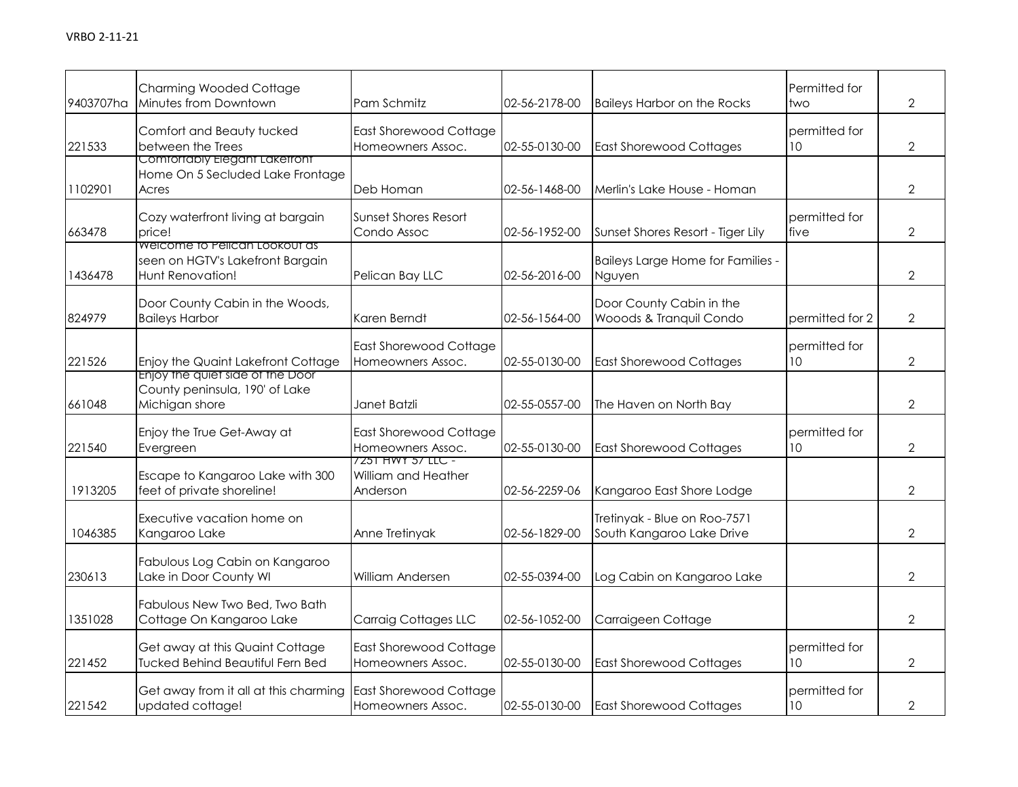| 9403707ha | <b>Charming Wooded Cottage</b><br>Minutes from Downtown                               | Pam Schmitz                                          | 02-56-2178-00 | <b>Baileys Harbor on the Rocks</b>                        | Permitted for<br>two             | $\overline{2}$ |
|-----------|---------------------------------------------------------------------------------------|------------------------------------------------------|---------------|-----------------------------------------------------------|----------------------------------|----------------|
| 221533    | Comfort and Beauty tucked<br>between the Trees                                        | East Shorewood Cottage<br>Homeowners Assoc.          | 02-55-0130-00 | <b>East Shorewood Cottages</b>                            | permitted for<br>10 <sup>°</sup> | $\overline{2}$ |
| 1102901   | Comfortably Elegant Laketront<br>Home On 5 Secluded Lake Frontage<br>Acres            | Deb Homan                                            | 02-56-1468-00 | Merlin's Lake House - Homan                               |                                  | $\mathcal{P}$  |
| 663478    | Cozy waterfront living at bargain<br>price!                                           | Sunset Shores Resort<br>Condo Assoc                  | 02-56-1952-00 | Sunset Shores Resort - Tiger Lily                         | permitted for<br>five            | $\overline{2}$ |
| 1436478   | Welcome to Pelican Lookout as<br>seen on HGTV's Lakefront Bargain<br>Hunt Renovation! | Pelican Bay LLC                                      | 02-56-2016-00 | Baileys Large Home for Families -<br>Nguyen               |                                  | $\overline{2}$ |
| 824979    | Door County Cabin in the Woods,<br><b>Baileys Harbor</b>                              | Karen Berndt                                         | 02-56-1564-00 | Door County Cabin in the<br>Wooods & Tranquil Condo       | permitted for 2                  | $\overline{2}$ |
| 221526    | Enjoy the Quaint Lakefront Cottage                                                    | East Shorewood Cottage<br>Homeowners Assoc.          | 02-55-0130-00 | <b>East Shorewood Cottages</b>                            | permitted for<br>10              | $\overline{2}$ |
| 661048    | Enjoy the quiet side of the Door<br>County peninsula, 190' of Lake<br>Michigan shore  | Janet Batzli                                         | 02-55-0557-00 | The Haven on North Bay                                    |                                  | $\overline{2}$ |
| 221540    | Enjoy the True Get-Away at<br>Evergreen                                               | East Shorewood Cottage<br>Homeowners Assoc.          | 02-55-0130-00 | <b>East Shorewood Cottages</b>                            | permitted for<br>10              | $\overline{2}$ |
| 1913205   | Escape to Kangaroo Lake with 300<br>feet of private shoreline!                        | 7251 HWY 57 LLC -<br>William and Heather<br>Anderson | 02-56-2259-06 | Kangaroo East Shore Lodge                                 |                                  | $\overline{2}$ |
| 1046385   | Executive vacation home on<br>Kangaroo Lake                                           | Anne Tretinyak                                       | 02-56-1829-00 | Tretinyak - Blue on Roo-7571<br>South Kangaroo Lake Drive |                                  | $\overline{2}$ |
| 230613    | Fabulous Log Cabin on Kangaroo<br>Lake in Door County WI                              | William Andersen                                     | 02-55-0394-00 | Log Cabin on Kangaroo Lake                                |                                  | $\overline{2}$ |
| 1351028   | Fabulous New Two Bed, Two Bath<br>Cottage On Kangaroo Lake                            | Carraig Cottages LLC                                 | 02-56-1052-00 | Carraigeen Cottage                                        |                                  | $\overline{2}$ |
| 221452    | Get away at this Quaint Cottage<br><b>Tucked Behind Beautiful Fern Bed</b>            | East Shorewood Cottage<br>Homeowners Assoc.          | 02-55-0130-00 | <b>East Shorewood Cottages</b>                            | permitted for<br>10              | $\overline{2}$ |
| 221542    | Get away from it all at this charming<br>updated cottage!                             | East Shorewood Cottage<br>Homeowners Assoc.          | 02-55-0130-00 | <b>East Shorewood Cottages</b>                            | permitted for<br>10              | $\overline{2}$ |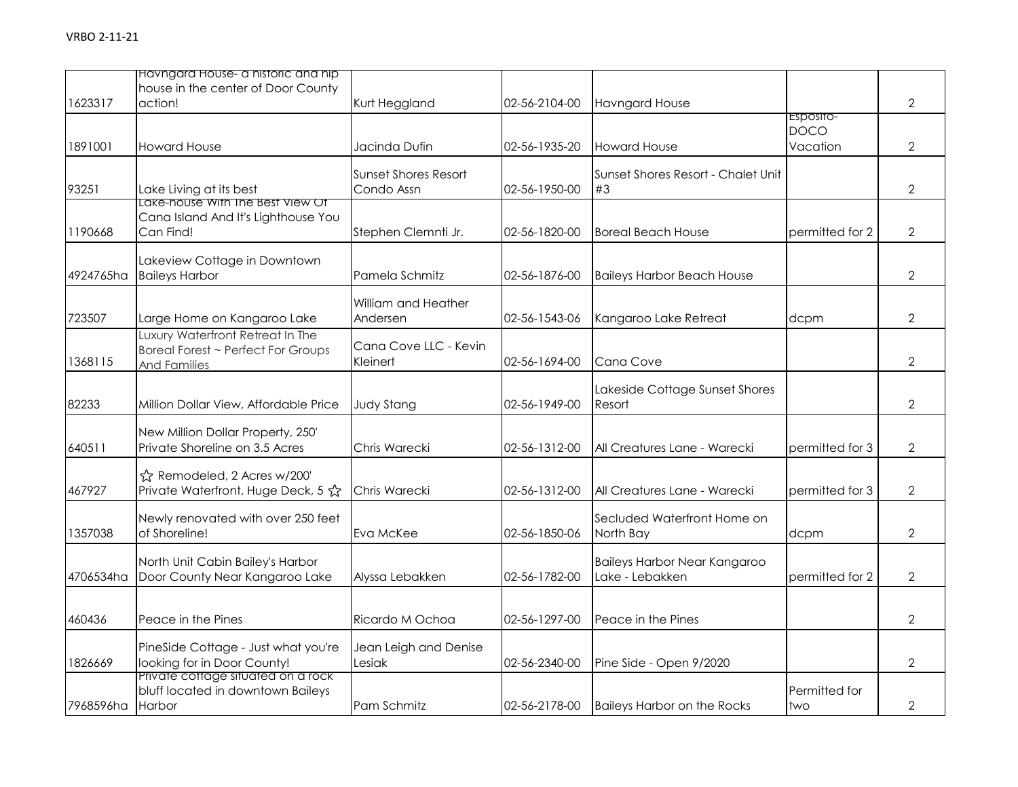|                  | Havngard House- a historic and hip<br>house in the center of Door County                      |                                           |               |                                                        |                                      |                |
|------------------|-----------------------------------------------------------------------------------------------|-------------------------------------------|---------------|--------------------------------------------------------|--------------------------------------|----------------|
| 1623317          | action!                                                                                       | Kurt Heggland                             | 02-56-2104-00 | <b>Havngard House</b>                                  |                                      | $\overline{2}$ |
| 1891001          | <b>Howard House</b>                                                                           | Jacinda Dufin                             | 02-56-1935-20 | <b>Howard House</b>                                    | Esposito-<br><b>DOCO</b><br>Vacation | $\overline{2}$ |
| 93251            | Lake Living at its best                                                                       | <b>Sunset Shores Resort</b><br>Condo Assn | 02-56-1950-00 | Sunset Shores Resort - Chalet Unit<br>#3               |                                      | $\overline{2}$ |
| 1190668          | Lake-house With the Best View Of<br>Cana Island And It's Lighthouse You<br>Can Find!          | Stephen Clemnti Jr.                       | 02-56-1820-00 | <b>Boreal Beach House</b>                              | permitted for 2                      | $\overline{2}$ |
| 4924765ha        | Lakeview Cottage in Downtown<br><b>Baileys Harbor</b>                                         | Pamela Schmitz                            | 02-56-1876-00 | <b>Baileys Harbor Beach House</b>                      |                                      | $\overline{2}$ |
| 723507           | Large Home on Kangaroo Lake                                                                   | William and Heather<br>Andersen           | 02-56-1543-06 | Kangaroo Lake Retreat                                  | dcpm                                 | $\overline{2}$ |
| 1368115          | Luxury Waterfront Retreat In The<br>Boreal Forest ~ Perfect For Groups<br><b>And Families</b> | Cana Cove LLC - Kevin<br>Kleinert         | 02-56-1694-00 | Cana Cove                                              |                                      | $\overline{2}$ |
| 82233            | Million Dollar View, Affordable Price                                                         | <b>Judy Stang</b>                         | 02-56-1949-00 | Lakeside Cottage Sunset Shores<br>Resort               |                                      | $\overline{2}$ |
| 640511           | New Million Dollar Property, 250'<br>Private Shoreline on 3.5 Acres                           | Chris Warecki                             | 02-56-1312-00 | All Creatures Lane - Warecki                           | permitted for 3                      | $\overline{2}$ |
| 467927           | ☆ Remodeled, 2 Acres w/200'<br>Private Waterfront, Huge Deck, 5 ☆                             | Chris Warecki                             | 02-56-1312-00 | All Creatures Lane - Warecki                           | permitted for 3                      | $\overline{2}$ |
| 1357038          | Newly renovated with over 250 feet<br>of Shoreline!                                           | Eva McKee                                 | 02-56-1850-06 | Secluded Waterfront Home on<br>North Bay               | dcpm                                 | $\overline{2}$ |
| 4706534ha        | North Unit Cabin Bailey's Harbor<br>Door County Near Kangaroo Lake                            | Alyssa Lebakken                           | 02-56-1782-00 | <b>Baileys Harbor Near Kangaroo</b><br>Lake - Lebakken | permitted for 2                      | $\overline{2}$ |
| 460436           | Peace in the Pines                                                                            | Ricardo M Ochoa                           | 02-56-1297-00 | Peace in the Pines                                     |                                      | $\overline{2}$ |
| 1826669          | PineSide Cottage - Just what you're<br>looking for in Door County!                            | Jean Leigh and Denise<br>Lesiak           | 02-56-2340-00 | Pine Side - Open 9/2020                                |                                      | $\overline{2}$ |
| 7968596ha Harbor | Private cottage situated on a rock<br>bluff located in downtown Baileys                       | Pam Schmitz                               | 02-56-2178-00 | <b>Baileys Harbor on the Rocks</b>                     | Permitted for<br>two                 | $\mathbf 2$    |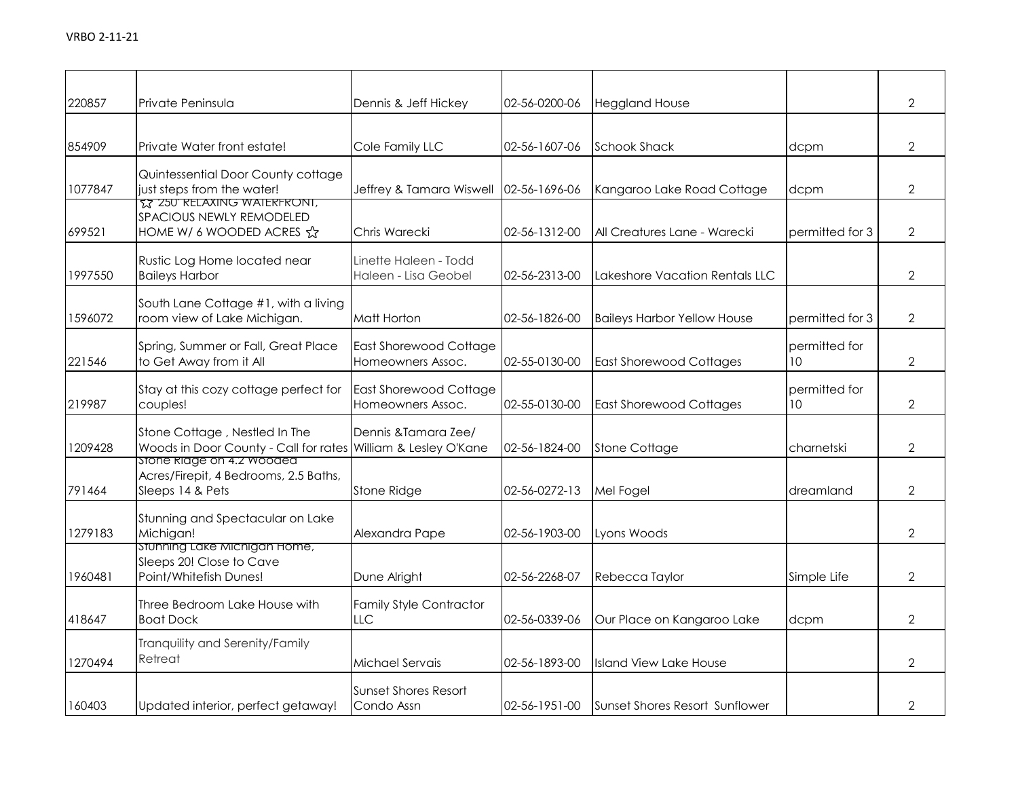| 220857  | Private Peninsula                                                                          | Dennis & Jeff Hickey                            | 02-56-0200-06         | <b>Heggland House</b>              |                     | $\overline{2}$ |
|---------|--------------------------------------------------------------------------------------------|-------------------------------------------------|-----------------------|------------------------------------|---------------------|----------------|
| 854909  | Private Water front estate!                                                                | Cole Family LLC                                 | 02-56-1607-06         | <b>Schook Shack</b>                | dcpm                | $\overline{2}$ |
| 1077847 | Quintessential Door County cottage<br>just steps from the water!                           | Jeffrey & Tamara Wiswell                        | 02-56-1696-06         | Kangaroo Lake Road Cottage         | dcpm                | $\overline{2}$ |
| 699521  | <b>TZ 250 RELAXING WAIERFRONI,</b><br>SPACIOUS NEWLY REMODELED<br>HOME W/ 6 WOODED ACRES A | Chris Warecki                                   | 02-56-1312-00         | All Creatures Lane - Warecki       | permitted for 3     | $\overline{2}$ |
| 1997550 | Rustic Log Home located near<br><b>Baileys Harbor</b>                                      | Linette Haleen - Todd<br>Haleen - Lisa Geobel   | 02-56-2313-00         | Lakeshore Vacation Rentals LLC     |                     | $\overline{2}$ |
| 1596072 | South Lane Cottage #1, with a living<br>room view of Lake Michigan.                        | Matt Horton                                     | 02-56-1826-00         | <b>Baileys Harbor Yellow House</b> | permitted for 3     | $\overline{2}$ |
| 221546  | Spring, Summer or Fall, Great Place<br>to Get Away from it All                             | East Shorewood Cottage<br>Homeowners Assoc.     | 02-55-0130-00         | <b>East Shorewood Cottages</b>     | permitted for<br>10 | $\overline{2}$ |
| 219987  | Stay at this cozy cottage perfect for<br>couples!                                          | East Shorewood Cottage<br>Homeowners Assoc.     | 02-55-0130-00         | <b>East Shorewood Cottages</b>     | permitted for<br>10 | $\overline{2}$ |
| 1209428 | Stone Cottage, Nestled In The<br>Woods in Door County - Call for rates                     | Dennis & Tamara Zee/<br>William & Lesley O'Kane | 02-56-1824-00         | <b>Stone Cottage</b>               | charnetski          | $\overline{2}$ |
| 791464  | stone klage on 4.2 wooded<br>Acres/Firepit, 4 Bedrooms, 2.5 Baths,<br>Sleeps 14 & Pets     | Stone Ridge                                     | 02-56-0272-13         | Mel Fogel                          | dreamland           | $\overline{2}$ |
| 1279183 | Stunning and Spectacular on Lake<br>Michigan!                                              | Alexandra Pape                                  | 02-56-1903-00         | Lyons Woods                        |                     | $\overline{2}$ |
| 1960481 | Stunning Lake Michigan Home,<br>Sleeps 20! Close to Cave<br>Point/Whitefish Dunes!         | Dune Alright                                    | 02-56-2268-07         | Rebecca Taylor                     | Simple Life         | $\overline{2}$ |
| 418647  | Three Bedroom Lake House with<br><b>Boat Dock</b>                                          | <b>Family Style Contractor</b><br>LLC           | 02-56-0339-06         | Our Place on Kangaroo Lake         | dcpm                | $\overline{2}$ |
| 1270494 | Tranquility and Serenity/Family<br>Retreat                                                 | Michael Servais                                 | 02-56-1893-00         | <b>Island View Lake House</b>      |                     | $\overline{2}$ |
| 160403  | Updated interior, perfect getaway!                                                         | <b>Sunset Shores Resort</b><br>Condo Assn       | $02 - 56 - 1951 - 00$ | Sunset Shores Resort Sunflower     |                     | $\overline{2}$ |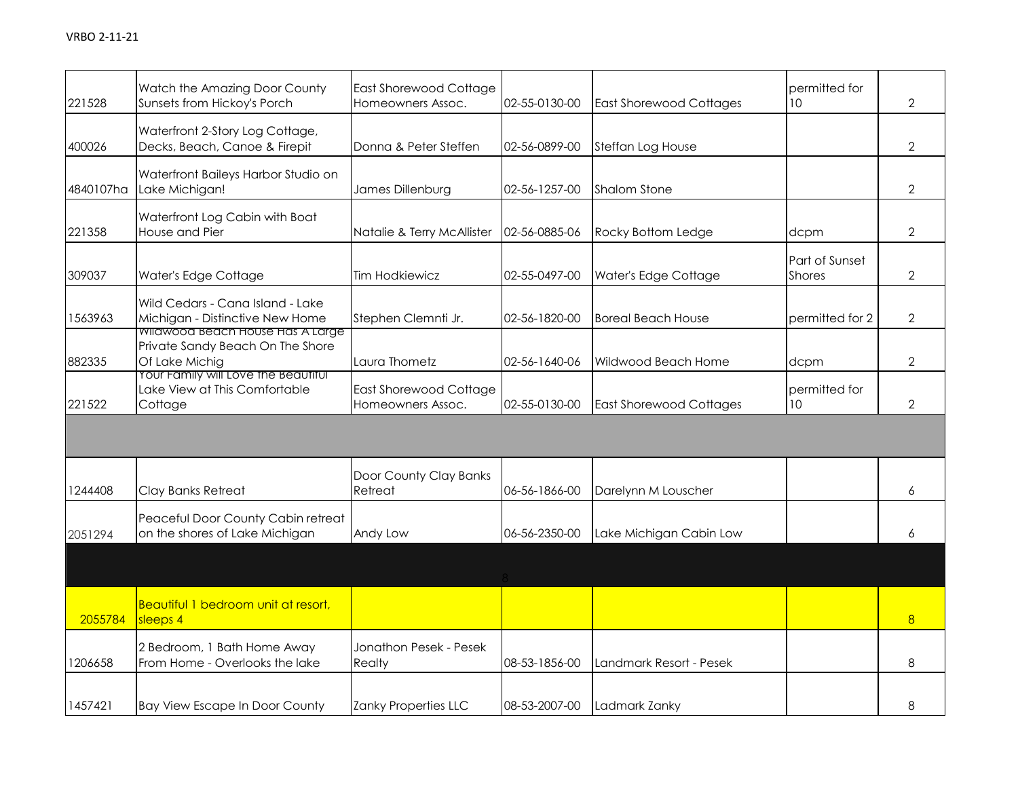| 221528    | Watch the Amazing Door County<br>Sunsets from Hickoy's Porch                                  | <b>East Shorewood Cottage</b><br>Homeowners Assoc. | 02-55-0130-00 | <b>East Shorewood Cottages</b> | permitted for<br>10                    | $\overline{2}$ |
|-----------|-----------------------------------------------------------------------------------------------|----------------------------------------------------|---------------|--------------------------------|----------------------------------------|----------------|
| 400026    | Waterfront 2-Story Log Cottage,<br>Decks, Beach, Canoe & Firepit                              | Donna & Peter Steffen                              | 02-56-0899-00 | Steffan Log House              |                                        | $\overline{2}$ |
| 4840107ha | Waterfront Baileys Harbor Studio on<br>Lake Michigan!                                         | James Dillenburg                                   | 02-56-1257-00 | <b>Shalom Stone</b>            |                                        | $\overline{2}$ |
| 221358    | Waterfront Log Cabin with Boat<br>House and Pier                                              | Natalie & Terry McAllister                         | 02-56-0885-06 | Rocky Bottom Ledge             | dcpm                                   | $\overline{2}$ |
| 309037    | Water's Edge Cottage                                                                          | <b>Tim Hodkiewicz</b>                              | 02-55-0497-00 | Water's Edge Cottage           | <b>Part of Sunset</b><br><b>Shores</b> | $\overline{2}$ |
| 1563963   | Wild Cedars - Cana Island - Lake<br>Michigan - Distinctive New Home                           | Stephen Clemnti Jr.                                | 02-56-1820-00 | <b>Boreal Beach House</b>      | permitted for 2                        | $\overline{2}$ |
| 882335    | <b>WIIAWOOD BEACH HOUSE HAS A LArge</b><br>Private Sandy Beach On The Shore<br>Of Lake Michig | Laura Thometz                                      | 02-56-1640-06 | Wildwood Beach Home            | dcpm                                   | $\overline{2}$ |
| 221522    | Your Family will Love the Beautitul<br>Lake View at This Comfortable<br>Cottage               | East Shorewood Cottage<br>Homeowners Assoc.        | 02-55-0130-00 | <b>East Shorewood Cottages</b> | permitted for<br>10                    | $\overline{2}$ |
|           |                                                                                               |                                                    |               |                                |                                        |                |
| 1244408   | Clay Banks Retreat                                                                            | Door County Clay Banks<br>Retreat                  | 06-56-1866-00 | Darelynn M Louscher            |                                        | 6              |
| 2051294   | Peaceful Door County Cabin retreat<br>on the shores of Lake Michigan                          | Andy Low                                           | 06-56-2350-00 | Lake Michigan Cabin Low        |                                        | 6              |
|           |                                                                                               |                                                    |               |                                |                                        |                |
| 2055784   | Beautiful 1 bedroom unit at resort,<br>sleeps 4                                               |                                                    |               |                                |                                        | 8              |
| 1206658   | 2 Bedroom, 1 Bath Home Away<br>From Home - Overlooks the lake                                 | Jonathon Pesek - Pesek<br>Realty                   | 08-53-1856-00 | Landmark Resort - Pesek        |                                        | 8              |
| 1457421   | <b>Bay View Escape In Door County</b>                                                         | Zanky Properties LLC                               | 08-53-2007-00 | Ladmark Zanky                  |                                        | 8              |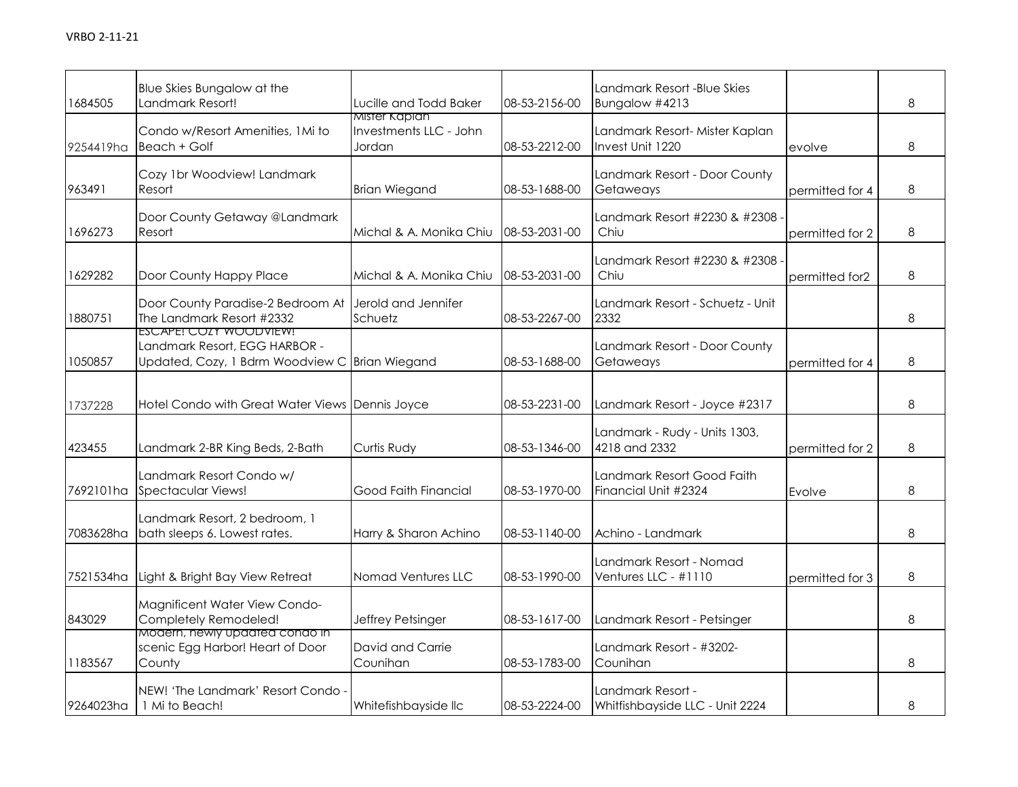| 1684505   | Blue Skies Bungalow at the<br>Landmark Resort!                                                            | Lucille and Todd Baker                            | 08-53-2156-00 | Landmark Resort -Blue Skies<br>Bungalow #4213        |                 | 8 |
|-----------|-----------------------------------------------------------------------------------------------------------|---------------------------------------------------|---------------|------------------------------------------------------|-----------------|---|
| 9254419ha | Condo w/Resort Amenities, 1Mi to<br>Beach + Golf                                                          | Mister Kaplan<br>Investments LLC - John<br>Jordan | 08-53-2212-00 | Landmark Resort-Mister Kaplan<br>Invest Unit 1220    | evolve          | 8 |
| 963491    | Cozy 1br Woodview! Landmark<br>Resort                                                                     | <b>Brian Wiegand</b>                              | 08-53-1688-00 | Landmark Resort - Door County<br>Getaweays           | permitted for 4 | 8 |
| 1696273   | Door County Getaway @Landmark<br>Resort                                                                   | Michal & A. Monika Chiu                           | 08-53-2031-00 | Landmark Resort #2230 & #2308 -<br>Chiu              | permitted for 2 | 8 |
| 1629282   | Door County Happy Place                                                                                   | Michal & A. Monika Chiu                           | 08-53-2031-00 | Landmark Resort #2230 & #2308 -<br>Chiu              | permitted for2  | 8 |
| 1880751   | Door County Paradise-2 Bedroom At<br>The Landmark Resort #2332                                            | Jerold and Jennifer<br>Schuetz                    | 08-53-2267-00 | Landmark Resort - Schuetz - Unit<br>2332             |                 | 8 |
| 1050857   | ESCAPE! COZY WOODVIEW!<br>Landmark Resort, EGG HARBOR -<br>Updated, Cozy, 1 Bdrm Woodview C Brian Wiegand |                                                   | 08-53-1688-00 | Landmark Resort - Door County<br>Getaweays           | permitted for 4 | 8 |
| 1737228   | Hotel Condo with Great Water Views Dennis Joyce                                                           |                                                   | 08-53-2231-00 | Landmark Resort - Joyce #2317                        |                 | 8 |
| 423455    | Landmark 2-BR King Beds, 2-Bath                                                                           | Curtis Rudy                                       | 08-53-1346-00 | Landmark - Rudy - Units 1303,<br>4218 and 2332       | permitted for 2 | 8 |
| 7692101ha | Landmark Resort Condo w/<br>Spectacular Views!                                                            | Good Faith Financial                              | 08-53-1970-00 | Landmark Resort Good Faith<br>Financial Unit #2324   | Evolve          | 8 |
| 7083628ha | Landmark Resort, 2 bedroom, 1<br>bath sleeps 6. Lowest rates.                                             | Harry & Sharon Achino                             | 08-53-1140-00 | Achino - Landmark                                    |                 | 8 |
| 7521534ha | Light & Bright Bay View Retreat                                                                           | Nomad Ventures LLC                                | 08-53-1990-00 | Landmark Resort - Nomad<br>Ventures LLC - #1110      | permitted for 3 | 8 |
| 843029    | Magnificent Water View Condo-<br>Completely Remodeled!                                                    | Jeffrey Petsinger                                 | 08-53-1617-00 | Landmark Resort - Petsinger                          |                 | 8 |
| 1183567   | Modern, newly updated condo in<br>scenic Egg Harbor! Heart of Door<br>County                              | David and Carrie<br>Counihan                      | 08-53-1783-00 | Landmark Resort - #3202-<br>Counihan                 |                 | 8 |
| 9264023ha | NEW! 'The Landmark' Resort Condo -<br>1 Mi to Beach!                                                      | Whitefishbayside llc                              | 08-53-2224-00 | Landmark Resort -<br>Whitfishbayside LLC - Unit 2224 |                 | 8 |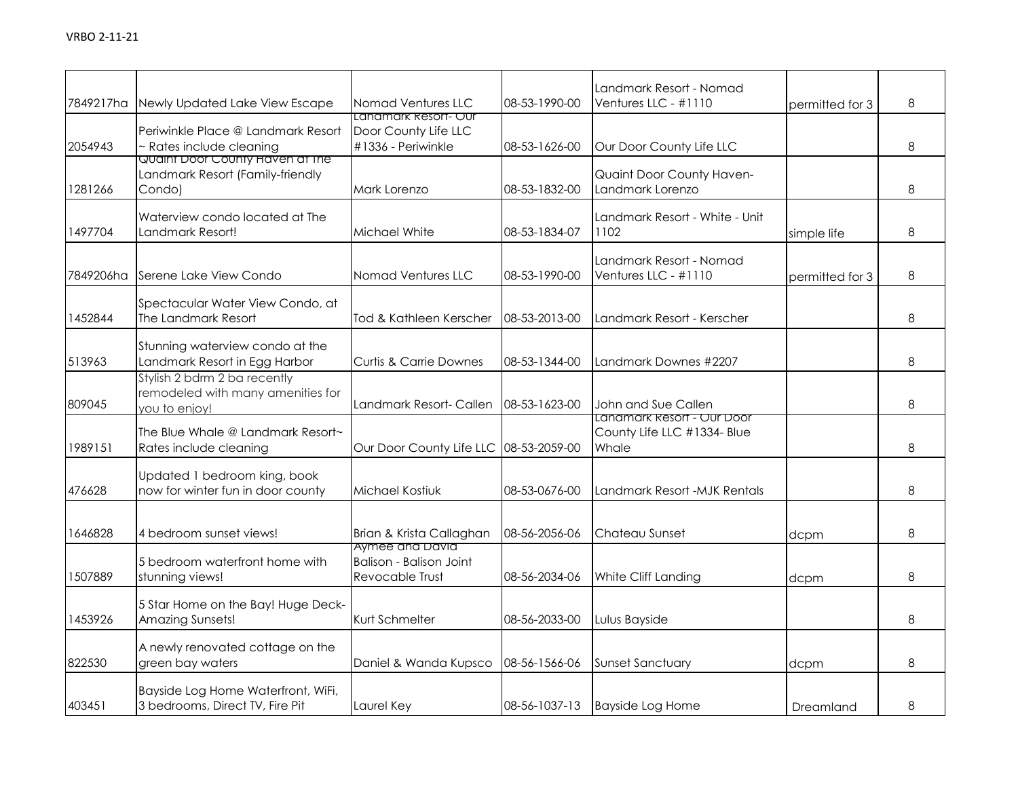| 7849217ha | Newly Updated Lake View Escape                                                        | Nomad Ventures LLC                                                 | 08-53-1990-00 | Landmark Resort - Nomad<br>Ventures LLC - #1110                    | permitted for 3 | 8 |
|-----------|---------------------------------------------------------------------------------------|--------------------------------------------------------------------|---------------|--------------------------------------------------------------------|-----------------|---|
| 2054943   | Periwinkle Place @ Landmark Resort<br>~ Rates include cleaning                        | Landmark Resort- Our<br>Door County Life LLC<br>#1336 - Periwinkle | 08-53-1626-00 | Our Door County Life LLC                                           |                 | 8 |
| 1281266   | <u>Quaint Door County Haven at the </u><br>Landmark Resort (Family-friendly<br>Condo) | Mark Lorenzo                                                       | 08-53-1832-00 | Quaint Door County Haven-<br>Landmark Lorenzo                      |                 | 8 |
| 1497704   | Waterview condo located at The<br>Landmark Resort!                                    | Michael White                                                      | 08-53-1834-07 | Landmark Resort - White - Unit<br>1102                             | simple life     | 8 |
| 7849206ha | Serene Lake View Condo                                                                | Nomad Ventures LLC                                                 | 08-53-1990-00 | Landmark Resort - Nomad<br>Ventures LLC - #1110                    | permitted for 3 | 8 |
| 1452844   | Spectacular Water View Condo, at<br>The Landmark Resort                               | Tod & Kathleen Kerscher                                            | 08-53-2013-00 | Landmark Resort - Kerscher                                         |                 | 8 |
| 513963    | Stunning waterview condo at the<br>Landmark Resort in Egg Harbor                      | <b>Curtis &amp; Carrie Downes</b>                                  | 08-53-1344-00 | Landmark Downes #2207                                              |                 | 8 |
| 809045    | Stylish 2 bdrm 2 ba recently<br>remodeled with many amenities for<br>you to enjoy!    | Landmark Resort- Callen                                            | 08-53-1623-00 | John and Sue Callen                                                |                 | 8 |
| 1989151   | The Blue Whale @ Landmark Resort~<br>Rates include cleaning                           | Our Door County Life LLC 08-53-2059-00                             |               | Landmark Resort - Our Door<br>County Life LLC #1334- Blue<br>Whale |                 | 8 |
| 476628    | Updated 1 bedroom king, book<br>now for winter fun in door county                     | Michael Kostiuk                                                    | 08-53-0676-00 | Landmark Resort -MJK Rentals                                       |                 | 8 |
| 1646828   | 4 bedroom sunset views!                                                               | Brian & Krista Callaghan<br>Aymee and David                        | 08-56-2056-06 | Chateau Sunset                                                     | dcpm            | 8 |
| 1507889   | 5 bedroom waterfront home with<br>stunning views!                                     | <b>Balison - Balison Joint</b><br>Revocable Trust                  | 08-56-2034-06 | White Cliff Landing                                                | dcpm            | 8 |
| 1453926   | 5 Star Home on the Bay! Huge Deck-<br>Amazing Sunsets!                                | Kurt Schmelter                                                     | 08-56-2033-00 | Lulus Bayside                                                      |                 | 8 |
| 822530    | A newly renovated cottage on the<br>green bay waters                                  | Daniel & Wanda Kupsco                                              | 08-56-1566-06 | <b>Sunset Sanctuary</b>                                            | dcpm            | 8 |
| 403451    | Bayside Log Home Waterfront, WiFi,<br>3 bedrooms, Direct TV, Fire Pit                 | Laurel Key                                                         | 08-56-1037-13 | <b>Bayside Log Home</b>                                            | Dreamland       | 8 |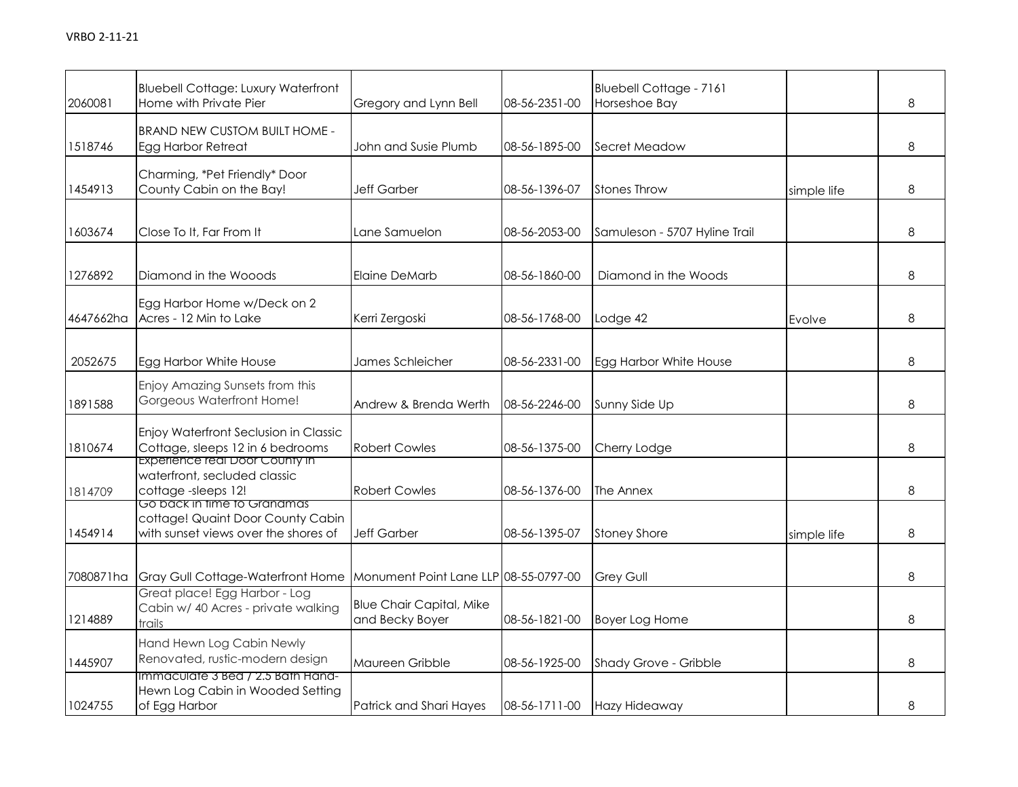| 2060081   | <b>Bluebell Cottage: Luxury Waterfront</b><br>Home with Private Pier                                        | Gregory and Lynn Bell                              | 08-56-2351-00 | Bluebell Cottage - 7161<br>Horseshoe Bay |             | 8 |
|-----------|-------------------------------------------------------------------------------------------------------------|----------------------------------------------------|---------------|------------------------------------------|-------------|---|
| 1518746   | <b>BRAND NEW CUSTOM BUILT HOME -</b><br>Egg Harbor Retreat                                                  | John and Susie Plumb                               | 08-56-1895-00 | Secret Meadow                            |             | 8 |
| 1454913   | Charming, *Pet Friendly* Door<br>County Cabin on the Bay!                                                   | Jeff Garber                                        | 08-56-1396-07 | <b>Stones Throw</b>                      | simple life | 8 |
| 1603674   | Close To It, Far From It                                                                                    | Lane Samuelon                                      | 08-56-2053-00 | Samuleson - 5707 Hyline Trail            |             | 8 |
| 1276892   | Diamond in the Wooods                                                                                       | Elaine DeMarb                                      | 08-56-1860-00 | Diamond in the Woods                     |             | 8 |
| 4647662ha | Egg Harbor Home w/Deck on 2<br>Acres - 12 Min to Lake                                                       | Kerri Zergoski                                     | 08-56-1768-00 | Lodge 42                                 | Evolve      | 8 |
| 2052675   | Egg Harbor White House                                                                                      | James Schleicher                                   | 08-56-2331-00 | Egg Harbor White House                   |             | 8 |
| 1891588   | Enjoy Amazing Sunsets from this<br>Gorgeous Waterfront Home!                                                | Andrew & Brenda Werth                              | 08-56-2246-00 | Sunny Side Up                            |             | 8 |
| 1810674   | Enjoy Waterfront Seclusion in Classic<br>Cottage, sleeps 12 in 6 bedrooms<br>Experience real Door County in | <b>Robert Cowles</b>                               | 08-56-1375-00 | Cherry Lodge                             |             | 8 |
| 1814709   | waterfront, secluded classic<br>cottage-sleeps 12!<br>Go back in time to Granamas                           | <b>Robert Cowles</b>                               | 08-56-1376-00 | The Annex                                |             | 8 |
| 1454914   | cottage! Quaint Door County Cabin<br>with sunset views over the shores of                                   | <b>Jeff Garber</b>                                 | 08-56-1395-07 | <b>Stoney Shore</b>                      | simple life | 8 |
| 7080871ha | Gray Gull Cottage-Waterfront Home                                                                           | Monument Point Lane LLP 08-55-0797-00              |               | <b>Grey Gull</b>                         |             | 8 |
| 1214889   | Great place! Egg Harbor - Log<br>Cabin w/ 40 Acres - private walking<br>trails                              | <b>Blue Chair Capital, Mike</b><br>and Becky Boyer | 08-56-1821-00 | Boyer Log Home                           |             | 8 |
| 1445907   | Hand Hewn Log Cabin Newly<br>Renovated, rustic-modern design                                                | Maureen Gribble                                    | 08-56-1925-00 | Shady Grove - Gribble                    |             | 8 |
| 1024755   | Immaculate 3 Bed / 2.5 Bath Hand-<br>Hewn Log Cabin in Wooded Setting<br>of Egg Harbor                      | Patrick and Shari Hayes                            | 08-56-1711-00 | Hazy Hideaway                            |             | 8 |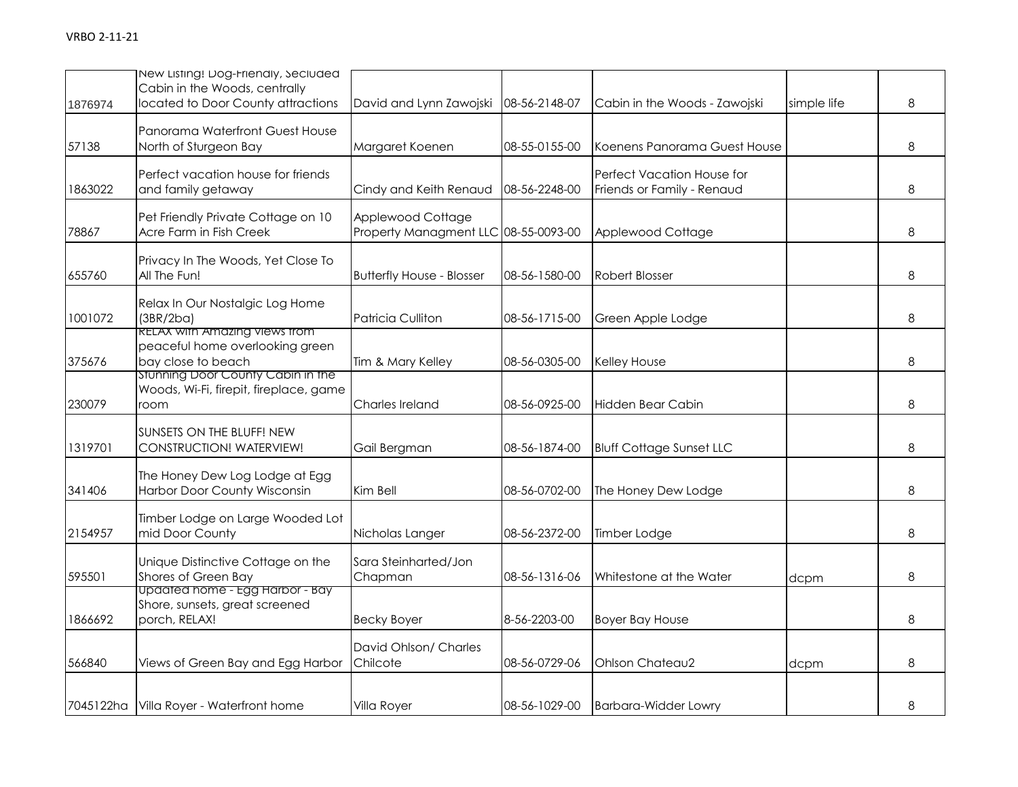| 1876974 | New Listing! Dog-Friendly, Secluded<br>Cabin in the Woods, centrally<br>located to Door County attractions | David and Lynn Zawojski                                   | 08-56-2148-07 | Cabin in the Woods - Zawojski                            | simple life | 8 |
|---------|------------------------------------------------------------------------------------------------------------|-----------------------------------------------------------|---------------|----------------------------------------------------------|-------------|---|
| 57138   | Panorama Waterfront Guest House<br>North of Sturgeon Bay                                                   | Margaret Koenen                                           | 08-55-0155-00 | Koenens Panorama Guest House                             |             | 8 |
| 1863022 | Perfect vacation house for friends<br>and family getaway                                                   | Cindy and Keith Renaud                                    | 08-56-2248-00 | Perfect Vacation House for<br>Friends or Family - Renaud |             | 8 |
| 78867   | Pet Friendly Private Cottage on 10<br>Acre Farm in Fish Creek                                              | Applewood Cottage<br>Property Managment LLC 08-55-0093-00 |               | Applewood Cottage                                        |             | 8 |
| 655760  | Privacy In The Woods, Yet Close To<br>All The Fun!                                                         | <b>Butterfly House - Blosser</b>                          | 08-56-1580-00 | Robert Blosser                                           |             | 8 |
| 1001072 | Relax In Our Nostalgic Log Home<br>(3BR/2ba)                                                               | <b>Patricia Culliton</b>                                  | 08-56-1715-00 | Green Apple Lodge                                        |             | 8 |
| 375676  | <b>RELAX WITH AMAZING VIEWS TROM</b><br>peaceful home overlooking green<br>bay close to beach              | Tim & Mary Kelley                                         | 08-56-0305-00 | Kelley House                                             |             | 8 |
| 230079  | Stunning Door County Cabin in the<br>Woods, Wi-Fi, firepit, fireplace, game<br>room                        | Charles Ireland                                           | 08-56-0925-00 | Hidden Bear Cabin                                        |             | 8 |
| 1319701 | SUNSETS ON THE BLUFF! NEW<br>CONSTRUCTION! WATERVIEW!                                                      | Gail Bergman                                              | 08-56-1874-00 | <b>Bluff Cottage Sunset LLC</b>                          |             | 8 |
| 341406  | The Honey Dew Log Lodge at Egg<br>Harbor Door County Wisconsin                                             | Kim Bell                                                  | 08-56-0702-00 | The Honey Dew Lodge                                      |             | 8 |
| 2154957 | Timber Lodge on Large Wooded Lot<br>mid Door County                                                        | Nicholas Langer                                           | 08-56-2372-00 | Timber Lodge                                             |             | 8 |
| 595501  | Unique Distinctive Cottage on the<br>Shores of Green Bay                                                   | Sara Steinharted/Jon<br>Chapman                           | 08-56-1316-06 | Whitestone at the Water                                  | dcpm        | 8 |
| 1866692 | upaatea nome - Egg Harbor - Bay<br>Shore, sunsets, great screened<br>porch, RELAX!                         | <b>Becky Boyer</b>                                        | 8-56-2203-00  | <b>Boyer Bay House</b>                                   |             | 8 |
| 566840  | Views of Green Bay and Egg Harbor                                                                          | David Ohlson/ Charles<br>Chilcote                         | 08-56-0729-06 | Ohlson Chateau2                                          | dcpm        | 8 |
|         | 7045122ha Villa Royer - Waterfront home                                                                    | Villa Royer                                               | 08-56-1029-00 | <b>Barbara-Widder Lowry</b>                              |             | 8 |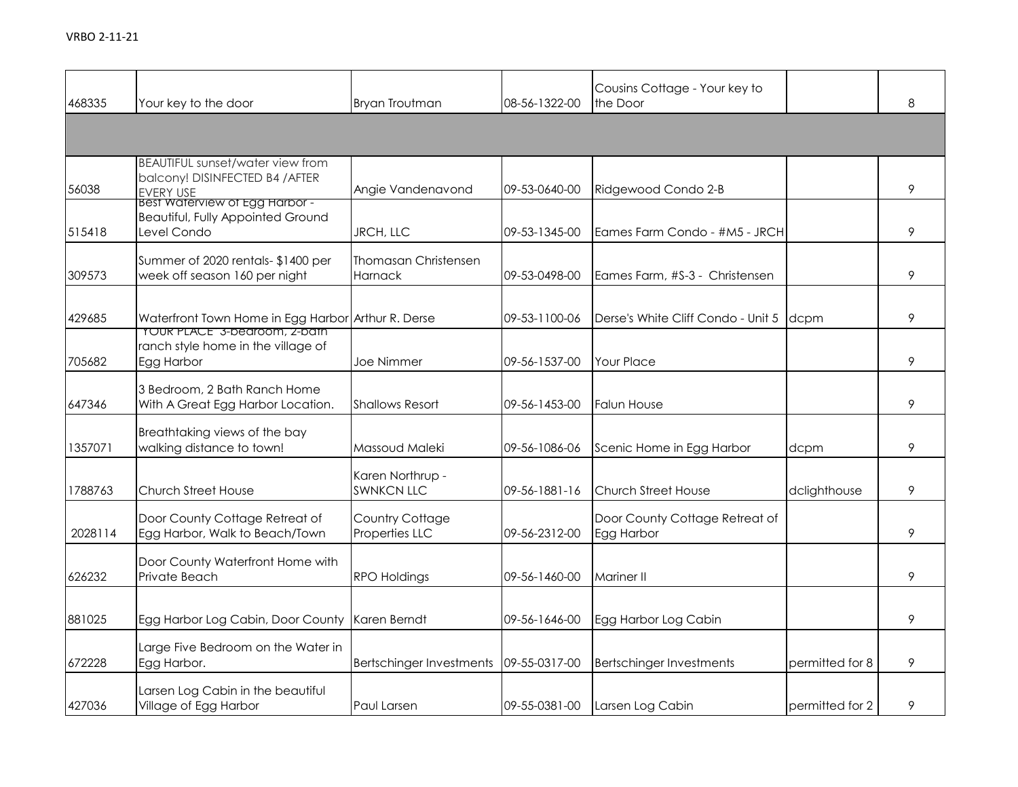| 468335  | Your key to the door                                                                                               | <b>Bryan Troutman</b>                  | 08-56-1322-00 | Cousins Cottage - Your key to<br>the Door    |                 | 8 |
|---------|--------------------------------------------------------------------------------------------------------------------|----------------------------------------|---------------|----------------------------------------------|-----------------|---|
|         |                                                                                                                    |                                        |               |                                              |                 |   |
| 56038   | BEAUTIFUL sunset/water view from<br>balcony! DISINFECTED B4 / AFTER<br>EVERY USE<br>Best Waterview of Egg Harbor - | Angie Vandenavond                      | 09-53-0640-00 | Ridgewood Condo 2-B                          |                 | 9 |
| 515418  | <b>Beautiful, Fully Appointed Ground</b><br>Level Condo                                                            | JRCH, LLC                              | 09-53-1345-00 | Eames Farm Condo - #M5 - JRCH                |                 | 9 |
| 309573  | Summer of 2020 rentals- \$1400 per<br>week off season 160 per night                                                | <b>Thomasan Christensen</b><br>Harnack | 09-53-0498-00 | Eames Farm, #S-3 - Christensen               |                 | 9 |
| 429685  | Waterfront Town Home in Egg Harbor Arthur R. Derse<br><b>TOUR PLACE 3-bearcom, Z-barn</b>                          |                                        | 09-53-1100-06 | Derse's White Cliff Condo - Unit 5           | dcpm            | 9 |
| 705682  | ranch style home in the village of<br>Egg Harbor                                                                   | Joe Nimmer                             | 09-56-1537-00 | <b>Your Place</b>                            |                 | 9 |
| 647346  | 3 Bedroom, 2 Bath Ranch Home<br>With A Great Egg Harbor Location.                                                  | <b>Shallows Resort</b>                 | 09-56-1453-00 | <b>Falun House</b>                           |                 | 9 |
| 1357071 | Breathtaking views of the bay<br>walking distance to town!                                                         | Massoud Maleki                         | 09-56-1086-06 | Scenic Home in Egg Harbor                    | dcpm            | 9 |
| 1788763 | Church Street House                                                                                                | Karen Northrup -<br><b>SWNKCN LLC</b>  | 09-56-1881-16 | Church Street House                          | dclighthouse    | 9 |
| 2028114 | Door County Cottage Retreat of<br>Egg Harbor, Walk to Beach/Town                                                   | Country Cottage<br>Properties LLC      | 09-56-2312-00 | Door County Cottage Retreat of<br>Egg Harbor |                 | 9 |
| 626232  | Door County Waterfront Home with<br>Private Beach                                                                  | <b>RPO Holdings</b>                    | 09-56-1460-00 | Mariner II                                   |                 | 9 |
| 881025  | Egg Harbor Log Cabin, Door County                                                                                  | Karen Berndt                           | 09-56-1646-00 | Egg Harbor Log Cabin                         |                 | 9 |
| 672228  | Large Five Bedroom on the Water in<br>Egg Harbor.                                                                  | Bertschinger Investments               | 09-55-0317-00 | Bertschinger Investments                     | permitted for 8 | 9 |
| 427036  | Larsen Log Cabin in the beautiful<br>Village of Egg Harbor                                                         | Paul Larsen                            | 09-55-0381-00 | Larsen Log Cabin                             | permitted for 2 | 9 |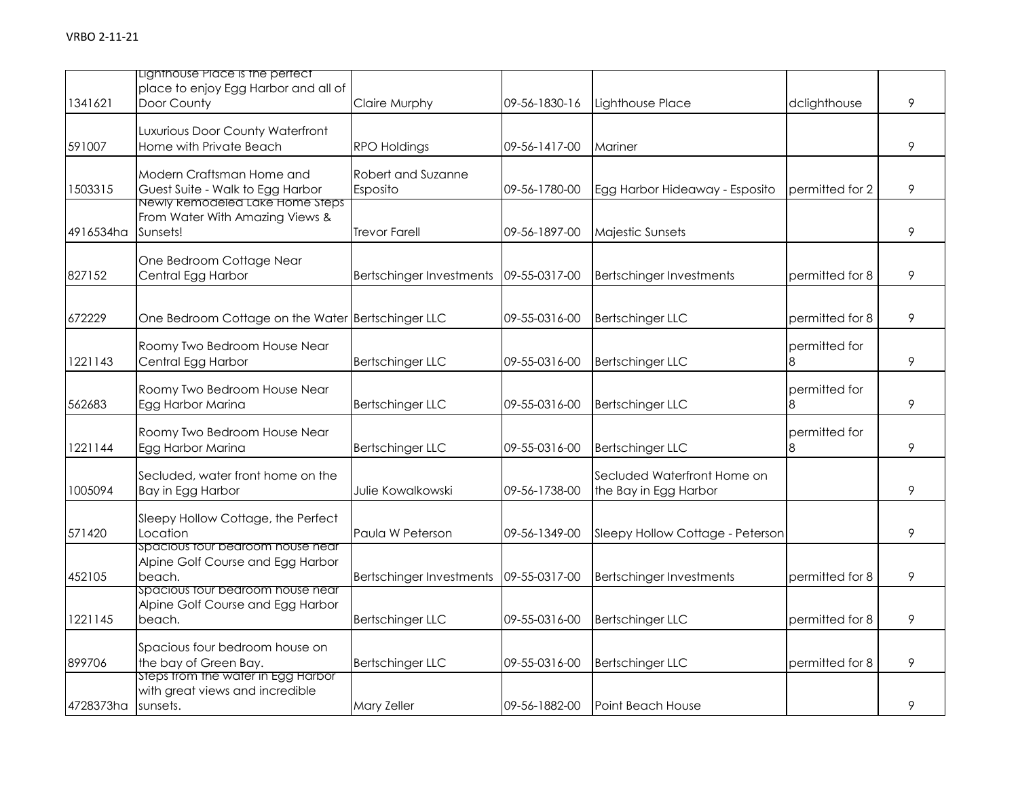|           | Lighthouse Place is the perfect<br>place to enjoy Egg Harbor and all of           |                                 |               |                                                      |                    |   |
|-----------|-----------------------------------------------------------------------------------|---------------------------------|---------------|------------------------------------------------------|--------------------|---|
| 1341621   | Door County                                                                       | Claire Murphy                   | 09-56-1830-16 | Lighthouse Place                                     | dclighthouse       | 9 |
| 591007    | Luxurious Door County Waterfront<br>Home with Private Beach                       | <b>RPO Holdings</b>             | 09-56-1417-00 | Mariner                                              |                    | 9 |
| 1503315   | Modern Craftsman Home and<br>Guest Suite - Walk to Egg Harbor                     | Robert and Suzanne<br>Esposito  | 09-56-1780-00 | Egg Harbor Hideaway - Esposito                       | permitted for 2    | 9 |
| 4916534ha | Newly Remodeled Lake Home Steps<br>From Water With Amazing Views &<br>Sunsets!    | <b>Trevor Farell</b>            | 09-56-1897-00 | Majestic Sunsets                                     |                    | 9 |
| 827152    | One Bedroom Cottage Near<br>Central Egg Harbor                                    | <b>Bertschinger Investments</b> | 09-55-0317-00 | <b>Bertschinger Investments</b>                      | permitted for 8    | 9 |
| 672229    | One Bedroom Cottage on the Water Bertschinger LLC                                 |                                 | 09-55-0316-00 | <b>Bertschinger LLC</b>                              | permitted for 8    | 9 |
| 1221143   | Roomy Two Bedroom House Near<br>Central Egg Harbor                                | <b>Bertschinger LLC</b>         | 09-55-0316-00 | <b>Bertschinger LLC</b>                              | permitted for<br>8 | 9 |
| 562683    | Roomy Two Bedroom House Near<br>Egg Harbor Marina                                 | <b>Bertschinger LLC</b>         | 09-55-0316-00 | <b>Bertschinger LLC</b>                              | permitted for<br>8 | 9 |
| 1221144   | Roomy Two Bedroom House Near<br>Egg Harbor Marina                                 | <b>Bertschinger LLC</b>         | 09-55-0316-00 | <b>Bertschinger LLC</b>                              | permitted for<br>8 | 9 |
| 1005094   | Secluded, water front home on the<br>Bay in Egg Harbor                            | Julie Kowalkowski               | 09-56-1738-00 | Secluded Waterfront Home on<br>the Bay in Egg Harbor |                    | 9 |
| 571420    | Sleepy Hollow Cottage, the Perfect<br>Location                                    | Paula W Peterson                | 09-56-1349-00 | Sleepy Hollow Cottage - Peterson                     |                    | 9 |
| 452105    | spacious tour bedroom house near<br>Alpine Golf Course and Egg Harbor<br>beach.   | <b>Bertschinger Investments</b> | 09-55-0317-00 | <b>Bertschinger Investments</b>                      | permitted for 8    | 9 |
| 1221145   | spacious tour bearoom nouse near<br>Alpine Golf Course and Egg Harbor<br>beach.   | <b>Bertschinger LLC</b>         | 09-55-0316-00 | <b>Bertschinger LLC</b>                              | permitted for 8    | 9 |
| 899706    | Spacious four bedroom house on<br>the bay of Green Bay.                           | <b>Bertschinger LLC</b>         | 09-55-0316-00 | <b>Bertschinger LLC</b>                              | permitted for 8    | 9 |
| 4728373ha | steps from the water in Egg Harbor<br>with great views and incredible<br>sunsets. | Mary Zeller                     | 09-56-1882-00 | Point Beach House                                    |                    | 9 |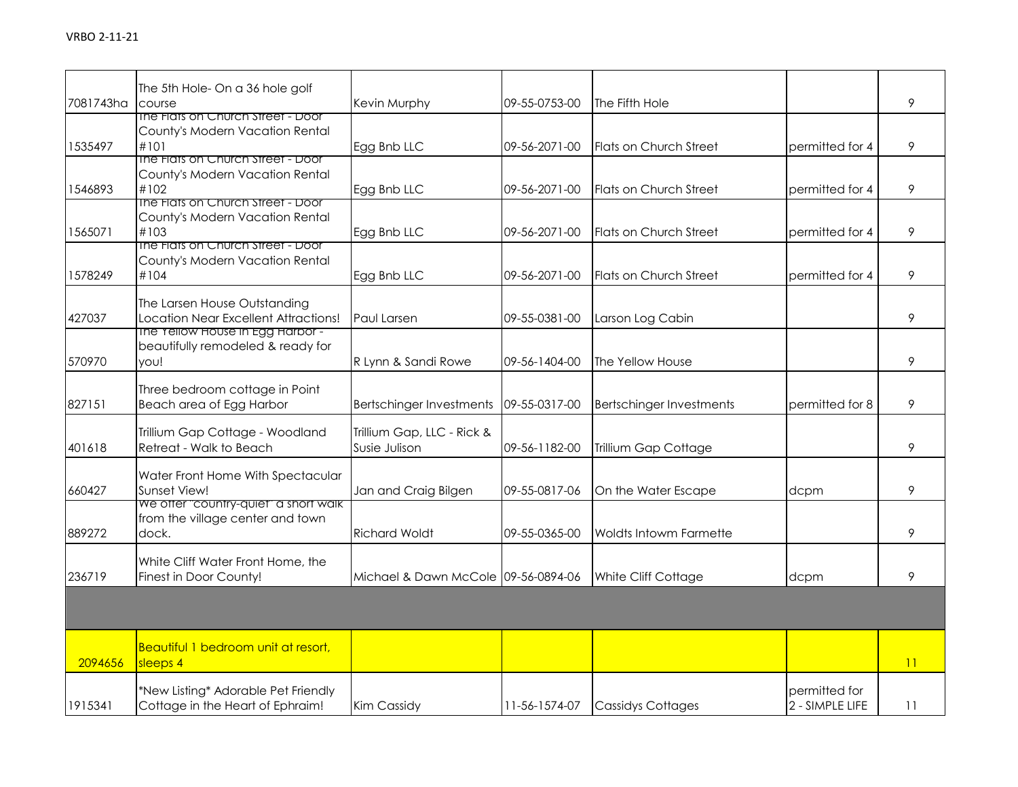|           | The 5th Hole- On a 36 hole golf           |                                     |               |                                 |                 |    |
|-----------|-------------------------------------------|-------------------------------------|---------------|---------------------------------|-----------------|----|
| 7081743ha | course                                    | Kevin Murphy                        | 09-55-0753-00 | The Fifth Hole                  |                 | 9  |
|           | The Flats on Church Street - Door         |                                     |               |                                 |                 |    |
|           | County's Modern Vacation Rental           |                                     |               |                                 |                 |    |
| 1535497   | #101<br>The Fiats on Church Street - Door | Egg Bnb LLC                         | 09-56-2071-00 | <b>Flats on Church Street</b>   | permitted for 4 | 9  |
|           | County's Modern Vacation Rental           |                                     |               |                                 |                 |    |
| 1546893   | #102                                      | Egg Bnb LLC                         | 09-56-2071-00 | Flats on Church Street          | permitted for 4 | 9  |
|           | The Flats on Church Street - Door         |                                     |               |                                 |                 |    |
|           | County's Modern Vacation Rental           |                                     |               |                                 |                 |    |
| 1565071   | #103                                      | Egg Bnb LLC                         | 09-56-2071-00 | Flats on Church Street          | permitted for 4 | 9  |
|           | The Flats on Church Street - Door         |                                     |               |                                 |                 |    |
|           | County's Modern Vacation Rental           |                                     |               |                                 |                 |    |
| 1578249   | #104                                      | Egg Bnb LLC                         | 09-56-2071-00 | Flats on Church Street          | permitted for 4 | 9  |
|           | The Larsen House Outstanding              |                                     |               |                                 |                 |    |
| 427037    | Location Near Excellent Attractions!      | Paul Larsen                         | 09-55-0381-00 | Larson Log Cabin                |                 | 9  |
|           | The Yellow House in Egg Harbor -          |                                     |               |                                 |                 |    |
|           | beautifully remodeled & ready for         |                                     |               |                                 |                 |    |
| 570970    | you!                                      | R Lynn & Sandi Rowe                 | 09-56-1404-00 | The Yellow House                |                 | 9  |
|           |                                           |                                     |               |                                 |                 |    |
|           | Three bedroom cottage in Point            |                                     |               |                                 |                 |    |
| 827151    | Beach area of Egg Harbor                  | <b>Bertschinger Investments</b>     | 09-55-0317-00 | <b>Bertschinger Investments</b> | permitted for 8 | 9  |
|           | Trillium Gap Cottage - Woodland           | Trillium Gap, LLC - Rick &          |               |                                 |                 |    |
| 401618    | Retreat - Walk to Beach                   | Susie Julison                       | 09-56-1182-00 | Trillium Gap Cottage            |                 | 9  |
|           |                                           |                                     |               |                                 |                 |    |
|           | Water Front Home With Spectacular         |                                     |               |                                 |                 |    |
| 660427    | Sunset View!                              | Jan and Craig Bilgen                | 09-55-0817-06 | On the Water Escape             | dcpm            | 9  |
|           | We offer "country-quiet" a short walk     |                                     |               |                                 |                 |    |
|           | from the village center and town          |                                     |               |                                 |                 |    |
| 889272    | dock.                                     | <b>Richard Woldt</b>                | 09-55-0365-00 | Woldts Intowm Farmette          |                 | 9  |
|           | White Cliff Water Front Home, the         |                                     |               |                                 |                 |    |
| 236719    | Finest in Door County!                    | Michael & Dawn McCole 09-56-0894-06 |               | White Cliff Cottage             | dcpm            | 9  |
|           |                                           |                                     |               |                                 |                 |    |
|           |                                           |                                     |               |                                 |                 |    |
|           |                                           |                                     |               |                                 |                 |    |
|           |                                           |                                     |               |                                 |                 |    |
|           | Beautiful 1 bedroom unit at resort,       |                                     |               |                                 |                 |    |
| 2094656   | sleeps 4                                  |                                     |               |                                 |                 | 11 |
|           | *New Listing* Adorable Pet Friendly       |                                     |               |                                 | permitted for   |    |
| 1915341   | Cottage in the Heart of Ephraim!          | Kim Cassidy                         | 11-56-1574-07 | <b>Cassidys Cottages</b>        | 2 - SIMPLE LIFE | 11 |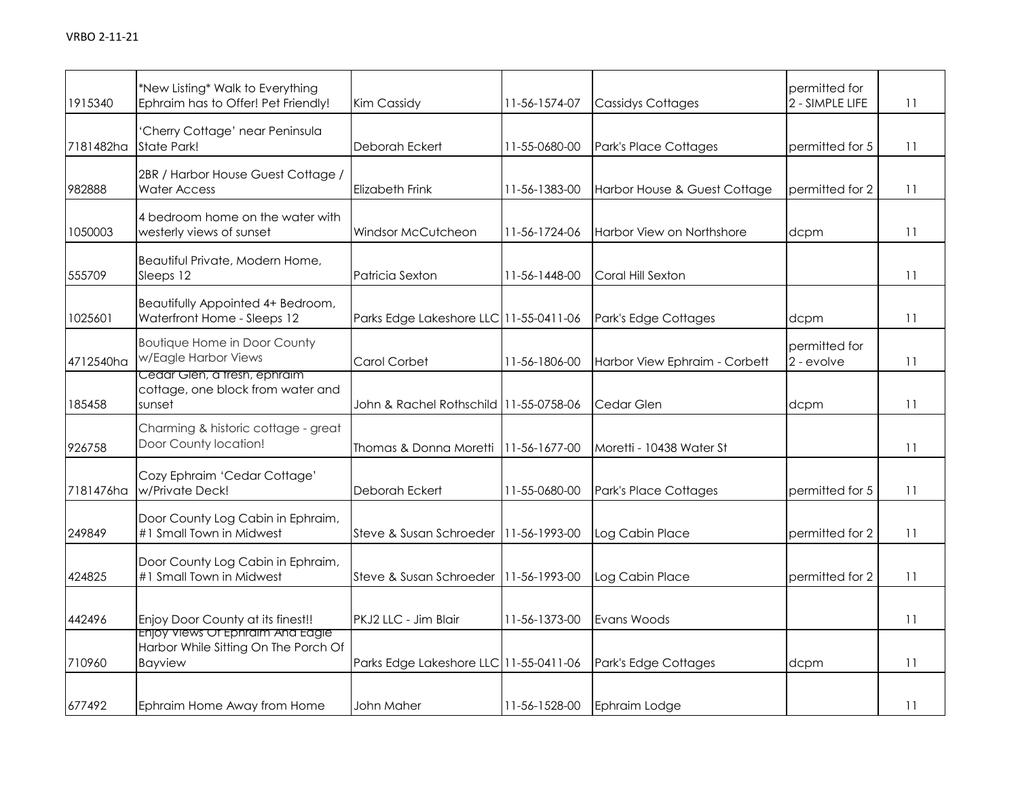| 1915340   | *New Listing* Walk to Everything<br>Ephraim has to Offer! Pet Friendly!                    | Kim Cassidy                            | 11-56-1574-07 | <b>Cassidys Cottages</b>      | permitted for<br>2 - SIMPLE LIFE | 11 |
|-----------|--------------------------------------------------------------------------------------------|----------------------------------------|---------------|-------------------------------|----------------------------------|----|
| 7181482ha | 'Cherry Cottage' near Peninsula<br>State Park!                                             | Deborah Eckert                         | 11-55-0680-00 | Park's Place Cottages         | permitted for 5                  | 11 |
| 982888    | 2BR / Harbor House Guest Cottage /<br><b>Water Access</b>                                  | Elizabeth Frink                        | 11-56-1383-00 | Harbor House & Guest Cottage  | permitted for 2                  | 11 |
| 1050003   | 4 bedroom home on the water with<br>westerly views of sunset                               | Windsor McCutcheon                     | 11-56-1724-06 | Harbor View on Northshore     | dcpm                             | 11 |
| 555709    | Beautiful Private, Modern Home,<br>Sleeps 12                                               | Patricia Sexton                        | 11-56-1448-00 | Coral Hill Sexton             |                                  | 11 |
| 1025601   | Beautifully Appointed 4+ Bedroom,<br>Waterfront Home - Sleeps 12                           | Parks Edge Lakeshore LLC 11-55-0411-06 |               | Park's Edge Cottages          | dcpm                             | 11 |
| 4712540ha | <b>Boutique Home in Door County</b><br>w/Eagle Harbor Views                                | Carol Corbet                           | 11-56-1806-00 | Harbor View Ephraim - Corbett | permitted for<br>2 - evolve      | 11 |
| 185458    | Cedar Glen, a tresh, ephraim<br>cottage, one block from water and<br>sunset                | John & Rachel Rothschild 11-55-0758-06 |               | Cedar Glen                    | dcpm                             | 11 |
| 926758    | Charming & historic cottage - great<br>Door County location!                               | Thomas & Donna Moretti   11-56-1677-00 |               | Moretti - 10438 Water St      |                                  | 11 |
| 7181476ha | Cozy Ephraim 'Cedar Cottage'<br>w/Private Deck!                                            | Deborah Eckert                         | 11-55-0680-00 | Park's Place Cottages         | permitted for 5                  | 11 |
| 249849    | Door County Log Cabin in Ephraim,<br>#1 Small Town in Midwest                              | Steve & Susan Schroeder                | 11-56-1993-00 | Log Cabin Place               | permitted for 2                  | 11 |
| 424825    | Door County Log Cabin in Ephraim,<br>#1 Small Town in Midwest                              | Steve & Susan Schroeder                | 11-56-1993-00 | Log Cabin Place               | permitted for 2                  | 11 |
| 442496    | Enjoy Door County at its finest!!                                                          | PKJ2 LLC - Jim Blair                   | 11-56-1373-00 | Evans Woods                   |                                  | 11 |
| 710960    | Enjoy Views Of Ephraim And Eagle<br>Harbor While Sitting On The Porch Of<br><b>Bayview</b> | Parks Edge Lakeshore LLC 11-55-0411-06 |               | Park's Edge Cottages          | dcpm                             | 11 |
| 677492    | Ephraim Home Away from Home                                                                | John Maher                             | 11-56-1528-00 | Ephraim Lodge                 |                                  | 11 |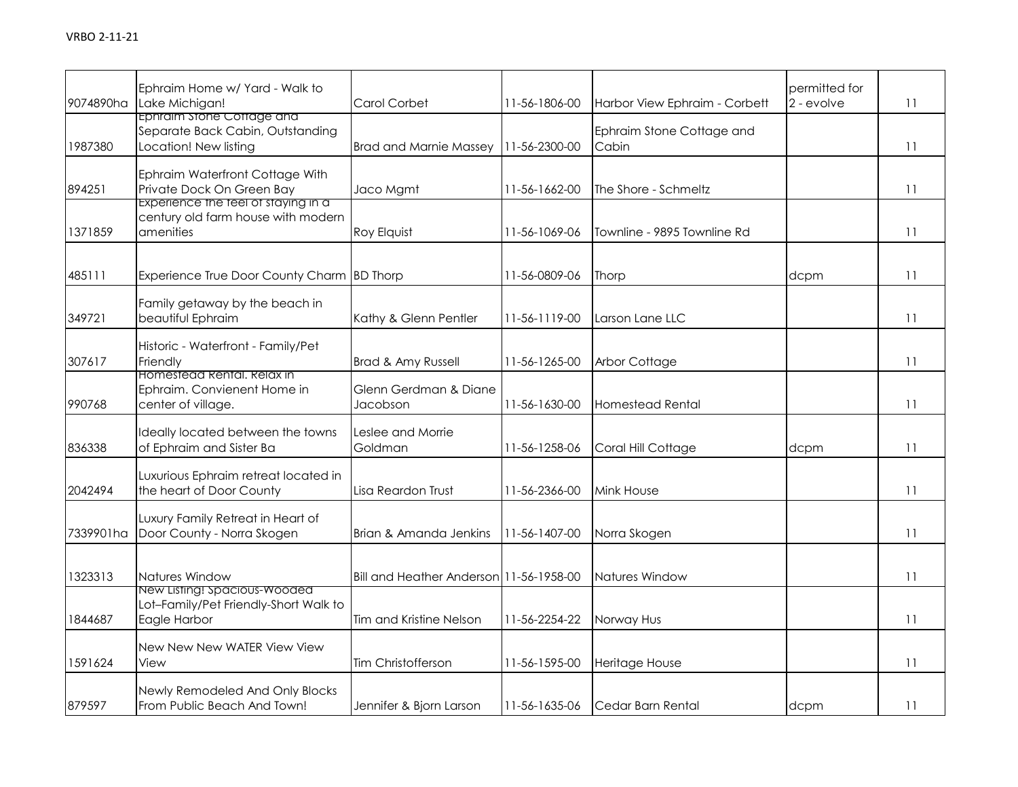| 9074890ha | Ephraim Home w/ Yard - Walk to<br>Lake Michigan!                                       | Carol Corbet                            | 11-56-1806-00 | Harbor View Ephraim - Corbett      | permitted for<br>2 - evolve | 11 |
|-----------|----------------------------------------------------------------------------------------|-----------------------------------------|---------------|------------------------------------|-----------------------------|----|
| 1987380   | Ephraim stone Cottage and<br>Separate Back Cabin, Outstanding<br>Location! New listing | <b>Brad and Marnie Massey</b>           | 11-56-2300-00 | Ephraim Stone Cottage and<br>Cabin |                             | 11 |
| 894251    | Ephraim Waterfront Cottage With<br>Private Dock On Green Bay                           | Jaco Mgmt                               | 11-56-1662-00 | The Shore - Schmeltz               |                             | 11 |
| 1371859   | Experience the teel of staying in a<br>century old farm house with modern<br>amenities | Roy Elquist                             | 11-56-1069-06 | Townline - 9895 Townline Rd        |                             | 11 |
| 485111    | Experience True Door County Charm BD Thorp                                             |                                         | 11-56-0809-06 | Thorp                              | dcpm                        | 11 |
| 349721    | Family getaway by the beach in<br>beautiful Ephraim                                    | Kathy & Glenn Pentler                   | 11-56-1119-00 | Larson Lane LLC                    |                             | 11 |
| 307617    | Historic - Waterfront - Family/Pet<br>Friendly                                         | <b>Brad &amp; Amy Russell</b>           | 11-56-1265-00 | Arbor Cottage                      |                             | 11 |
| 990768    | Homestead Rental. Relax in<br>Ephraim. Convienent Home in<br>center of village.        | Glenn Gerdman & Diane<br>Jacobson       | 11-56-1630-00 | Homestead Rental                   |                             | 11 |
| 836338    | Ideally located between the towns<br>of Ephraim and Sister Ba                          | eslee and Morrie.<br>Goldman            | 11-56-1258-06 | Coral Hill Cottage                 | dcpm                        | 11 |
| 2042494   | Luxurious Ephraim retreat located in<br>the heart of Door County                       | Lisa Reardon Trust                      | 11-56-2366-00 | Mink House                         |                             | 11 |
| 7339901ha | Luxury Family Retreat in Heart of<br>Door County - Norra Skogen                        | Brian & Amanda Jenkins                  | 11-56-1407-00 | Norra Skogen                       |                             | 11 |
| 1323313   | Natures Window                                                                         | Bill and Heather Anderson 11-56-1958-00 |               | Natures Window                     |                             | 11 |
| 1844687   | New Listing: spacious-wooded<br>Lot-Family/Pet Friendly-Short Walk to<br>Eagle Harbor  | Tim and Kristine Nelson                 | 11-56-2254-22 | Norway Hus                         |                             | 11 |
| 1591624   | New New New WATER View View<br>View                                                    | Tim Christofferson                      | 11-56-1595-00 | Heritage House                     |                             | 11 |
| 879597    | Newly Remodeled And Only Blocks<br>From Public Beach And Town!                         | Jennifer & Bjorn Larson                 | 11-56-1635-06 | Cedar Barn Rental                  | dcpm                        | 11 |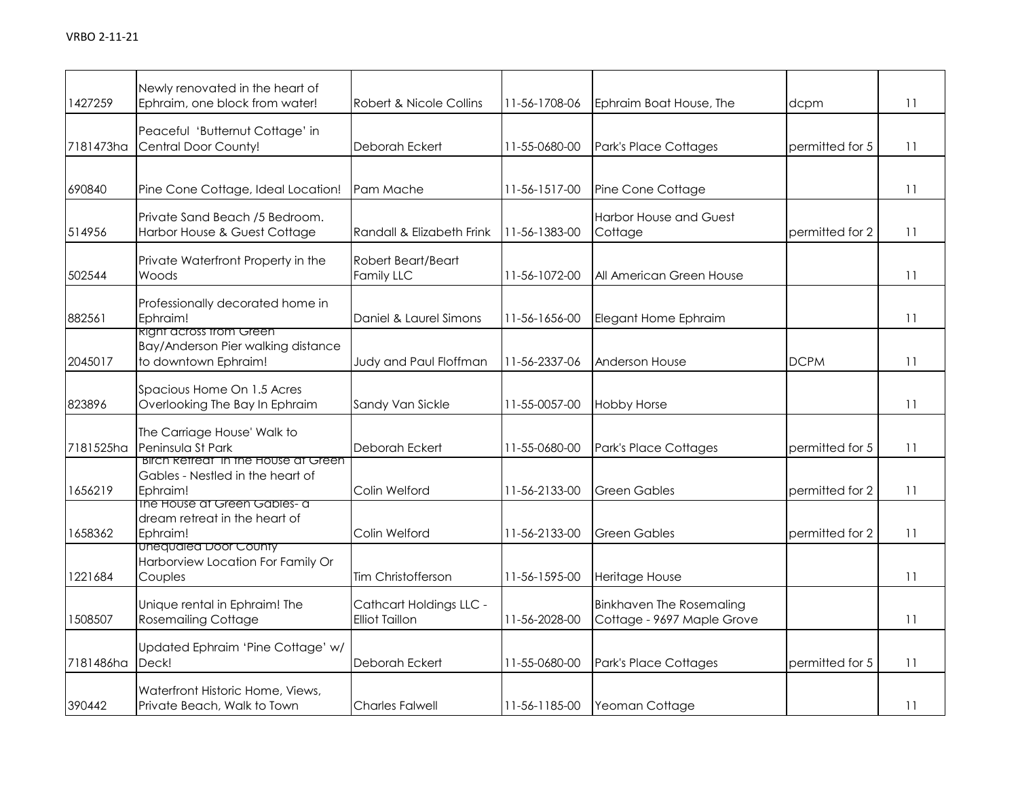| 1427259   | Newly renovated in the heart of<br>Ephraim, one block from water!                            | Robert & Nicole Collins                          | 11-56-1708-06         | Ephraim Boat House, The                                       | dcpm            | 11 |
|-----------|----------------------------------------------------------------------------------------------|--------------------------------------------------|-----------------------|---------------------------------------------------------------|-----------------|----|
| 7181473ha | Peaceful 'Butternut Cottage' in<br>Central Door County!                                      | Deborah Eckert                                   | 11-55-0680-00         | <b>Park's Place Cottages</b>                                  | permitted for 5 | 11 |
| 690840    | Pine Cone Cottage, Ideal Location!                                                           | Pam Mache                                        | 11-56-1517-00         | Pine Cone Cottage                                             |                 | 11 |
| 514956    | Private Sand Beach /5 Bedroom.<br>Harbor House & Guest Cottage                               | Randall & Elizabeth Frink                        | 11-56-1383-00         | <b>Harbor House and Guest</b><br>Cottage                      | permitted for 2 | 11 |
| 502544    | Private Waterfront Property in the<br>Woods                                                  | Robert Beart/Beart<br><b>Family LLC</b>          | 11-56-1072-00         | All American Green House                                      |                 | 11 |
| 882561    | Professionally decorated home in<br>Ephraim!                                                 | Daniel & Laurel Simons                           | 11-56-1656-00         | Elegant Home Ephraim                                          |                 | 11 |
| 2045017   | <b>Right across from Green</b><br>Bay/Anderson Pier walking distance<br>to downtown Ephraim! | Judy and Paul Floffman                           | 11-56-2337-06         | <b>Anderson House</b>                                         | <b>DCPM</b>     | 11 |
| 823896    | Spacious Home On 1.5 Acres<br>Overlooking The Bay In Ephraim                                 | Sandy Van Sickle                                 | 11-55-0057-00         | <b>Hobby Horse</b>                                            |                 | 11 |
| 7181525ha | The Carriage House' Walk to<br>Peninsula St Park                                             | Deborah Eckert                                   | 11-55-0680-00         | <b>Park's Place Cottages</b>                                  | permitted for 5 | 11 |
| 1656219   | <u>Birch Refreat in the House at Green</u><br>Gables - Nestled in the heart of<br>Ephraim!   | Colin Welford                                    | 11-56-2133-00         | <b>Green Gables</b>                                           | permitted for 2 | 11 |
| 1658362   | The House at Green Gables- a<br>dream retreat in the heart of<br>Ephraim!                    | Colin Welford                                    | 11-56-2133-00         | <b>Green Gables</b>                                           | permitted for 2 | 11 |
| 1221684   | Unequaled Door County<br>Harborview Location For Family Or<br>Couples                        | Tim Christofferson                               | 11-56-1595-00         | Heritage House                                                |                 | 11 |
| 1508507   | Unique rental in Ephraim! The<br><b>Rosemailing Cottage</b>                                  | Cathcart Holdings LLC -<br><b>Elliot Taillon</b> | 11-56-2028-00         | <b>Binkhaven The Rosemaling</b><br>Cottage - 9697 Maple Grove |                 | 11 |
| 7181486ha | Updated Ephraim 'Pine Cottage' w/<br>Deck!                                                   | Deborah Eckert                                   | 11-55-0680-00         | <b>Park's Place Cottages</b>                                  | permitted for 5 | 11 |
| 390442    | Waterfront Historic Home, Views,<br>Private Beach, Walk to Town                              | <b>Charles Falwell</b>                           | $11 - 56 - 1185 - 00$ | Yeoman Cottage                                                |                 | 11 |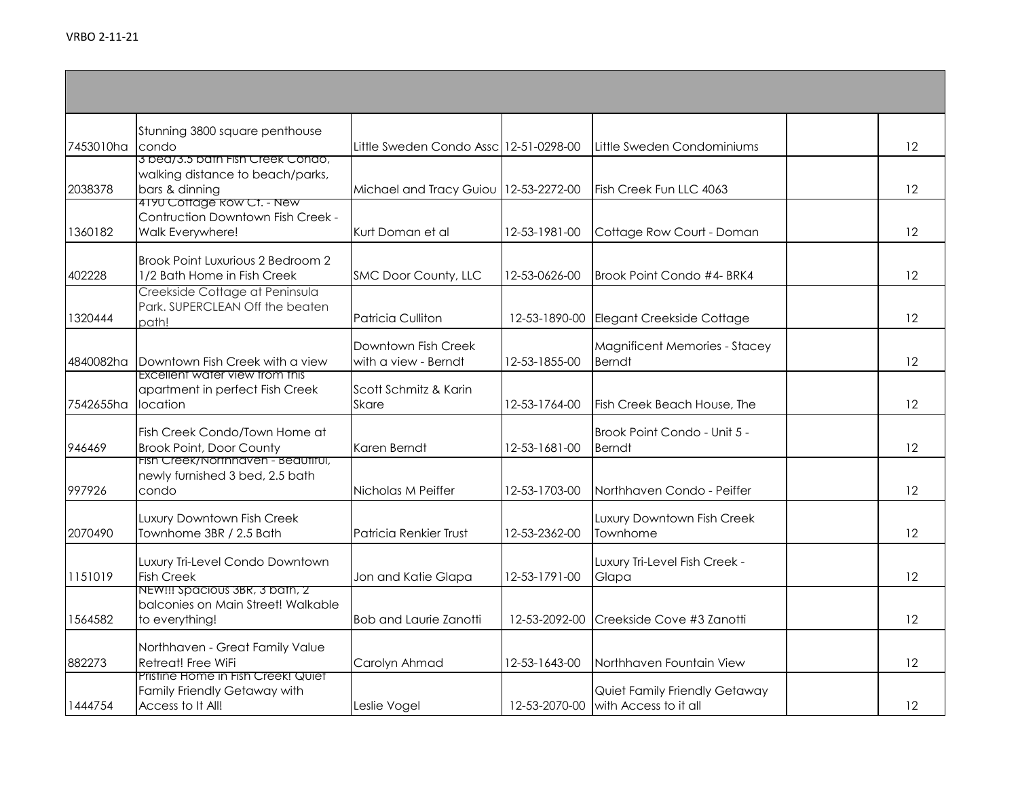| 7453010ha | Stunning 3800 square penthouse<br>condo<br>3 bea/3.5 bath Fish Creek Condo,             | Little Sweden Condo Assc 12-51-0298-00      |               | Little Sweden Condominiums                                           | 12 |
|-----------|-----------------------------------------------------------------------------------------|---------------------------------------------|---------------|----------------------------------------------------------------------|----|
| 2038378   | walking distance to beach/parks,<br>bars & dinning                                      | Michael and Tracy Guiou 12-53-2272-00       |               | Fish Creek Fun LLC 4063                                              | 12 |
| 1360182   | 4190 Cottage Row Ct. - New<br>Contruction Downtown Fish Creek -<br>Walk Everywhere!     | Kurt Doman et al                            | 12-53-1981-00 | Cottage Row Court - Doman                                            | 12 |
| 402228    | Brook Point Luxurious 2 Bedroom 2<br>1/2 Bath Home in Fish Creek                        | SMC Door County, LLC                        | 12-53-0626-00 | Brook Point Condo #4- BRK4                                           | 12 |
| 1320444   | Creekside Cottage at Peninsula<br>Park. SUPERCLEAN Off the beaten<br>path!              | Patricia Culliton                           | 12-53-1890-00 | Elegant Creekside Cottage                                            | 12 |
| 4840082ha | Downtown Fish Creek with a view                                                         | Downtown Fish Creek<br>with a view - Berndt | 12-53-1855-00 | <b>Magnificent Memories - Stacey</b><br>Berndt                       | 12 |
| 7542655ha | Excellent water view trom this<br>apartment in perfect Fish Creek<br>location           | Scott Schmitz & Karin<br>Skare              | 12-53-1764-00 | Fish Creek Beach House, The                                          | 12 |
| 946469    | Fish Creek Condo/Town Home at<br><b>Brook Point, Door County</b>                        | Karen Berndt                                | 12-53-1681-00 | Brook Point Condo - Unit 5 -<br><b>Berndt</b>                        | 12 |
| 997926    | <u> Fish Creek/Northhaven - Beautitul,</u><br>newly furnished 3 bed, 2.5 bath<br>condo  | Nicholas M Peiffer                          | 12-53-1703-00 | Northhaven Condo - Peiffer                                           | 12 |
| 2070490   | Luxury Downtown Fish Creek<br>Townhome 3BR / 2.5 Bath                                   | Patricia Renkier Trust                      | 12-53-2362-00 | Luxury Downtown Fish Creek<br>Townhome                               | 12 |
| 1151019   | Luxury Tri-Level Condo Downtown<br><b>Fish Creek</b>                                    | Jon and Katie Glapa                         | 12-53-1791-00 | Luxury Tri-Level Fish Creek -<br>Glapa                               | 12 |
| 1564582   | NEW!!! Spacious 3BR, 3 bath, 2<br>balconies on Main Street! Walkable<br>to everything!  | <b>Bob and Laurie Zanotti</b>               | 12-53-2092-00 | Creekside Cove #3 Zanotti                                            | 12 |
| 882273    | Northhaven - Great Family Value<br>Retreat! Free WiFi                                   | Carolyn Ahmad                               | 12-53-1643-00 | Northhaven Fountain View                                             | 12 |
| 1444754   | Pristine Home in Fish Creek! Quiet<br>Family Friendly Getaway with<br>Access to It All! | Leslie Vogel                                |               | Quiet Family Friendly Getaway<br>12-53-2070-00 with Access to it all | 12 |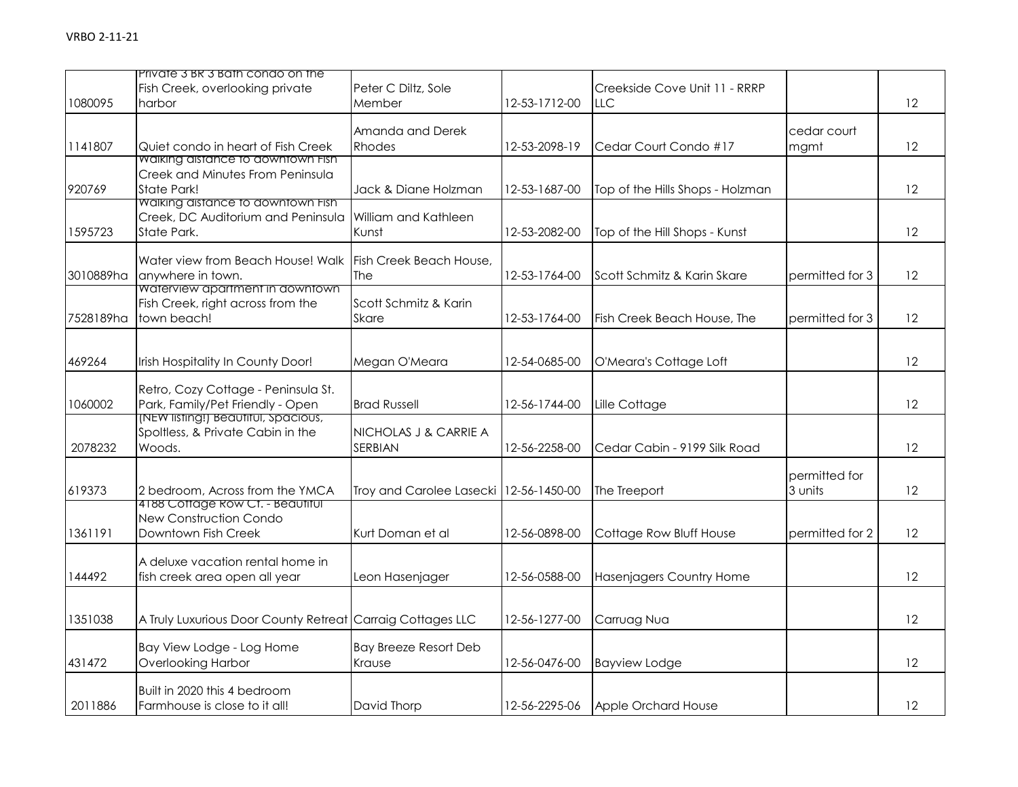|           | Private 3 BR 3 Bath condo on the                           |                                          |               |                                  |                 |                   |
|-----------|------------------------------------------------------------|------------------------------------------|---------------|----------------------------------|-----------------|-------------------|
|           | Fish Creek, overlooking private                            | Peter C Diltz, Sole                      |               | Creekside Cove Unit 11 - RRRP    |                 |                   |
| 1080095   | harbor                                                     | Member                                   | 12-53-1712-00 | LLC                              |                 | 12                |
|           |                                                            |                                          |               |                                  |                 |                   |
|           |                                                            | Amanda and Derek                         |               |                                  | cedar court     |                   |
| 1141807   | Quiet condo in heart of Fish Creek                         | Rhodes                                   | 12-53-2098-19 | Cedar Court Condo #17            | mgmt            | 12                |
|           | <b>Walking alstance to aowntown Fish</b>                   |                                          |               |                                  |                 |                   |
|           | Creek and Minutes From Peninsula                           |                                          |               |                                  |                 |                   |
| 920769    | <b>State Park!</b>                                         | Jack & Diane Holzman                     | 12-53-1687-00 | Top of the Hills Shops - Holzman |                 | 12                |
|           | Walking distance to downtown Fish                          |                                          |               |                                  |                 |                   |
|           | Creek, DC Auditorium and Peninsula                         | William and Kathleen                     |               |                                  |                 |                   |
| 1595723   | State Park.                                                | Kunst                                    | 12-53-2082-00 | Top of the Hill Shops - Kunst    |                 | $12 \overline{ }$ |
|           |                                                            |                                          |               |                                  |                 |                   |
|           | Water view from Beach House! Walk                          | Fish Creek Beach House,                  |               |                                  |                 |                   |
| 3010889ha | anywhere in town.                                          | <b>The</b>                               | 12-53-1764-00 | Scott Schmitz & Karin Skare      | permitted for 3 | 12                |
|           | Waterview apartment in downtown                            | Scott Schmitz & Karin                    |               |                                  |                 |                   |
|           | Fish Creek, right across from the<br>town beach!           |                                          |               |                                  |                 |                   |
| 7528189ha |                                                            | <b>Skare</b>                             | 12-53-1764-00 | Fish Creek Beach House, The      | permitted for 3 | 12                |
|           |                                                            |                                          |               |                                  |                 |                   |
| 469264    | Irish Hospitality In County Door!                          | Megan O'Meara                            | 12-54-0685-00 | O'Meara's Cottage Loft           |                 | 12                |
|           |                                                            |                                          |               |                                  |                 |                   |
|           | Retro, Cozy Cottage - Peninsula St.                        |                                          |               |                                  |                 |                   |
| 1060002   | Park, Family/Pet Friendly - Open                           | <b>Brad Russell</b>                      | 12-56-1744-00 | Lille Cottage                    |                 | 12                |
|           | (NEW listing!) Beautitul, Spacious,                        |                                          |               |                                  |                 |                   |
|           | Spoltless, & Private Cabin in the                          | NICHOLAS J & CARRIE A                    |               |                                  |                 |                   |
| 2078232   | Woods.                                                     | SERBIAN                                  | 12-56-2258-00 | Cedar Cabin - 9199 Silk Road     |                 | 12                |
|           |                                                            |                                          |               |                                  |                 |                   |
|           |                                                            |                                          |               |                                  | permitted for   |                   |
| 619373    | 2 bedroom, Across from the YMCA                            | Troy and Carolee Lasecki   12-56-1450-00 |               | The Treeport                     | 3 units         | 12                |
|           | 4188 Cottage Row Ct. - Beautiful                           |                                          |               |                                  |                 |                   |
|           | New Construction Condo                                     |                                          |               |                                  |                 |                   |
| 1361191   | Downtown Fish Creek                                        | Kurt Doman et al                         | 12-56-0898-00 | Cottage Row Bluff House          | permitted for 2 | 12                |
|           | A deluxe vacation rental home in                           |                                          |               |                                  |                 |                   |
| 144492    | fish creek area open all year                              | Leon Hasenjager                          | 12-56-0588-00 | Hasenjagers Country Home         |                 | 12                |
|           |                                                            |                                          |               |                                  |                 |                   |
|           |                                                            |                                          |               |                                  |                 |                   |
| 1351038   | A Truly Luxurious Door County Retreat Carraig Cottages LLC |                                          | 12-56-1277-00 | Carruag Nua                      |                 | 12                |
|           |                                                            |                                          |               |                                  |                 |                   |
|           | Bay View Lodge - Log Home                                  | <b>Bay Breeze Resort Deb</b>             |               |                                  |                 |                   |
| 431472    | Overlooking Harbor                                         | Krause                                   | 12-56-0476-00 | <b>Bayview Lodge</b>             |                 | 12                |
|           |                                                            |                                          |               |                                  |                 |                   |
|           | Built in 2020 this 4 bedroom                               |                                          |               |                                  |                 |                   |
| 2011886   | Farmhouse is close to it all!                              | David Thorp                              | 12-56-2295-06 | Apple Orchard House              |                 | 12                |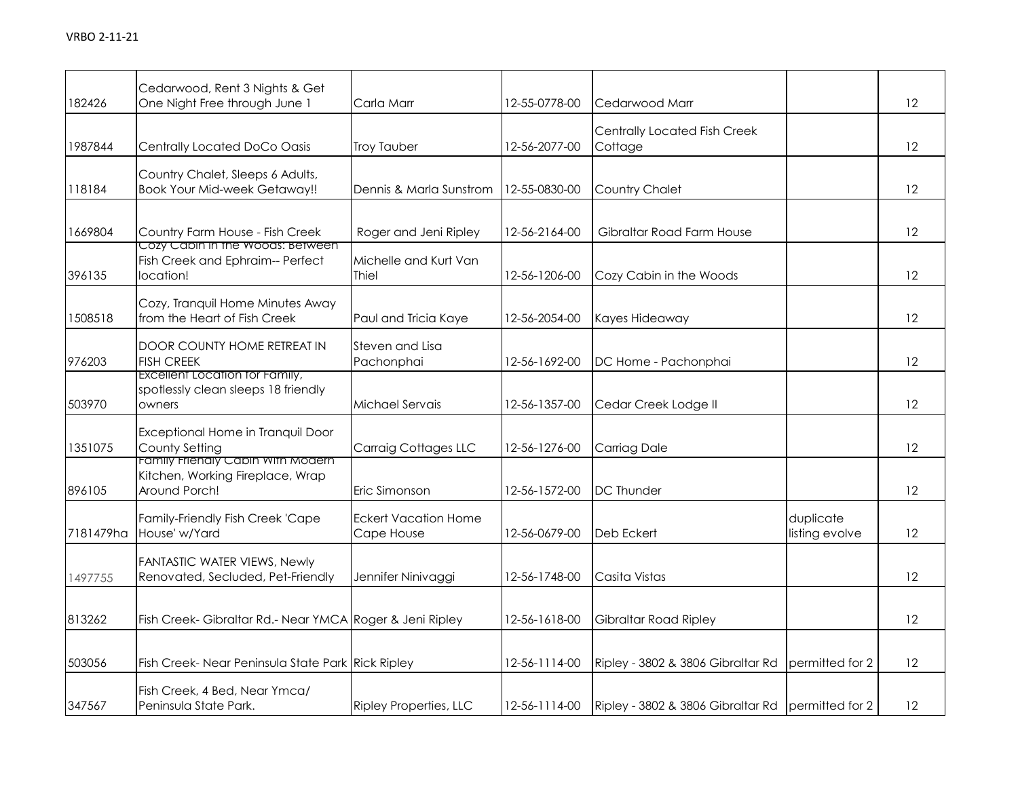| 182426    | Cedarwood, Rent 3 Nights & Get<br>One Night Free through June 1                               | Carla Marr                                | 12-55-0778-00 | Cedarwood Marr                                    |                             | 12                |
|-----------|-----------------------------------------------------------------------------------------------|-------------------------------------------|---------------|---------------------------------------------------|-----------------------------|-------------------|
| 1987844   | Centrally Located DoCo Oasis                                                                  | <b>Troy Tauber</b>                        | 12-56-2077-00 | Centrally Located Fish Creek<br>Cottage           |                             | 12                |
| 118184    | Country Chalet, Sleeps 6 Adults,<br><b>Book Your Mid-week Getaway!!</b>                       | Dennis & Marla Sunstrom                   | 12-55-0830-00 | Country Chalet                                    |                             | $12 \overline{ }$ |
| 1669804   | Country Farm House - Fish Creek<br>Cozy Cabin in the Woods: Between                           | Roger and Jeni Ripley                     | 12-56-2164-00 | Gibraltar Road Farm House                         |                             | $12 \overline{ }$ |
| 396135    | Fish Creek and Ephraim-- Perfect<br>location!                                                 | Michelle and Kurt Van<br>Thiel            | 12-56-1206-00 | Cozy Cabin in the Woods                           |                             | 12                |
| 1508518   | Cozy, Tranquil Home Minutes Away<br>from the Heart of Fish Creek                              | Paul and Tricia Kaye                      | 12-56-2054-00 | Kayes Hideaway                                    |                             | 12                |
| 976203    | DOOR COUNTY HOME RETREAT IN<br><b>FISH CREEK</b>                                              | Steven and Lisa<br>Pachonphai             | 12-56-1692-00 | DC Home - Pachonphai                              |                             | 12                |
| 503970    | Excellent Location for Family,<br>spotlessly clean sleeps 18 friendly<br>owners               | Michael Servais                           | 12-56-1357-00 | Cedar Creek Lodge II                              |                             | 12                |
| 1351075   | Exceptional Home in Tranquil Door<br>County Setting                                           | <b>Carraig Cottages LLC</b>               | 12-56-1276-00 | Carriag Dale                                      |                             | 12                |
| 896105    | <u>Family Frienaly Cabin with Modern</u><br>Kitchen, Working Fireplace, Wrap<br>Around Porch! | Eric Simonson                             | 12-56-1572-00 | <b>DC Thunder</b>                                 |                             | 12                |
| 7181479ha | Family-Friendly Fish Creek 'Cape<br>House' w/Yard                                             | <b>Eckert Vacation Home</b><br>Cape House | 12-56-0679-00 | Deb Eckert                                        | duplicate<br>listing evolve | 12                |
| 1497755   | FANTASTIC WATER VIEWS, Newly<br>Renovated, Secluded, Pet-Friendly                             | Jennifer Ninivaggi                        | 12-56-1748-00 | Casita Vistas                                     |                             | 12                |
| 813262    | Fish Creek- Gibraltar Rd.- Near YMCA Roger & Jeni Ripley                                      |                                           | 12-56-1618-00 | Gibraltar Road Ripley                             |                             | 12                |
| 503056    | Fish Creek- Near Peninsula State Park Rick Ripley                                             |                                           | 12-56-1114-00 | Ripley - 3802 & 3806 Gibraltar Rd                 | permitted for 2             | 12                |
| 347567    | Fish Creek, 4 Bed, Near Ymca/<br>Peninsula State Park.                                        | <b>Ripley Properties, LLC</b>             | 12-56-1114-00 | Ripley - 3802 & 3806 Gibraltar Rd permitted for 2 |                             | 12                |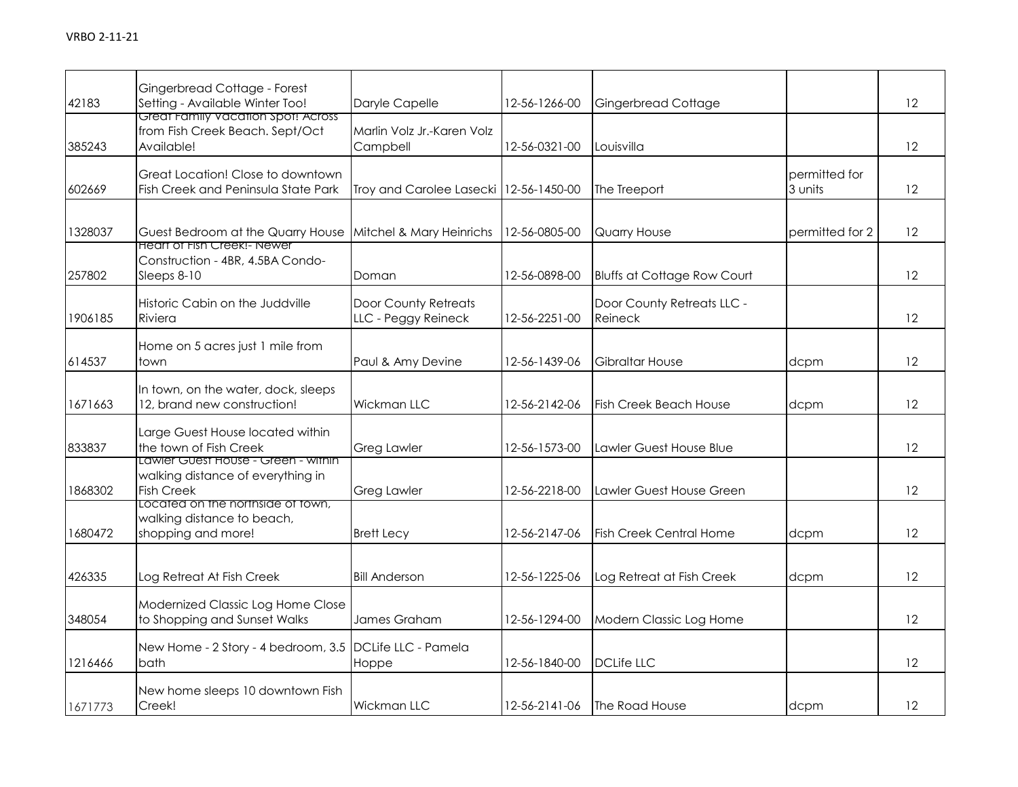| 42183   | Gingerbread Cottage - Forest<br>Setting - Available Winter Too!                                       | Daryle Capelle                              | 12-56-1266-00 | <b>Gingerbread Cottage</b>            |                          | 12                |
|---------|-------------------------------------------------------------------------------------------------------|---------------------------------------------|---------------|---------------------------------------|--------------------------|-------------------|
| 385243  | Great Family Vacation Spot! Across<br>from Fish Creek Beach. Sept/Oct<br>Available!                   | Marlin Volz Jr.-Karen Volz<br>Campbell      | 12-56-0321-00 | Louisvilla                            |                          | $12 \overline{ }$ |
| 602669  | Great Location! Close to downtown<br>Fish Creek and Peninsula State Park                              | Troy and Carolee Lasecki 12-56-1450-00      |               | The Treeport                          | permitted for<br>3 units | $12 \overline{ }$ |
| 1328037 | Guest Bedroom at the Quarry House<br>Heart of Fish Creek!- Newer                                      | Mitchel & Mary Heinrichs                    | 12-56-0805-00 | Quarry House                          | permitted for 2          | 12                |
| 257802  | Construction - 4BR, 4.5BA Condo-<br>Sleeps 8-10                                                       | Doman                                       | 12-56-0898-00 | <b>Bluffs at Cottage Row Court</b>    |                          | 12                |
| 1906185 | Historic Cabin on the Juddville<br>Riviera                                                            | Door County Retreats<br>LLC - Peggy Reineck | 12-56-2251-00 | Door County Retreats LLC -<br>Reineck |                          | $12 \overline{ }$ |
| 614537  | Home on 5 acres just 1 mile from<br>town                                                              | Paul & Amy Devine                           | 12-56-1439-06 | Gibraltar House                       | dcpm                     | 12                |
| 1671663 | In town, on the water, dock, sleeps<br>12, brand new construction!                                    | Wickman LLC                                 | 12-56-2142-06 | <b>Fish Creek Beach House</b>         | dcpm                     | $12 \overline{ }$ |
| 833837  | Large Guest House located within<br>the town of Fish Creek                                            | <b>Greg Lawler</b>                          | 12-56-1573-00 | Lawler Guest House Blue               |                          | 12                |
| 1868302 | <u> Lawier Guest House - Green - within</u><br>walking distance of everything in<br><b>Fish Creek</b> | <b>Greg Lawler</b>                          | 12-56-2218-00 | Lawler Guest House Green              |                          | $12 \overline{ }$ |
| 1680472 | Located on the northside of town,<br>walking distance to beach,<br>shopping and more!                 | <b>Brett Lecy</b>                           | 12-56-2147-06 | <b>Fish Creek Central Home</b>        | dcpm                     | 12                |
| 426335  | Log Retreat At Fish Creek                                                                             | <b>Bill Anderson</b>                        | 12-56-1225-06 | Log Retreat at Fish Creek             | dcpm                     | 12                |
| 348054  | Modernized Classic Log Home Close<br>to Shopping and Sunset Walks                                     | James Graham                                | 12-56-1294-00 | Modern Classic Log Home               |                          | 12                |
| 1216466 | New Home - 2 Story - 4 bedroom, 3.5 DCLife LLC - Pamela<br>bath                                       | Hoppe                                       | 12-56-1840-00 | <b>DCLife LLC</b>                     |                          | 12 <sup>2</sup>   |
| 1671773 | New home sleeps 10 downtown Fish<br>Creek!                                                            | Wickman LLC                                 | 12-56-2141-06 | The Road House                        | dcpm                     | $12 \overline{ }$ |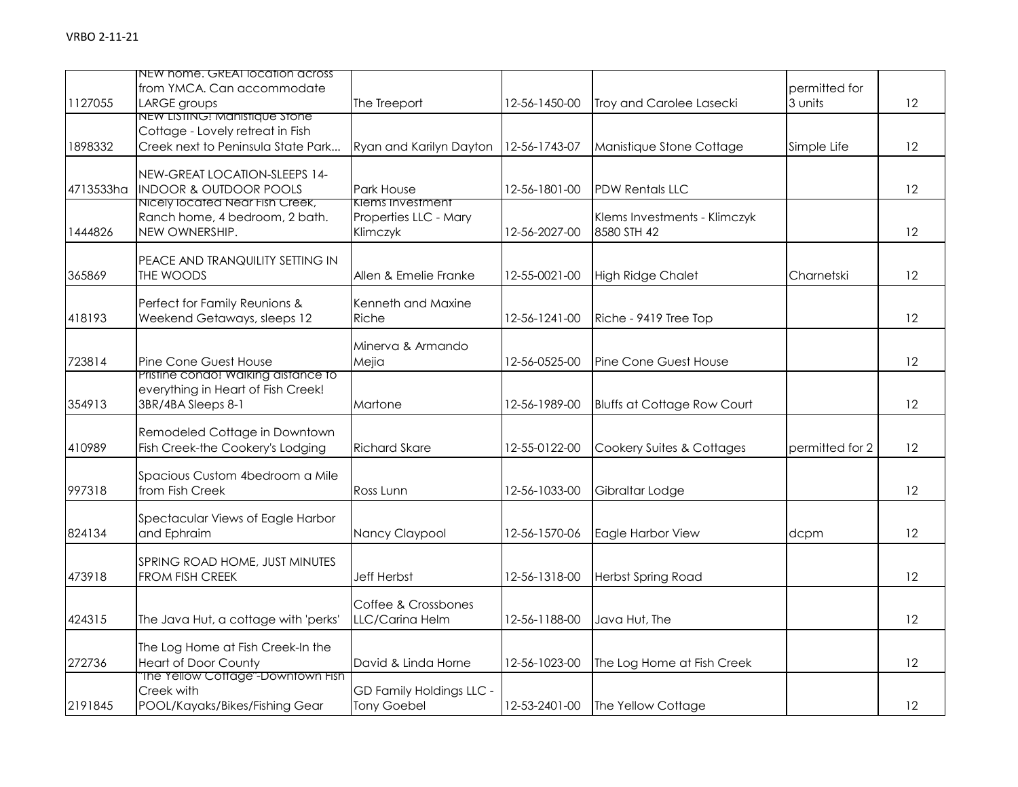|           | NEW home. GREAI location across<br>from YMCA. Can accommodate          |                                           |               |                                    | permitted for   |                   |
|-----------|------------------------------------------------------------------------|-------------------------------------------|---------------|------------------------------------|-----------------|-------------------|
| 1127055   | LARGE groups                                                           | The Treeport                              | 12-56-1450-00 | Troy and Carolee Lasecki           | 3 units         | 12                |
|           | NEW LISTING! Manistique Stone                                          |                                           |               |                                    |                 |                   |
| 1898332   | Cottage - Lovely retreat in Fish<br>Creek next to Peninsula State Park | Ryan and Karilyn Dayton                   | 12-56-1743-07 | Manistique Stone Cottage           | Simple Life     | $12 \overline{ }$ |
|           |                                                                        |                                           |               |                                    |                 |                   |
|           | NEW-GREAT LOCATION-SLEEPS 14-                                          |                                           |               |                                    |                 |                   |
| 4713533ha | <b>INDOOR &amp; OUTDOOR POOLS</b>                                      | Park House                                | 12-56-1801-00 | <b>PDW Rentals LLC</b>             |                 | $12 \overline{ }$ |
|           | Nicely located Near Fish Creek,<br>Ranch home, 4 bedroom, 2 bath.      | Klems Investment<br>Properties LLC - Mary |               | Klems Investments - Klimczyk       |                 |                   |
| 1444826   | NEW OWNERSHIP.                                                         | Klimczyk                                  | 12-56-2027-00 | 8580 STH 42                        |                 | 12                |
|           |                                                                        |                                           |               |                                    |                 |                   |
|           | PEACE AND TRANQUILITY SETTING IN                                       |                                           |               |                                    |                 |                   |
| 365869    | THE WOODS                                                              | Allen & Emelie Franke                     | 12-55-0021-00 | <b>High Ridge Chalet</b>           | Charnetski      | 12                |
|           | Perfect for Family Reunions &                                          | Kenneth and Maxine                        |               |                                    |                 |                   |
| 418193    | Weekend Getaways, sleeps 12                                            | Riche                                     | 12-56-1241-00 | Riche - 9419 Tree Top              |                 | 12                |
|           |                                                                        |                                           |               |                                    |                 |                   |
| 723814    | Pine Cone Guest House                                                  | Minerva & Armando<br>Mejia                | 12-56-0525-00 | Pine Cone Guest House              |                 | $12 \overline{ }$ |
|           | Pristine condo! Walking distance to                                    |                                           |               |                                    |                 |                   |
|           | everything in Heart of Fish Creek!                                     |                                           |               |                                    |                 |                   |
| 354913    | 3BR/4BA Sleeps 8-1                                                     | Martone                                   | 12-56-1989-00 | <b>Bluffs at Cottage Row Court</b> |                 | 12                |
|           | Remodeled Cottage in Downtown                                          |                                           |               |                                    |                 |                   |
| 410989    | Fish Creek-the Cookery's Lodging                                       | <b>Richard Skare</b>                      | 12-55-0122-00 | Cookery Suites & Cottages          | permitted for 2 | 12                |
|           |                                                                        |                                           |               |                                    |                 |                   |
|           | Spacious Custom 4bedroom a Mile                                        |                                           |               |                                    |                 |                   |
| 997318    | from Fish Creek                                                        | Ross Lunn                                 | 12-56-1033-00 | Gibraltar Lodge                    |                 | $12 \overline{ }$ |
|           | Spectacular Views of Eagle Harbor                                      |                                           |               |                                    |                 |                   |
| 824134    | and Ephraim                                                            | Nancy Claypool                            | 12-56-1570-06 | Eagle Harbor View                  | dcpm            | 12                |
|           |                                                                        |                                           |               |                                    |                 |                   |
| 473918    | SPRING ROAD HOME, JUST MINUTES<br>FROM FISH CREEK                      | <b>Jeff Herbst</b>                        | 12-56-1318-00 | <b>Herbst Spring Road</b>          |                 | 12                |
|           |                                                                        |                                           |               |                                    |                 |                   |
|           |                                                                        | Coffee & Crossbones                       |               |                                    |                 |                   |
| 424315    | The Java Hut, a cottage with 'perks'                                   | LLC/Carina Helm                           | 12-56-1188-00 | Java Hut, The                      |                 | 12                |
|           | The Log Home at Fish Creek-In the                                      |                                           |               |                                    |                 |                   |
| 272736    | <b>Heart of Door County</b>                                            | David & Linda Horne                       | 12-56-1023-00 | The Log Home at Fish Creek         |                 | 12                |
|           | The Yellow Cottage"-Downtown Fish                                      |                                           |               |                                    |                 |                   |
|           | Creek with                                                             | GD Family Holdings LLC -                  |               |                                    |                 |                   |
| 2191845   | POOL/Kayaks/Bikes/Fishing Gear                                         | <b>Tony Goebel</b>                        | 12-53-2401-00 | The Yellow Cottage                 |                 | 12                |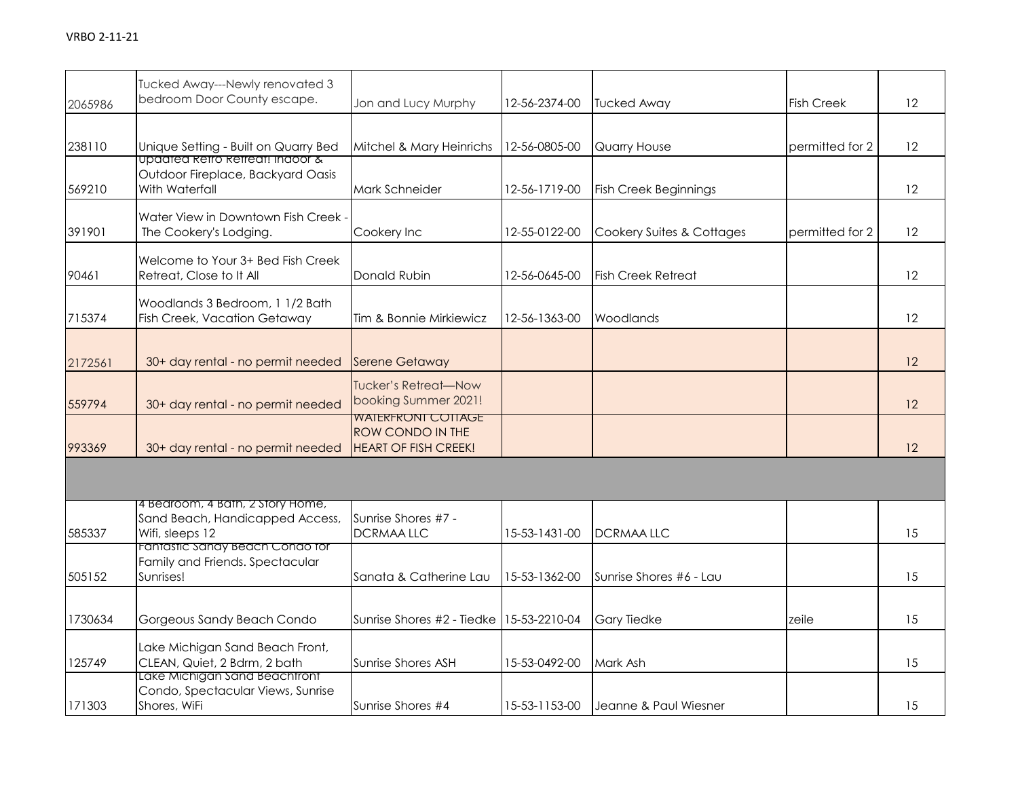| 2065986 | Tucked Away---Newly renovated 3<br>bedroom Door County escape.                         | Jon and Lucy Murphy                                                                 | 12-56-2374-00 | <b>Tucked Away</b>           | <b>Fish Creek</b> | $12 \overline{ }$ |
|---------|----------------------------------------------------------------------------------------|-------------------------------------------------------------------------------------|---------------|------------------------------|-------------------|-------------------|
|         |                                                                                        |                                                                                     |               |                              |                   |                   |
| 238110  | Unique Setting - Built on Quarry Bed<br><u>upaatea ketro ketreat: inaoor &amp;</u>     | Mitchel & Mary Heinrichs                                                            | 12-56-0805-00 | Quarry House                 | permitted for 2   | 12                |
| 569210  | Outdoor Fireplace, Backyard Oasis<br>With Waterfall                                    | Mark Schneider                                                                      | 12-56-1719-00 | <b>Fish Creek Beginnings</b> |                   | $12 \overline{ }$ |
| 391901  | Water View in Downtown Fish Creek -<br>The Cookery's Lodging.                          | Cookery Inc                                                                         | 12-55-0122-00 | Cookery Suites & Cottages    | permitted for 2   | 12                |
| 90461   | Welcome to Your 3+ Bed Fish Creek<br>Retreat, Close to It All                          | Donald Rubin                                                                        | 12-56-0645-00 | <b>Fish Creek Retreat</b>    |                   | $12 \overline{ }$ |
| 715374  | Woodlands 3 Bedroom, 1 1/2 Bath<br>Fish Creek, Vacation Getaway                        | Tim & Bonnie Mirkiewicz                                                             | 12-56-1363-00 | Woodlands                    |                   | 12                |
| 2172561 | 30+ day rental - no permit needed                                                      | <b>Serene Getaway</b>                                                               |               |                              |                   | 12                |
| 559794  | 30+ day rental - no permit needed                                                      | <b>Tucker's Retreat-Now</b><br>booking Summer 2021!                                 |               |                              |                   | 12                |
| 993369  | 30+ day rental - no permit needed                                                      | <b>WAIERFRONI COTIAGE</b><br><b>ROW CONDO IN THE</b><br><b>HEART OF FISH CREEK!</b> |               |                              |                   | 12                |
|         |                                                                                        |                                                                                     |               |                              |                   |                   |
| 585337  | 4 Bedroom, 4 Bath, 2 Story Home,<br>Sand Beach, Handicapped Access,<br>Wifi, sleeps 12 | Sunrise Shores #7 -<br><b>DCRMAALLC</b>                                             | 15-53-1431-00 | <b>DCRMAALLC</b>             |                   | 15                |
| 505152  | Fantastic Sandy Beach Condo for<br>Family and Friends. Spectacular<br>Sunrises!        | Sanata & Catherine Lau                                                              | 15-53-1362-00 | Sunrise Shores #6 - Lau      |                   | 15                |
| 1730634 | Gorgeous Sandy Beach Condo                                                             | Sunrise Shores #2 - Tiedke                                                          | 15-53-2210-04 | <b>Gary Tiedke</b>           | zeile             | 15                |
| 125749  | Lake Michigan Sand Beach Front,<br>CLEAN, Quiet, 2 Bdrm, 2 bath                        | Sunrise Shores ASH                                                                  | 15-53-0492-00 | Mark Ash                     |                   | 15                |
| 171303  | Lake Michigan Sand Beachtront<br>Condo, Spectacular Views, Sunrise<br>Shores, WiFi     | Sunrise Shores #4                                                                   | 15-53-1153-00 | Jeanne & Paul Wiesner        |                   | 15                |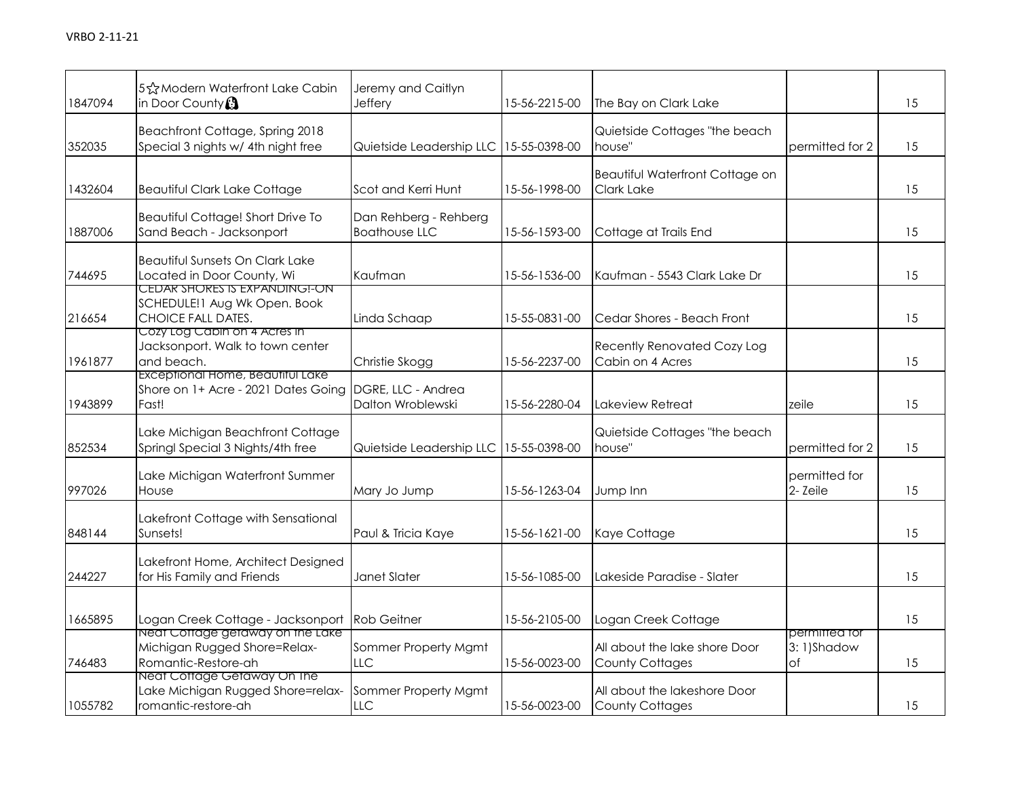| 1847094 | 5 St Modern Waterfront Lake Cabin<br>in Door County                                     | Jeremy and Caitlyn<br>Jeffery                 | 15-56-2215-00 | The Bay on Clark Lake                                   |                                   | 15 |
|---------|-----------------------------------------------------------------------------------------|-----------------------------------------------|---------------|---------------------------------------------------------|-----------------------------------|----|
| 352035  | Beachfront Cottage, Spring 2018<br>Special 3 nights w/ 4th night free                   | Quietside Leadership LLC                      | 15-55-0398-00 | Quietside Cottages "the beach<br>house"                 | permitted for 2                   | 15 |
| 1432604 | <b>Beautiful Clark Lake Cottage</b>                                                     | Scot and Kerri Hunt                           | 15-56-1998-00 | Beautiful Waterfront Cottage on<br>Clark Lake           |                                   | 15 |
| 1887006 | Beautiful Cottage! Short Drive To<br>Sand Beach - Jacksonport                           | Dan Rehberg - Rehberg<br><b>Boathouse LLC</b> | 15-56-1593-00 | Cottage at Trails End                                   |                                   | 15 |
| 744695  | <b>Beautiful Sunsets On Clark Lake</b><br>Located in Door County, Wi                    | Kaufman                                       | 15-56-1536-00 | Kaufman - 5543 Clark Lake Dr                            |                                   | 15 |
| 216654  | CEDAR SHORES IS EXPANDING!-ON<br>SCHEDULE!1 Aug Wk Open. Book<br>CHOICE FALL DATES.     | Linda Schaap                                  | 15-55-0831-00 | Cedar Shores - Beach Front                              |                                   | 15 |
| 1961877 | Cozy Log Cabin on 4 Acres in<br>Jacksonport. Walk to town center<br>and beach.          | Christie Skogg                                | 15-56-2237-00 | Recently Renovated Cozy Log<br>Cabin on 4 Acres         |                                   | 15 |
| 1943899 | Exceptional Home, Beautiful Lake<br>Shore on 1+ Acre - 2021 Dates Going<br>Fast!        | DGRE, LLC - Andrea<br>Dalton Wroblewski       | 15-56-2280-04 | Lakeview Retreat                                        | zeile                             | 15 |
| 852534  | Lake Michigan Beachfront Cottage<br>Springl Special 3 Nights/4th free                   | Quietside Leadership LLC                      | 15-55-0398-00 | Quietside Cottages "the beach<br>house"                 | permitted for 2                   | 15 |
| 997026  | Lake Michigan Waterfront Summer<br>House                                                | Mary Jo Jump                                  | 15-56-1263-04 | Jump Inn                                                | permitted for<br>2-Zeile          | 15 |
| 848144  | Lakefront Cottage with Sensational<br>Sunsets!                                          | Paul & Tricia Kaye                            | 15-56-1621-00 | Kaye Cottage                                            |                                   | 15 |
| 244227  | Lakefront Home, Architect Designed<br>for His Family and Friends                        | Janet Slater                                  | 15-56-1085-00 | Lakeside Paradise - Slater                              |                                   | 15 |
| 1665895 | Logan Creek Cottage - Jacksonport                                                       | <b>Rob Geitner</b>                            | 15-56-2105-00 | Logan Creek Cottage                                     |                                   | 15 |
| 746483  | Neat Cottage getaway on the Lake<br>Michigan Rugged Shore=Relax-<br>Romantic-Restore-ah | Sommer Property Mgmt<br>LLC                   | 15-56-0023-00 | All about the lake shore Door<br><b>County Cottages</b> | permitted for<br>3:1)Shadow<br>of | 15 |
| 1055782 | Neat Cottage Getaway On The<br>Lake Michigan Rugged Shore=relax-<br>romantic-restore-ah | Sommer Property Mgmt<br>LLC                   | 15-56-0023-00 | All about the lakeshore Door<br><b>County Cottages</b>  |                                   | 15 |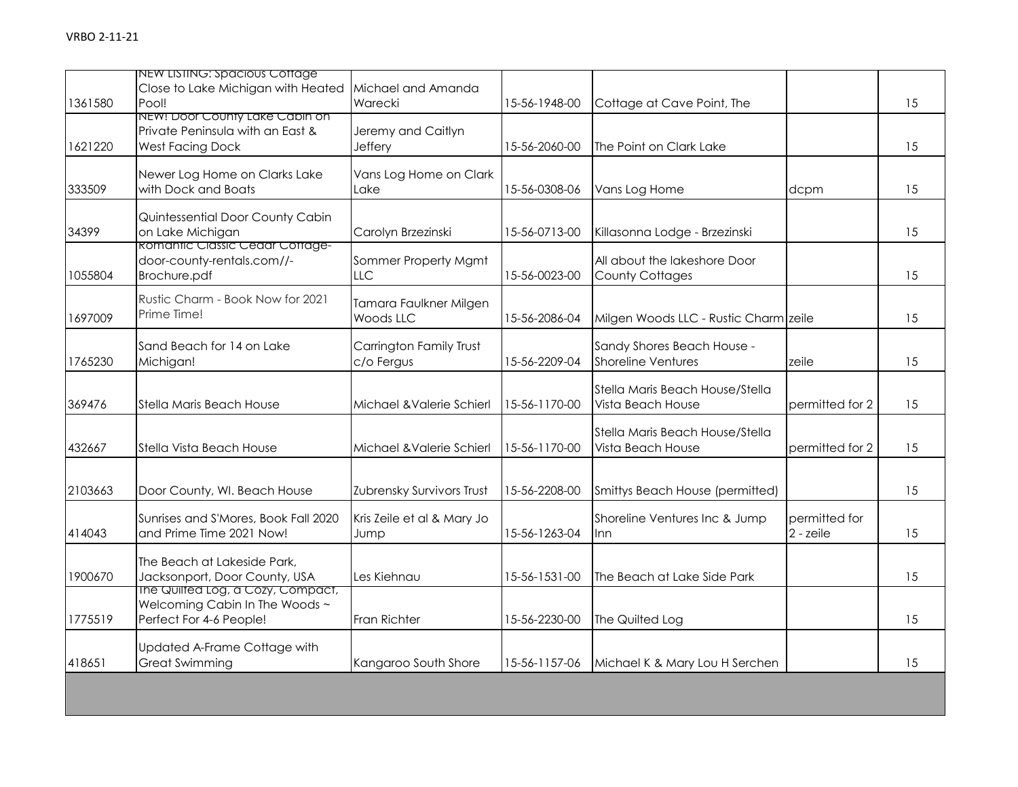| 1361580 | NEW LISTING: Spacious Cottage<br>Close to Lake Michigan with Heated<br>Pool!                   | Michael and Amanda<br>Warecki         | 15-56-1948-00 | Cottage at Cave Point, The                              |                            | 15 |
|---------|------------------------------------------------------------------------------------------------|---------------------------------------|---------------|---------------------------------------------------------|----------------------------|----|
| 1621220 | NEW! Door County Lake Cabin on<br>Private Peninsula with an East &<br><b>West Facing Dock</b>  | Jeremy and Caitlyn<br>Jeffery         | 15-56-2060-00 | The Point on Clark Lake                                 |                            | 15 |
| 333509  | Newer Log Home on Clarks Lake<br>with Dock and Boats                                           | Vans Log Home on Clark<br>Lake        | 15-56-0308-06 | Vans Log Home                                           | dcpm                       | 15 |
| 34399   | Quintessential Door County Cabin<br>on Lake Michigan<br><b>Romantic Classic Cedar Cottage-</b> | Carolyn Brzezinski                    | 15-56-0713-00 | Killasonna Lodge - Brzezinski                           |                            | 15 |
| 1055804 | door-county-rentals.com//-<br>Brochure.pdf                                                     | Sommer Property Mgmt<br>LLC           | 15-56-0023-00 | All about the lakeshore Door<br><b>County Cottages</b>  |                            | 15 |
| 1697009 | Rustic Charm - Book Now for 2021<br>Prime Time!                                                | Tamara Faulkner Milgen<br>Woods LLC   | 15-56-2086-04 | Milgen Woods LLC - Rustic Charm zeile                   |                            | 15 |
| 1765230 | Sand Beach for 14 on Lake<br>Michigan!                                                         | Carrington Family Trust<br>c/o Fergus | 15-56-2209-04 | Sandy Shores Beach House -<br><b>Shoreline Ventures</b> | zeile                      | 15 |
| 369476  | Stella Maris Beach House                                                                       | Michael & Valerie Schierl             | 15-56-1170-00 | Stella Maris Beach House/Stella<br>Vista Beach House    | permitted for 2            | 15 |
| 432667  | Stella Vista Beach House                                                                       | Michael & Valerie Schierl             | 15-56-1170-00 | Stella Maris Beach House/Stella<br>Vista Beach House    | permitted for 2            | 15 |
| 2103663 | Door County, WI. Beach House                                                                   | Zubrensky Survivors Trust             | 15-56-2208-00 | Smittys Beach House (permitted)                         |                            | 15 |
| 414043  | Sunrises and S'Mores, Book Fall 2020<br>and Prime Time 2021 Now!                               | Kris Zeile et al & Mary Jo<br>Jump    | 15-56-1263-04 | Shoreline Ventures Inc & Jump<br>lnn.                   | permitted for<br>2 - zeile | 15 |
| 1900670 | The Beach at Lakeside Park,<br>Jacksonport, Door County, USA                                   | Les Kiehnau                           | 15-56-1531-00 | The Beach at Lake Side Park                             |                            | 15 |
| 1775519 | The Quilted Log, a Cozy, Compact,<br>Welcoming Cabin In The Woods ~<br>Perfect For 4-6 People! | Fran Richter                          | 15-56-2230-00 | The Quilted Log                                         |                            | 15 |
| 418651  | Updated A-Frame Cottage with<br><b>Great Swimming</b>                                          | Kangaroo South Shore                  | 15-56-1157-06 | Michael K & Mary Lou H Serchen                          |                            | 15 |
|         |                                                                                                |                                       |               |                                                         |                            |    |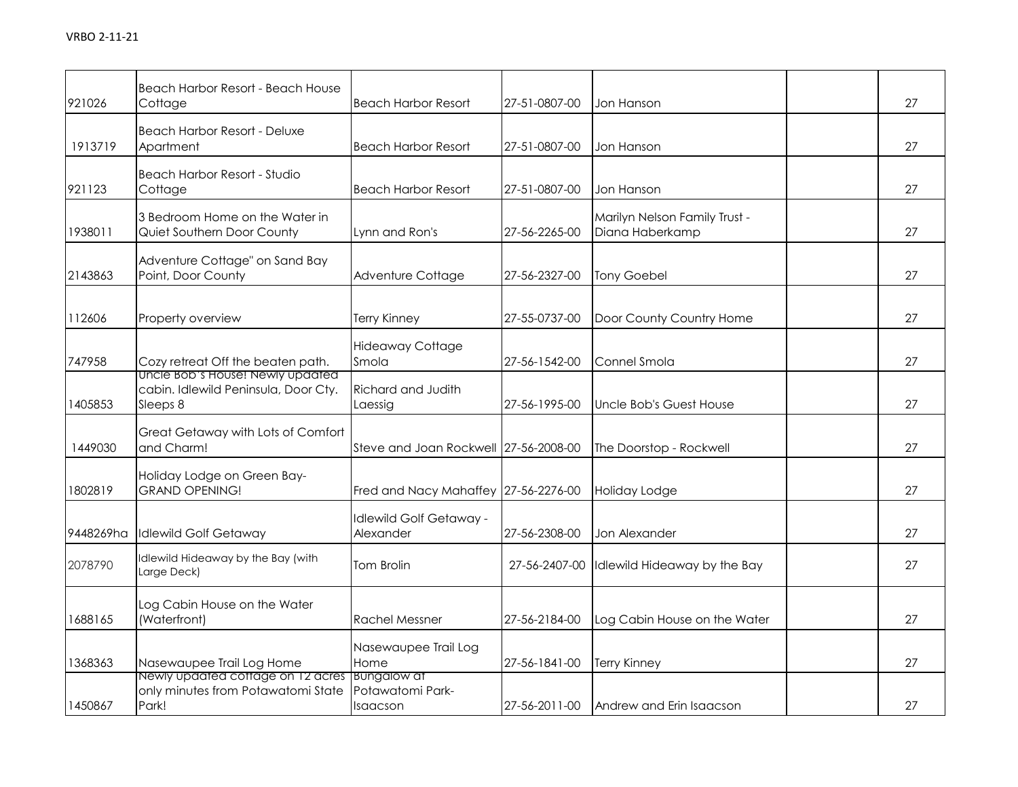| 921026    | Beach Harbor Resort - Beach House<br>Cottage                                                 | <b>Beach Harbor Resort</b>            | 27-51-0807-00 | Jon Hanson                                       | 27 |
|-----------|----------------------------------------------------------------------------------------------|---------------------------------------|---------------|--------------------------------------------------|----|
| 1913719   | <b>Beach Harbor Resort - Deluxe</b><br>Apartment                                             | <b>Beach Harbor Resort</b>            | 27-51-0807-00 | Jon Hanson                                       | 27 |
| 921123    | Beach Harbor Resort - Studio<br>Cottage                                                      | <b>Beach Harbor Resort</b>            | 27-51-0807-00 | Jon Hanson                                       | 27 |
| 1938011   | 3 Bedroom Home on the Water in<br>Quiet Southern Door County                                 | Lynn and Ron's                        | 27-56-2265-00 | Marilyn Nelson Family Trust -<br>Diana Haberkamp | 27 |
| 2143863   | Adventure Cottage" on Sand Bay<br>Point, Door County                                         | Adventure Cottage                     | 27-56-2327-00 | Tony Goebel                                      | 27 |
| 112606    | Property overview                                                                            | Terry Kinney                          | 27-55-0737-00 | Door County Country Home                         | 27 |
| 747958    | Cozy retreat Off the beaten path.                                                            | <b>Hideaway Cottage</b><br>Smola      | 27-56-1542-00 | Connel Smola                                     | 27 |
| 1405853   | Uncle Bob's House! Newly updated<br>cabin. Idlewild Peninsula, Door Cty.<br>Sleeps 8         | Richard and Judith<br>Laessig         | 27-56-1995-00 | Uncle Bob's Guest House                          | 27 |
| 1449030   | Great Getaway with Lots of Comfort<br>and Charm!                                             | Steve and Joan Rockwell 27-56-2008-00 |               | The Doorstop - Rockwell                          | 27 |
| 1802819   | Holiday Lodge on Green Bay-<br><b>GRAND OPENING!</b>                                         | Fred and Nacy Mahaffey 27-56-2276-00  |               | Holiday Lodge                                    | 27 |
| 9448269ha | Idlewild Golf Getaway                                                                        | Idlewild Golf Getaway -<br>Alexander  | 27-56-2308-00 | Jon Alexander                                    | 27 |
| 2078790   | Idlewild Hideaway by the Bay (with<br>Large Deck)                                            | Tom Brolin                            | 27-56-2407-00 | Idlewild Hideaway by the Bay                     | 27 |
| 1688165   | Log Cabin House on the Water<br>(Waterfront)                                                 | <b>Rachel Messner</b>                 | 27-56-2184-00 | Log Cabin House on the Water                     | 27 |
| 1368363   | Nasewaupee Trail Log Home                                                                    | Nasewaupee Trail Log<br>Home          | 27-56-1841-00 | Terry Kinney                                     | 27 |
| 1450867   | Newly updated cottage on 12 acres Bungalow at<br>only minutes from Potawatomi State<br>Park! | Potawatomi Park-<br>Isaacson          | 27-56-2011-00 | Andrew and Erin Isaacson                         | 27 |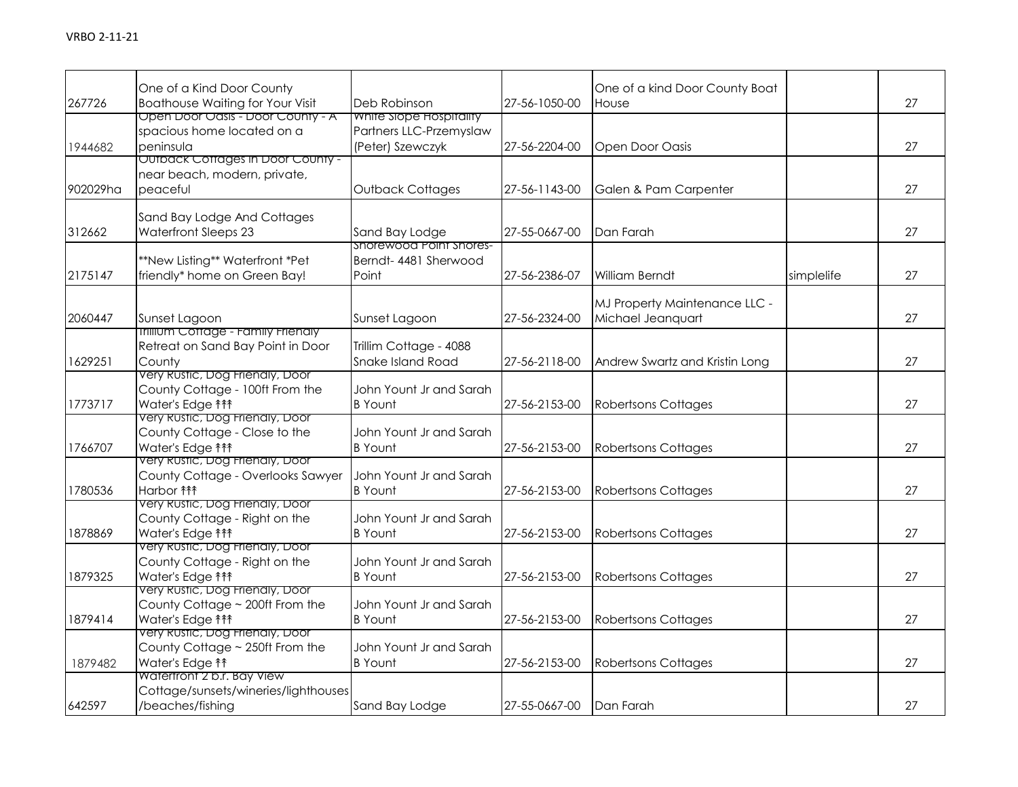|          | One of a Kind Door County                                          |                                                    |               | One of a kind Door County Boat |            |    |
|----------|--------------------------------------------------------------------|----------------------------------------------------|---------------|--------------------------------|------------|----|
| 267726   | <b>Boathouse Waiting for Your Visit</b>                            | Deb Robinson                                       | 27-56-1050-00 | House                          |            | 27 |
|          | Open Door Oasis - Door County - A<br>spacious home located on a    | White Slope Hospitality<br>Partners LLC-Przemyslaw |               |                                |            |    |
|          | peninsula                                                          | (Peter) Szewczyk                                   | 27-56-2204-00 |                                |            | 27 |
| 1944682  | OUTDACK COTTAGES IN DOOF COUNTY -                                  |                                                    |               | Open Door Oasis                |            |    |
|          | near beach, modern, private,                                       |                                                    |               |                                |            |    |
| 902029ha | peaceful                                                           | Outback Cottages                                   | 27-56-1143-00 | Galen & Pam Carpenter          |            | 27 |
|          |                                                                    |                                                    |               |                                |            |    |
|          | Sand Bay Lodge And Cottages                                        |                                                    |               |                                |            |    |
| 312662   | <b>Waterfront Sleeps 23</b>                                        | Sand Bay Lodge                                     | 27-55-0667-00 | Dan Farah                      |            | 27 |
|          |                                                                    | shorewood Point shores-                            |               |                                |            |    |
|          | **New Listing** Waterfront *Pet                                    | Berndt-4481 Sherwood                               |               |                                |            |    |
| 2175147  | friendly* home on Green Bay!                                       | Point                                              | 27-56-2386-07 | William Berndt                 | simplelife | 27 |
|          |                                                                    |                                                    |               | MJ Property Maintenance LLC -  |            |    |
| 2060447  | Sunset Lagoon                                                      | Sunset Lagoon                                      | 27-56-2324-00 | Michael Jeanquart              |            | 27 |
|          | <b>Inilium Cottage - Family Frienaly</b>                           |                                                    |               |                                |            |    |
|          | Retreat on Sand Bay Point in Door                                  | Trillim Cottage - 4088                             |               |                                |            |    |
| 1629251  | County                                                             | Snake Island Road                                  | 27-56-2118-00 | Andrew Swartz and Kristin Long |            | 27 |
|          | Very Rustic, Dog Friendly, Door                                    |                                                    |               |                                |            |    |
|          | County Cottage - 100ft From the                                    | John Yount Jr and Sarah                            |               |                                |            |    |
| 1773717  | Water's Edge <sup>11</sup>                                         | <b>B</b> Yount                                     | 27-56-2153-00 | <b>Robertsons Cottages</b>     |            | 27 |
|          | Very Rustic, Dog Friendly, Door                                    |                                                    |               |                                |            |    |
|          | County Cottage - Close to the<br>Water's Edge <sup>11</sup>        | John Yount Jr and Sarah                            |               |                                |            | 27 |
| 1766707  | very Rustic, Dog Frienaly, Door                                    | <b>B</b> Yount                                     | 27-56-2153-00 | <b>Robertsons Cottages</b>     |            |    |
|          | County Cottage - Overlooks Sawyer                                  | John Yount Jr and Sarah                            |               |                                |            |    |
| 1780536  | Harbor <b>fff</b>                                                  | <b>B</b> Yount                                     | 27-56-2153-00 | <b>Robertsons Cottages</b>     |            | 27 |
|          | Very Rustic, Dog Friendly, Door                                    |                                                    |               |                                |            |    |
|          | County Cottage - Right on the                                      | John Yount Jr and Sarah                            |               |                                |            |    |
| 1878869  | Water's Edge <sup>11</sup>                                         | <b>B</b> Yount                                     | 27-56-2153-00 | <b>Robertsons Cottages</b>     |            | 27 |
|          | Very Rustic, Dog Friendly, Door                                    |                                                    |               |                                |            |    |
|          | County Cottage - Right on the                                      | John Yount Jr and Sarah                            |               |                                |            |    |
| 1879325  | Water's Edge <sup>11</sup>                                         | <b>B</b> Yount                                     | 27-56-2153-00 | <b>Robertsons Cottages</b>     |            | 27 |
|          | very Rustic, Dog Frienaly, Door<br>County Cottage ~ 200ft From the |                                                    |               |                                |            |    |
| 1879414  | Water's Edge <sup>11</sup>                                         | John Yount Jr and Sarah<br><b>B</b> Yount          | 27-56-2153-00 |                                |            | 27 |
|          | Very Rustic, Dog Frienaly, Door                                    |                                                    |               | <b>Robertsons Cottages</b>     |            |    |
|          | County Cottage ~ 250ft From the                                    | John Yount Jr and Sarah                            |               |                                |            |    |
| 1879482  | Water's Edge <sup>11</sup>                                         | <b>B</b> Yount                                     | 27-56-2153-00 | <b>Robertsons Cottages</b>     |            | 27 |
|          | Watertront 2 b.r. Bay View                                         |                                                    |               |                                |            |    |
|          | Cottage/sunsets/wineries/lighthouses                               |                                                    |               |                                |            |    |
| 642597   | /beaches/fishing                                                   | Sand Bay Lodge                                     | 27-55-0667-00 | Dan Farah                      |            | 27 |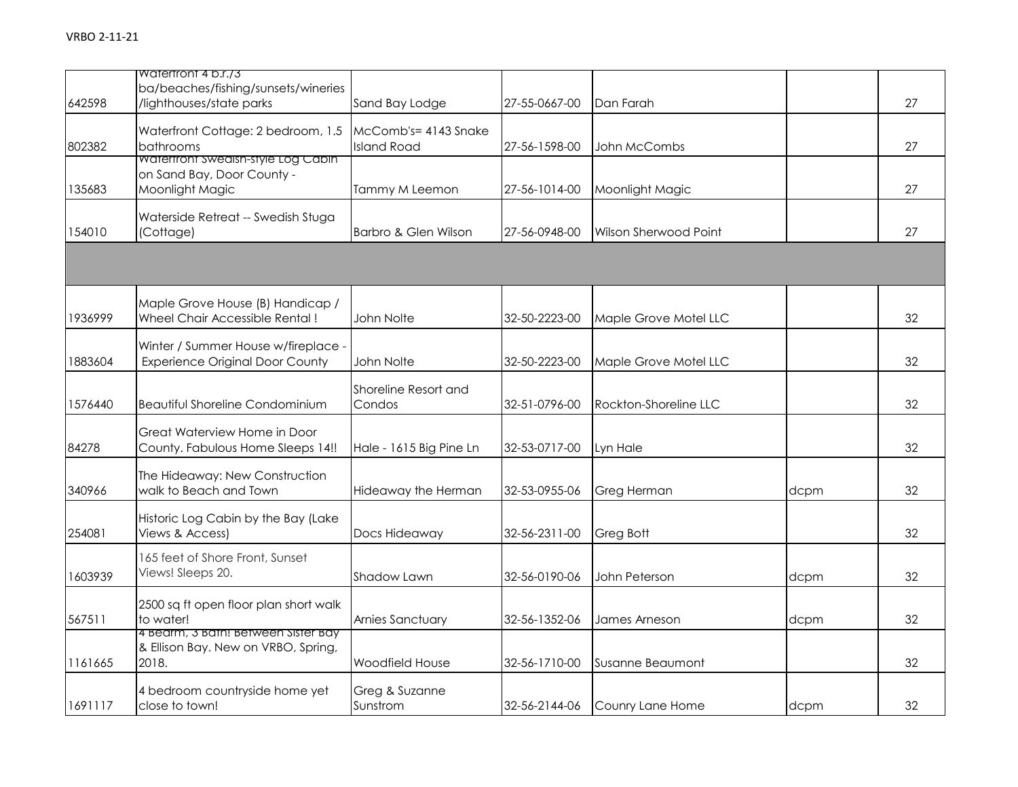|         | Watertront 4 b.r./3<br>ba/beaches/fishing/sunsets/wineries                          |                                            |               |                       |      |    |
|---------|-------------------------------------------------------------------------------------|--------------------------------------------|---------------|-----------------------|------|----|
| 642598  | /lighthouses/state parks                                                            | Sand Bay Lodge                             | 27-55-0667-00 | Dan Farah             |      | 27 |
| 802382  | Waterfront Cottage: 2 bedroom, 1.5<br>bathrooms                                     | McComb's= 4143 Snake<br><b>Island Road</b> | 27-56-1598-00 | John McCombs          |      | 27 |
| 135683  | waterfront swealsh-style Log Cabin<br>on Sand Bay, Door County -<br>Moonlight Magic | Tammy M Leemon                             | 27-56-1014-00 | Moonlight Magic       |      | 27 |
| 154010  | Waterside Retreat -- Swedish Stuga<br>(Cottage)                                     | Barbro & Glen Wilson                       | 27-56-0948-00 | Wilson Sherwood Point |      | 27 |
|         |                                                                                     |                                            |               |                       |      |    |
| 1936999 | Maple Grove House (B) Handicap /<br>Wheel Chair Accessible Rental!                  | John Nolte                                 | 32-50-2223-00 | Maple Grove Motel LLC |      | 32 |
| 1883604 | Winter / Summer House w/fireplace -<br><b>Experience Original Door County</b>       | John Nolte                                 | 32-50-2223-00 | Maple Grove Motel LLC |      | 32 |
| 1576440 | <b>Beautiful Shoreline Condominium</b>                                              | Shoreline Resort and<br>Condos             | 32-51-0796-00 | Rockton-Shoreline LLC |      | 32 |
| 84278   | Great Waterview Home in Door<br>County. Fabulous Home Sleeps 14!!                   | Hale - 1615 Big Pine Ln                    | 32-53-0717-00 | Lyn Hale              |      | 32 |
| 340966  | The Hideaway: New Construction<br>walk to Beach and Town                            | Hideaway the Herman                        | 32-53-0955-06 | <b>Greg Herman</b>    | dcpm | 32 |
| 254081  | Historic Log Cabin by the Bay (Lake<br>Views & Access)                              | Docs Hideaway                              | 32-56-2311-00 | Greg Bott             |      | 32 |
| 1603939 | 165 feet of Shore Front, Sunset<br>Views! Sleeps 20.                                | Shadow Lawn                                | 32-56-0190-06 | John Peterson         | dcpm | 32 |
| 567511  | 2500 sq ft open floor plan short walk<br>to water!                                  | Arnies Sanctuary                           | 32-56-1352-06 | James Arneson         | dcpm | 32 |
| 1161665 | 4 Bearm, 3 Bath! Between Sister Bay<br>& Ellison Bay. New on VRBO, Spring,<br>2018. | Woodfield House                            | 32-56-1710-00 | Susanne Beaumont      |      | 32 |
| 1691117 | 4 bedroom countryside home yet<br>close to town!                                    | Greg & Suzanne<br>Sunstrom                 | 32-56-2144-06 | Counry Lane Home      | dcpm | 32 |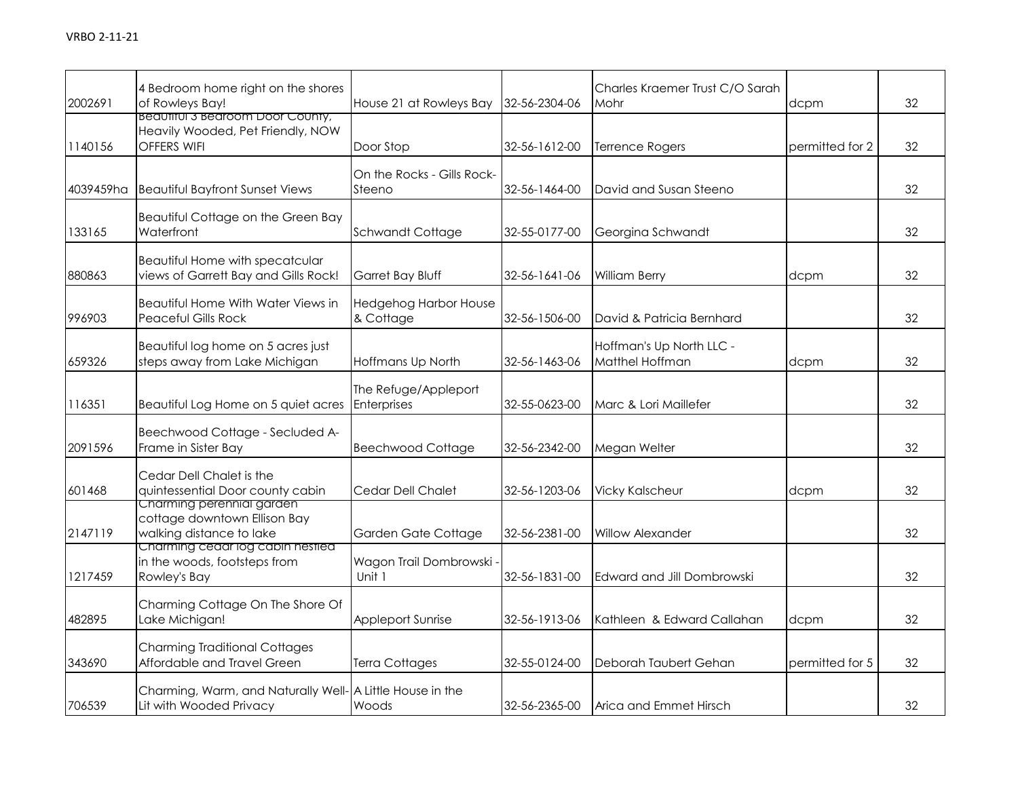| 2002691   | 4 Bedroom home right on the shores<br>of Rowleys Bay!                                 | House 21 at Rowleys Bay              | 32-56-2304-06 | Charles Kraemer Trust C/O Sarah<br>Mohr     | dcpm            | 32 |
|-----------|---------------------------------------------------------------------------------------|--------------------------------------|---------------|---------------------------------------------|-----------------|----|
| 1140156   | Beautiful 3 Bearoom Door County,<br>Heavily Wooded, Pet Friendly, NOW<br>OFFERS WIFI  | Door Stop                            | 32-56-1612-00 | Terrence Rogers                             | permitted for 2 | 32 |
| 4039459ha | <b>Beautiful Bayfront Sunset Views</b>                                                | On the Rocks - Gills Rock-<br>Steeno | 32-56-1464-00 | David and Susan Steeno                      |                 | 32 |
| 133165    | Beautiful Cottage on the Green Bay<br>Waterfront                                      | <b>Schwandt Cottage</b>              | 32-55-0177-00 | Georgina Schwandt                           |                 | 32 |
| 880863    | Beautiful Home with specatcular<br>views of Garrett Bay and Gills Rock!               | <b>Garret Bay Bluff</b>              | 32-56-1641-06 | William Berry                               | dcpm            | 32 |
| 996903    | <b>Beautiful Home With Water Views in</b><br><b>Peaceful Gills Rock</b>               | Hedgehog Harbor House<br>& Cottage   | 32-56-1506-00 | David & Patricia Bernhard                   |                 | 32 |
| 659326    | Beautiful log home on 5 acres just<br>steps away from Lake Michigan                   | Hoffmans Up North                    | 32-56-1463-06 | Hoffman's Up North LLC -<br>Matthel Hoffman | dcpm            | 32 |
| 116351    | Beautiful Log Home on 5 quiet acres                                                   | The Refuge/Appleport<br>Enterprises  | 32-55-0623-00 | Marc & Lori Maillefer                       |                 | 32 |
| 2091596   | Beechwood Cottage - Secluded A-<br>Frame in Sister Bay                                | <b>Beechwood Cottage</b>             | 32-56-2342-00 | Megan Welter                                |                 | 32 |
| 601468    | Cedar Dell Chalet is the<br>quintessential Door county cabin                          | Cedar Dell Chalet                    | 32-56-1203-06 | <b>Vicky Kalscheur</b>                      | dcpm            | 32 |
| 2147119   | Charming perennial garden<br>cottage downtown Ellison Bay<br>walking distance to lake | Garden Gate Cottage                  | 32-56-2381-00 | <b>Willow Alexander</b>                     |                 | 32 |
| 1217459   | Charming cedar log cabin nestled<br>in the woods, footsteps from<br>Rowley's Bay      | Wagon Trail Dombrowski -<br>Unit 1   | 32-56-1831-00 | Edward and Jill Dombrowski                  |                 | 32 |
| 482895    | Charming Cottage On The Shore Of<br>Lake Michigan!                                    | <b>Appleport Sunrise</b>             | 32-56-1913-06 | Kathleen & Edward Callahan                  | dcpm            | 32 |
| 343690    | <b>Charming Traditional Cottages</b><br>Affordable and Travel Green                   | Terra Cottages                       | 32-55-0124-00 | Deborah Taubert Gehan                       | permitted for 5 | 32 |
| 706539    | Charming, Warm, and Naturally Well- A Little House in the<br>Lit with Wooded Privacy  | Woods                                | 32-56-2365-00 | Arica and Emmet Hirsch                      |                 | 32 |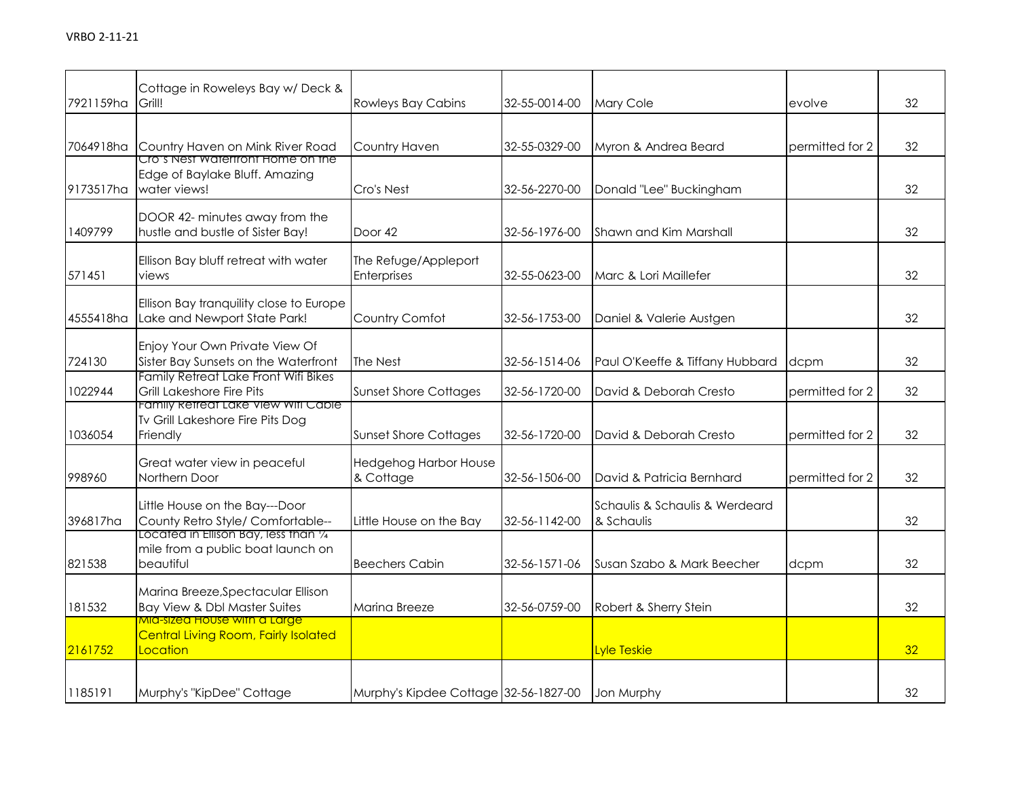| 7921159ha | Cottage in Roweleys Bay w/Deck &<br>Grill!                                                     | <b>Rowleys Bay Cabins</b>             | 32-55-0014-00 | Mary Cole                                    | evolve          | 32 |
|-----------|------------------------------------------------------------------------------------------------|---------------------------------------|---------------|----------------------------------------------|-----------------|----|
|           | 7064918ha Country Haven on Mink River Road                                                     | Country Haven                         | 32-55-0329-00 | Myron & Andrea Beard                         | permitted for 2 | 32 |
| 9173517ha | Cro's Nest waterfront Home on the<br>Edge of Baylake Bluff. Amazing<br>water views!            | Cro's Nest                            | 32-56-2270-00 | Donald "Lee" Buckingham                      |                 | 32 |
| 1409799   | DOOR 42- minutes away from the<br>hustle and bustle of Sister Bay!                             | Door 42                               | 32-56-1976-00 | Shawn and Kim Marshall                       |                 | 32 |
| 571451    | Ellison Bay bluff retreat with water<br>views                                                  | The Refuge/Appleport<br>Enterprises   | 32-55-0623-00 | Marc & Lori Maillefer                        |                 | 32 |
| 4555418ha | Ellison Bay tranquility close to Europe<br>Lake and Newport State Park!                        | Country Comfot                        | 32-56-1753-00 | Daniel & Valerie Austgen                     |                 | 32 |
| 724130    | Enjoy Your Own Private View Of<br>Sister Bay Sunsets on the Waterfront                         | The Nest                              | 32-56-1514-06 | Paul O'Keeffe & Tiffany Hubbard              | dcpm            | 32 |
| 1022944   | Family Retreat Lake Front Wifi Bikes<br>Grill Lakeshore Fire Pits                              | <b>Sunset Shore Cottages</b>          | 32-56-1720-00 | David & Deborah Cresto                       | permitted for 2 | 32 |
| 1036054   | Family Refreat Lake View Wifi Cable<br>Tv Grill Lakeshore Fire Pits Dog<br>Friendly            | <b>Sunset Shore Cottages</b>          | 32-56-1720-00 | David & Deborah Cresto                       | permitted for 2 | 32 |
| 998960    | Great water view in peaceful<br>Northern Door                                                  | Hedgehog Harbor House<br>& Cottage    | 32-56-1506-00 | David & Patricia Bernhard                    | permitted for 2 | 32 |
| 396817ha  | Little House on the Bay---Door<br>County Retro Style/ Comfortable--                            | Little House on the Bay               | 32-56-1142-00 | Schaulis & Schaulis & Werdeard<br>& Schaulis |                 | 32 |
| 821538    | Located in Ellison Bay, less than 1/4<br>mile from a public boat launch on<br>beautiful        | <b>Beechers Cabin</b>                 | 32-56-1571-06 | Susan Szabo & Mark Beecher                   | dcpm            | 32 |
| 181532    | Marina Breeze, Spectacular Ellison<br>Bay View & Dbl Master Suites                             | Marina Breeze                         | 32-56-0759-00 | Robert & Sherry Stein                        |                 | 32 |
| 2161752   | <u>MIA-sizea House with a Large</u><br><b>Central Living Room, Fairly Isolated</b><br>Location |                                       |               | Lyle Teskie                                  |                 | 32 |
| 1185191   | Murphy's "KipDee" Cottage                                                                      | Murphy's Kipdee Cottage 32-56-1827-00 |               | Jon Murphy                                   |                 | 32 |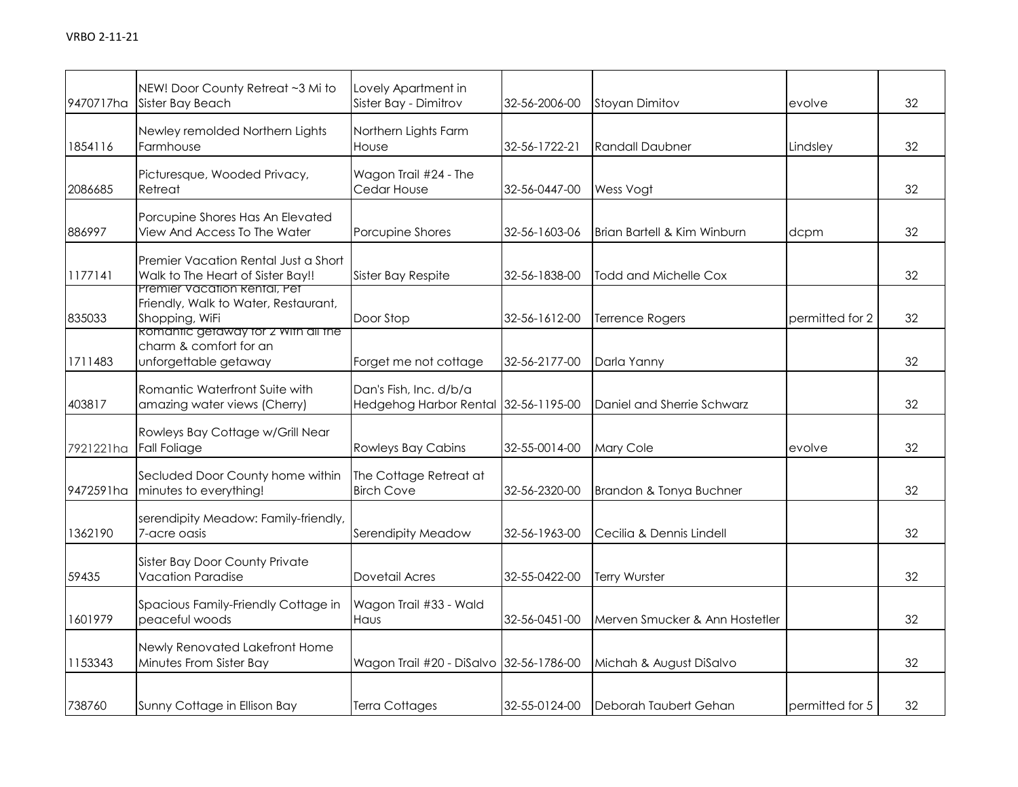| 9470717ha | NEW! Door County Retreat ~3 Mi to<br>Sister Bay Beach                                                     | Lovely Apartment in<br>Sister Bay - Dimitrov                   | 32-56-2006-00 | <b>Stoyan Dimitov</b>          | evolve          | 32 |
|-----------|-----------------------------------------------------------------------------------------------------------|----------------------------------------------------------------|---------------|--------------------------------|-----------------|----|
| 1854116   | Newley remolded Northern Lights<br>Farmhouse                                                              | Northern Lights Farm<br>House                                  | 32-56-1722-21 | <b>Randall Daubner</b>         | Lindsley        | 32 |
| 2086685   | Picturesque, Wooded Privacy,<br>Retreat                                                                   | Wagon Trail #24 - The<br>Cedar House                           | 32-56-0447-00 | Wess Vogt                      |                 | 32 |
| 886997    | Porcupine Shores Has An Elevated<br>View And Access To The Water                                          | Porcupine Shores                                               | 32-56-1603-06 | Brian Bartell & Kim Winburn    | dcpm            | 32 |
| 1177141   | Premier Vacation Rental Just a Short<br>Walk to The Heart of Sister Bay!!<br>Premier Vacation Rental, Pet | Sister Bay Respite                                             | 32-56-1838-00 | <b>Todd and Michelle Cox</b>   |                 | 32 |
| 835033    | Friendly, Walk to Water, Restaurant,<br>Shopping, WiFi<br><b>ROMANTIC GETAWAY TOF 2 WITH AIL THE</b>      | Door Stop                                                      | 32-56-1612-00 | <b>Terrence Rogers</b>         | permitted for 2 | 32 |
| 1711483   | charm & comfort for an<br>unforgettable getaway                                                           | Forget me not cottage                                          | 32-56-2177-00 | Darla Yanny                    |                 | 32 |
| 403817    | Romantic Waterfront Suite with<br>amazing water views (Cherry)                                            | Dan's Fish, Inc. d/b/a<br>Hedgehog Harbor Rental 32-56-1195-00 |               | Daniel and Sherrie Schwarz     |                 | 32 |
| 7921221ha | Rowleys Bay Cottage w/Grill Near<br><b>Fall Foliage</b>                                                   | <b>Rowleys Bay Cabins</b>                                      | 32-55-0014-00 | Mary Cole                      | evolve          | 32 |
| 9472591ha | Secluded Door County home within<br>minutes to everything!                                                | The Cottage Retreat at<br><b>Birch Cove</b>                    | 32-56-2320-00 | Brandon & Tonya Buchner        |                 | 32 |
| 1362190   | serendipity Meadow: Family-friendly,<br>7-acre oasis                                                      | Serendipity Meadow                                             | 32-56-1963-00 | Cecilia & Dennis Lindell       |                 | 32 |
| 59435     | <b>Sister Bay Door County Private</b><br><b>Vacation Paradise</b>                                         | Dovetail Acres                                                 | 32-55-0422-00 | Terry Wurster                  |                 | 32 |
| 1601979   | Spacious Family-Friendly Cottage in<br>peaceful woods                                                     | Wagon Trail #33 - Wald<br>Haus                                 | 32-56-0451-00 | Merven Smucker & Ann Hostetler |                 | 32 |
| 1153343   | Newly Renovated Lakefront Home<br>Minutes From Sister Bay                                                 | Wagon Trail #20 - DiSalvo 32-56-1786-00                        |               | Michah & August DiSalvo        |                 | 32 |
| 738760    | Sunny Cottage in Ellison Bay                                                                              | <b>Terra Cottages</b>                                          | 32-55-0124-00 | Deborah Taubert Gehan          | permitted for 5 | 32 |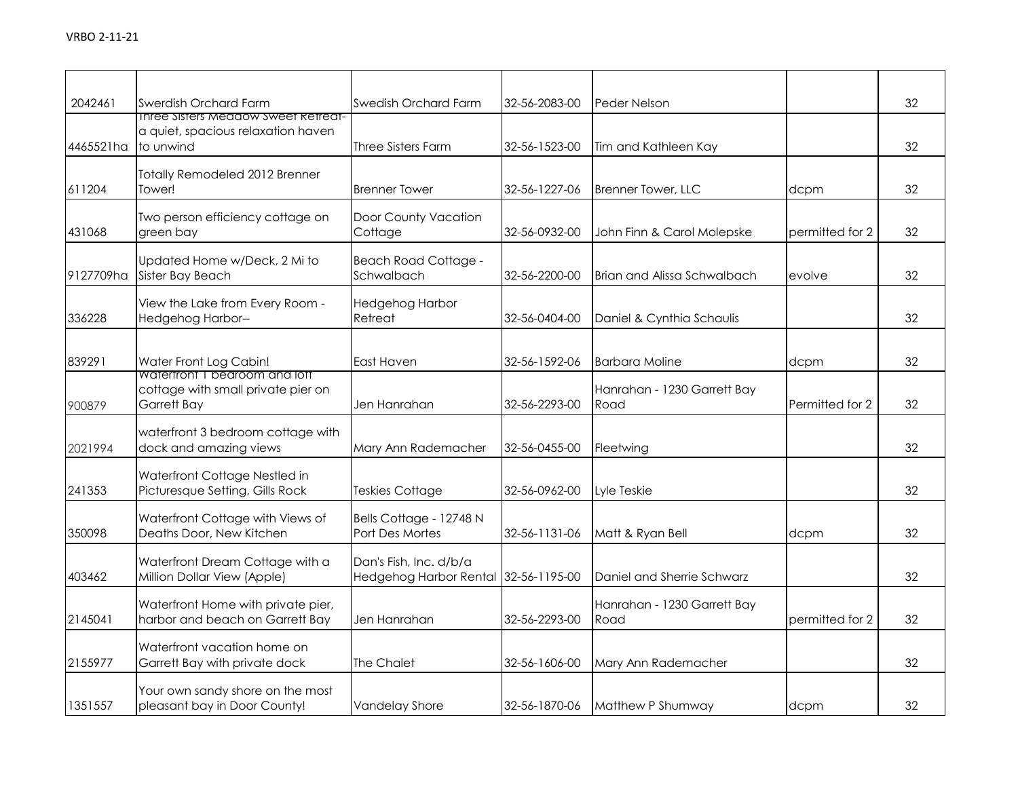| 2042461   | Swerdish Orchard Farm<br><b>Inree Sisters Meadow Sweet Retreat-</b>                | Swedish Orchard Farm                                           | 32-56-2083-00 | Peder Nelson                        |                 | 32 |
|-----------|------------------------------------------------------------------------------------|----------------------------------------------------------------|---------------|-------------------------------------|-----------------|----|
| 4465521ha | a quiet, spacious relaxation haven<br>to unwind                                    | Three Sisters Farm                                             | 32-56-1523-00 | Tim and Kathleen Kay                |                 | 32 |
| 611204    | <b>Totally Remodeled 2012 Brenner</b><br>Tower!                                    | <b>Brenner Tower</b>                                           | 32-56-1227-06 | <b>Brenner Tower, LLC</b>           | dcpm            | 32 |
| 431068    | Two person efficiency cottage on<br>green bay                                      | Door County Vacation<br>Cottage                                | 32-56-0932-00 | John Finn & Carol Molepske          | permitted for 2 | 32 |
| 9127709ha | Updated Home w/Deck, 2 Mi to<br>Sister Bay Beach                                   | <b>Beach Road Cottage -</b><br>Schwalbach                      | 32-56-2200-00 | <b>Brian and Alissa Schwalbach</b>  | evolve          | 32 |
| 336228    | View the Lake from Every Room -<br>Hedgehog Harbor--                               | Hedgehog Harbor<br>Retreat                                     | 32-56-0404-00 | Daniel & Cynthia Schaulis           |                 | 32 |
| 839291    | Water Front Log Cabin!                                                             | East Haven                                                     | 32-56-1592-06 | <b>Barbara Moline</b>               | dcpm            | 32 |
| 900879    | Watertront I bedroom and lott<br>cottage with small private pier on<br>Garrett Bay | Jen Hanrahan                                                   | 32-56-2293-00 | Hanrahan - 1230 Garrett Bay<br>Road | Permitted for 2 | 32 |
| 2021994   | waterfront 3 bedroom cottage with<br>dock and amazing views                        | Mary Ann Rademacher                                            | 32-56-0455-00 | Fleetwing                           |                 | 32 |
| 241353    | Waterfront Cottage Nestled in<br>Picturesque Setting, Gills Rock                   | Teskies Cottage                                                | 32-56-0962-00 | Lyle Teskie                         |                 | 32 |
| 350098    | Waterfront Cottage with Views of<br>Deaths Door, New Kitchen                       | Bells Cottage - 12748 N<br>Port Des Mortes                     | 32-56-1131-06 | Matt & Ryan Bell                    | dcpm            | 32 |
| 403462    | Waterfront Dream Cottage with a<br>Million Dollar View (Apple)                     | Dan's Fish, Inc. d/b/a<br>Hedgehog Harbor Rental 32-56-1195-00 |               | Daniel and Sherrie Schwarz          |                 | 32 |
| 2145041   | Waterfront Home with private pier,<br>harbor and beach on Garrett Bay              | Jen Hanrahan                                                   | 32-56-2293-00 | Hanrahan - 1230 Garrett Bay<br>Road | permitted for 2 | 32 |
| 2155977   | Waterfront vacation home on<br>Garrett Bay with private dock                       | <b>The Chalet</b>                                              | 32-56-1606-00 | Mary Ann Rademacher                 |                 | 32 |
| 1351557   | Your own sandy shore on the most<br>pleasant bay in Door County!                   | <b>Vandelay Shore</b>                                          | 32-56-1870-06 | Matthew P Shumway                   | dcpm            | 32 |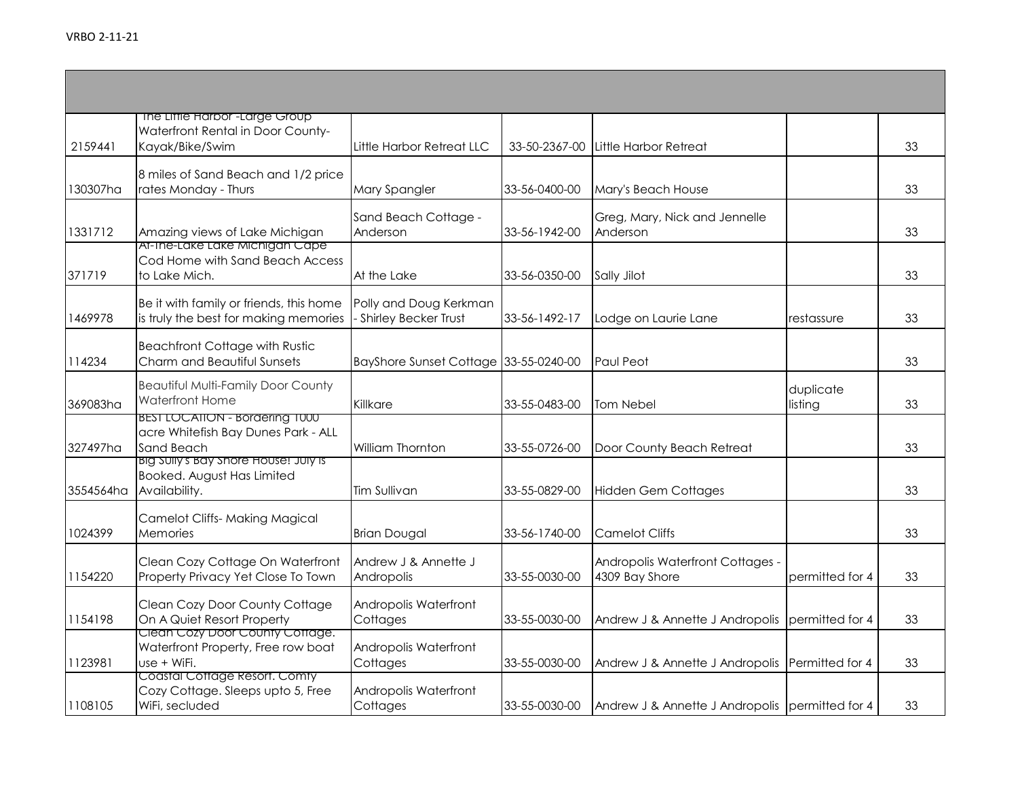| 2159441   | The Liffle Harbor <sup>-Large</sup> Group<br>Waterfront Rental in Door County-<br>Kayak/Bike/Swim | Little Harbor Retreat LLC                             | 33-50-2367-00 | Little Harbor Retreat                              |                      | 33 |
|-----------|---------------------------------------------------------------------------------------------------|-------------------------------------------------------|---------------|----------------------------------------------------|----------------------|----|
| 130307ha  | 8 miles of Sand Beach and 1/2 price<br>rates Monday - Thurs                                       | Mary Spangler                                         | 33-56-0400-00 | Mary's Beach House                                 |                      | 33 |
| 1331712   | Amazing views of Lake Michigan                                                                    | Sand Beach Cottage -<br>Anderson                      | 33-56-1942-00 | Greg, Mary, Nick and Jennelle<br>Anderson          |                      | 33 |
| 371719    | At-Ine-Lake Lake Michigan Cape<br>Cod Home with Sand Beach Access<br>to Lake Mich.                | At the Lake                                           | 33-56-0350-00 | Sally Jilot                                        |                      | 33 |
| 1469978   | Be it with family or friends, this home<br>is truly the best for making memories                  | Polly and Doug Kerkman<br><b>Shirley Becker Trust</b> | 33-56-1492-17 | Lodge on Laurie Lane                               | restassure           | 33 |
| 114234    | <b>Beachfront Cottage with Rustic</b><br>Charm and Beautiful Sunsets                              | BayShore Sunset Cottage 33-55-0240-00                 |               | <b>Paul Peot</b>                                   |                      | 33 |
| 369083ha  | <b>Beautiful Multi-Family Door County</b><br><b>Waterfront Home</b>                               | Killkare                                              | 33-55-0483-00 | Tom Nebel                                          | duplicate<br>listing | 33 |
| 327497ha  | <b>BEST LOCATION - Bordering T000</b><br>acre Whitefish Bay Dunes Park - ALL<br>Sand Beach        | <b>William Thornton</b>                               | 33-55-0726-00 | Door County Beach Retreat                          |                      | 33 |
| 3554564ha | BIG SUILY'S BAY Shore House! JUIY IS<br>Booked. August Has Limited<br>Availability.               | <b>Tim Sullivan</b>                                   | 33-55-0829-00 | <b>Hidden Gem Cottages</b>                         |                      | 33 |
| 1024399   | <b>Camelot Cliffs- Making Magical</b><br>Memories                                                 | <b>Brian Dougal</b>                                   | 33-56-1740-00 | <b>Camelot Cliffs</b>                              |                      | 33 |
| 1154220   | Clean Cozy Cottage On Waterfront<br>Property Privacy Yet Close To Town                            | Andrew J & Annette J<br>Andropolis                    | 33-55-0030-00 | Andropolis Waterfront Cottages -<br>4309 Bay Shore | permitted for 4      | 33 |
| 1154198   | Clean Cozy Door County Cottage<br>On A Quiet Resort Property                                      | Andropolis Waterfront<br>Cottages                     | 33-55-0030-00 | Andrew J & Annette J Andropolis                    | permitted for 4      | 33 |
| 1123981   | Clean Cozy Door County Cottage.<br>Waterfront Property, Free row boat<br>use + WiFi.              | Andropolis Waterfront<br>Cottages                     | 33-55-0030-00 | Andrew J & Annette J Andropolis Permitted for 4    |                      | 33 |
| 1108105   | Coastal Cottage Resort. Comty<br>Cozy Cottage. Sleeps upto 5, Free<br>WiFi, secluded              | Andropolis Waterfront<br>Cottages                     | 33-55-0030-00 | Andrew J & Annette J Andropolis permitted for 4    |                      | 33 |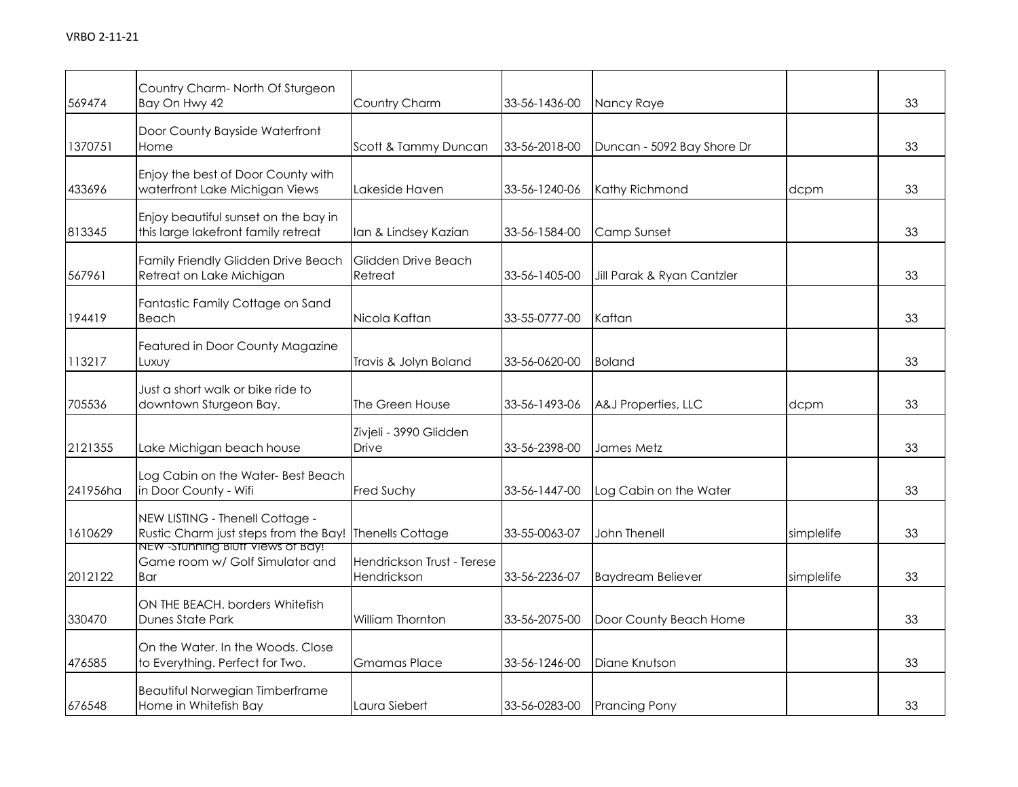| 569474   | Country Charm-North Of Sturgeon<br>Bay On Hwy 42                            | Country Charm                             | 33-56-1436-00 | Nancy Raye                 |            | 33 |
|----------|-----------------------------------------------------------------------------|-------------------------------------------|---------------|----------------------------|------------|----|
| 1370751  | Door County Bayside Waterfront<br>Home                                      | Scott & Tammy Duncan                      | 33-56-2018-00 | Duncan - 5092 Bay Shore Dr |            | 33 |
| 433696   | Enjoy the best of Door County with<br>waterfront Lake Michigan Views        | Lakeside Haven                            | 33-56-1240-06 | Kathy Richmond             | dcpm       | 33 |
| 813345   | Enjoy beautiful sunset on the bay in<br>this large lakefront family retreat | Ian & Lindsey Kazian                      | 33-56-1584-00 | Camp Sunset                |            | 33 |
| 567961   | Family Friendly Glidden Drive Beach<br>Retreat on Lake Michigan             | Glidden Drive Beach<br>Retreat            | 33-56-1405-00 | Jill Parak & Ryan Cantzler |            | 33 |
| 194419   | Fantastic Family Cottage on Sand<br>Beach                                   | Nicola Kaftan                             | 33-55-0777-00 | Kaftan                     |            | 33 |
| 113217   | Featured in Door County Magazine<br>Luxuy                                   | Travis & Jolyn Boland                     | 33-56-0620-00 | <b>Boland</b>              |            | 33 |
| 705536   | Just a short walk or bike ride to<br>downtown Sturgeon Bay.                 | The Green House                           | 33-56-1493-06 | A&J Properties, LLC        | dcpm       | 33 |
| 2121355  | Lake Michigan beach house                                                   | Zivjeli - 3990 Glidden<br><b>Drive</b>    | 33-56-2398-00 | James Metz                 |            | 33 |
| 241956ha | Log Cabin on the Water-Best Beach<br>in Door County - Wifi                  | Fred Suchy                                | 33-56-1447-00 | Log Cabin on the Water     |            | 33 |
| 1610629  | NEW LISTING - Thenell Cottage -<br>Rustic Charm just steps from the Bay!    | <b>Thenells Cottage</b>                   | 33-55-0063-07 | <b>John Thenell</b>        | simplelife | 33 |
| 2012122  | NEW -Stunning Blutt Views of Bay!<br>Game room w/ Golf Simulator and<br>Bar | Hendrickson Trust - Terese<br>Hendrickson | 33-56-2236-07 | <b>Baydream Believer</b>   | simplelife | 33 |
| 330470   | ON THE BEACH. borders Whitefish<br>Dunes State Park                         | William Thornton                          | 33-56-2075-00 | Door County Beach Home     |            | 33 |
| 476585   | On the Water. In the Woods. Close<br>to Everything. Perfect for Two.        | <b>Gmamas Place</b>                       | 33-56-1246-00 | Diane Knutson              |            | 33 |
| 676548   | Beautiful Norwegian Timberframe<br>Home in Whitefish Bay                    | Laura Siebert                             | 33-56-0283-00 | <b>Prancing Pony</b>       |            | 33 |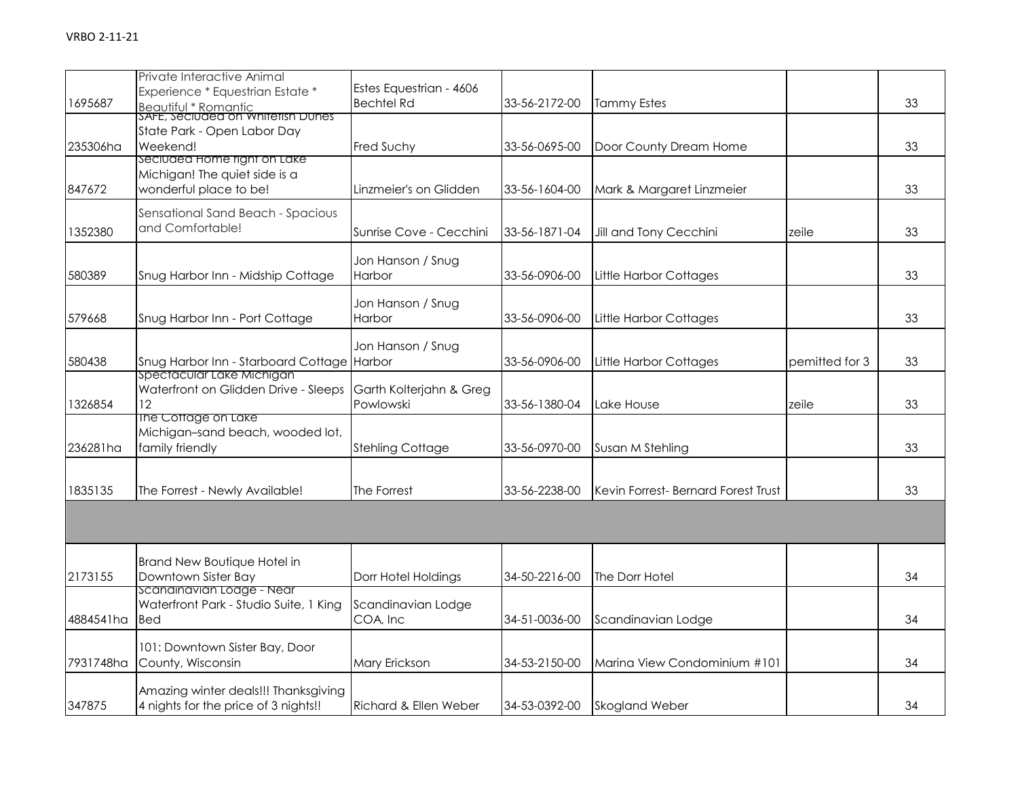| 1695687   | Private Interactive Animal<br>Experience * Equestrian Estate *<br><b>Beautiful * Romantic</b> | Estes Equestrian - 4606<br><b>Bechtel Rd</b> | 33-56-2172-00 | <b>Tammy Estes</b>                 |                | 33 |
|-----------|-----------------------------------------------------------------------------------------------|----------------------------------------------|---------------|------------------------------------|----------------|----|
| 235306ha  | SAFE, Seciuded on Whitefish Dunes<br>State Park - Open Labor Day<br>Weekend!                  | Fred Suchy                                   | 33-56-0695-00 | Door County Dream Home             |                | 33 |
| 847672    | seciuded Home right on Lake<br>Michigan! The quiet side is a<br>wonderful place to be!        | Linzmeier's on Glidden                       | 33-56-1604-00 | Mark & Margaret Linzmeier          |                | 33 |
| 1352380   | Sensational Sand Beach - Spacious<br>and Comfortable!                                         | Sunrise Cove - Cecchini                      | 33-56-1871-04 | Jill and Tony Cecchini             | zeile          | 33 |
| 580389    | Snug Harbor Inn - Midship Cottage                                                             | Jon Hanson / Snug<br>Harbor                  | 33-56-0906-00 | <b>Little Harbor Cottages</b>      |                | 33 |
| 579668    | Snug Harbor Inn - Port Cottage                                                                | Jon Hanson / Snug<br>Harbor                  | 33-56-0906-00 | Little Harbor Cottages             |                | 33 |
| 580438    | Snug Harbor Inn - Starboard Cottage                                                           | Jon Hanson / Snug<br>Harbor                  | 33-56-0906-00 | <b>Little Harbor Cottages</b>      | pemitted for 3 | 33 |
| 1326854   | Spectacular Lake Michigan<br>Waterfront on Glidden Drive - Sleeps<br>12.                      | Garth Kolterjahn & Greg<br>Powlowski         | 33-56-1380-04 | Lake House                         | zeile          | 33 |
| 236281ha  | The Cottage on Lake<br>Michigan-sand beach, wooded lot,<br>family friendly                    | <b>Stehling Cottage</b>                      | 33-56-0970-00 | Susan M Stehling                   |                | 33 |
| 1835135   | The Forrest - Newly Available!                                                                | The Forrest                                  | 33-56-2238-00 | Kevin Forrest-Bernard Forest Trust |                | 33 |
|           |                                                                                               |                                              |               |                                    |                |    |
| 2173155   | Brand New Boutique Hotel in<br>Downtown Sister Bay                                            | Dorr Hotel Holdings                          | 34-50-2216-00 | The Dorr Hotel                     |                | 34 |
| 4884541ha | scanainavian Loage - Near<br>Waterfront Park - Studio Suite, 1 King<br><b>Bed</b>             | Scandinavian Lodge<br>COA, Inc               | 34-51-0036-00 | Scandinavian Lodge                 |                | 34 |
| 7931748ha | 101: Downtown Sister Bay, Door<br>County, Wisconsin                                           | Mary Erickson                                | 34-53-2150-00 | Marina View Condominium #101       |                | 34 |
| 347875    | Amazing winter deals!!! Thanksgiving<br>4 nights for the price of 3 nights!!                  | Richard & Ellen Weber                        | 34-53-0392-00 | <b>Skogland Weber</b>              |                | 34 |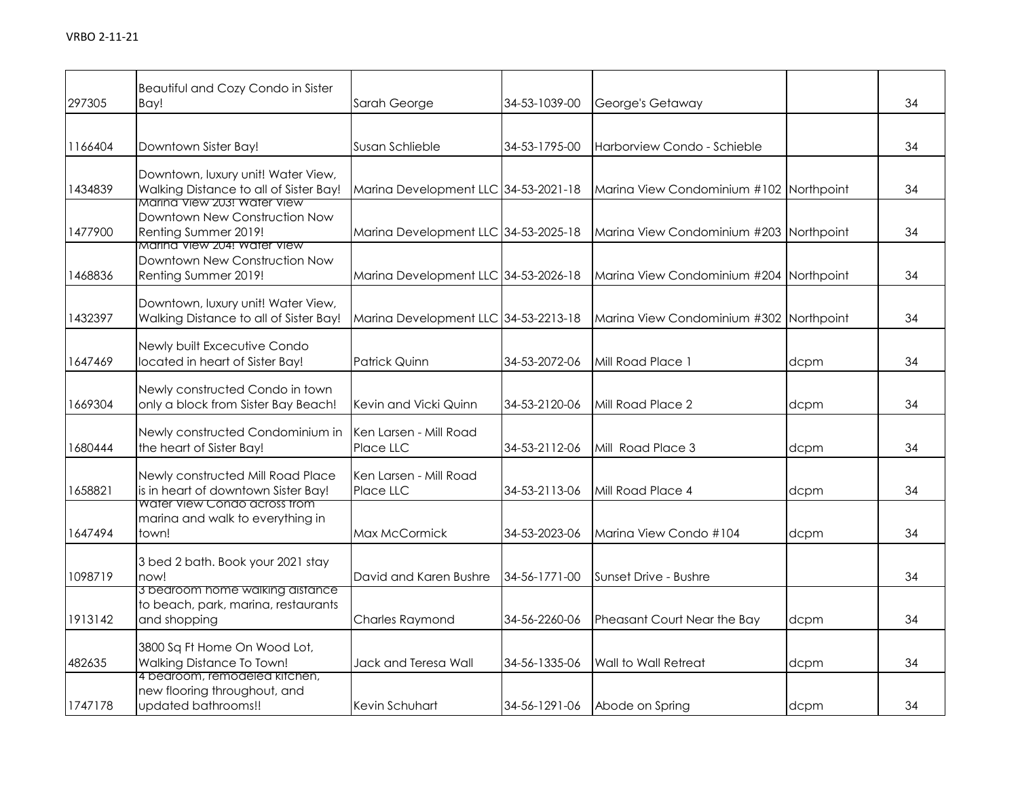| 297305  | Beautiful and Cozy Condo in Sister<br>Bay!                                             | Sarah George                         | 34-53-1039-00 | George's Getaway                        |      | 34 |
|---------|----------------------------------------------------------------------------------------|--------------------------------------|---------------|-----------------------------------------|------|----|
| 1166404 | Downtown Sister Bay!                                                                   | Susan Schlieble                      | 34-53-1795-00 | Harborview Condo - Schieble             |      | 34 |
| 1434839 | Downtown, luxury unit! Water View,<br>Walking Distance to all of Sister Bay!           | Marina Development LLC 34-53-2021-18 |               | Marina View Condominium #102 Northpoint |      | 34 |
| 1477900 | Marina View 203! Water View<br>Downtown New Construction Now<br>Renting Summer 2019!   | Marina Development LLC 34-53-2025-18 |               | Marina View Condominium #203 Northpoint |      | 34 |
| 1468836 | Marina View 204! Water View<br>Downtown New Construction Now<br>Renting Summer 2019!   | Marina Development LLC 34-53-2026-18 |               | Marina View Condominium #204 Northpoint |      | 34 |
| 1432397 | Downtown, luxury unit! Water View,<br>Walking Distance to all of Sister Bay!           | Marina Development LLC 34-53-2213-18 |               | Marina View Condominium #302 Northpoint |      | 34 |
| 1647469 | Newly built Excecutive Condo<br>located in heart of Sister Bay!                        | <b>Patrick Quinn</b>                 | 34-53-2072-06 | Mill Road Place 1                       | dcpm | 34 |
| 1669304 | Newly constructed Condo in town<br>only a block from Sister Bay Beach!                 | Kevin and Vicki Quinn                | 34-53-2120-06 | Mill Road Place 2                       | dcpm | 34 |
| 1680444 | Newly constructed Condominium in<br>the heart of Sister Bay!                           | Ken Larsen - Mill Road<br>Place LLC  | 34-53-2112-06 | Mill Road Place 3                       | dcpm | 34 |
| 1658821 | Newly constructed Mill Road Place<br>is in heart of downtown Sister Bay!               | Ken Larsen - Mill Road<br>Place LLC  | 34-53-2113-06 | Mill Road Place 4                       | dcpm | 34 |
| 1647494 | Water View Condo across from<br>marina and walk to everything in<br>town!              | Max McCormick                        | 34-53-2023-06 | Marina View Condo #104                  | dcpm | 34 |
| 1098719 | 3 bed 2 bath. Book your 2021 stay<br>now!                                              | David and Karen Bushre               | 34-56-1771-00 | Sunset Drive - Bushre                   |      | 34 |
| 1913142 | 3 bearoom nome waiking aistance<br>to beach, park, marina, restaurants<br>and shopping | Charles Raymond                      | 34-56-2260-06 | Pheasant Court Near the Bay             | dcpm | 34 |
| 482635  | 3800 Sq Ft Home On Wood Lot,<br>Walking Distance To Town!                              | Jack and Teresa Wall                 | 34-56-1335-06 | Wall to Wall Retreat                    | dcpm | 34 |
| 1747178 | 4 bedroom, remodeled kitchen,<br>new flooring throughout, and<br>updated bathrooms!!   | Kevin Schuhart                       | 34-56-1291-06 | Abode on Spring                         | dcpm | 34 |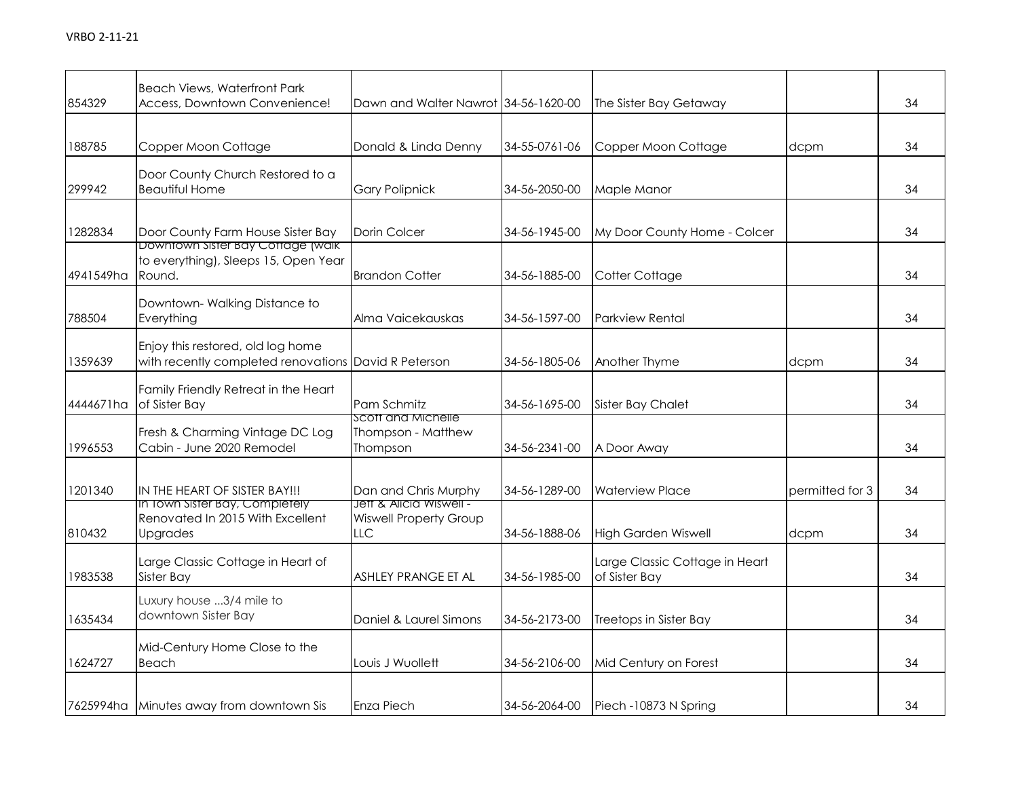| 854329    | <b>Beach Views, Waterfront Park</b><br>Access, Downtown Convenience!                      | Dawn and Walter Nawrot 34-56-1620-00                            |               | The Sister Bay Getaway                          |                 | 34 |
|-----------|-------------------------------------------------------------------------------------------|-----------------------------------------------------------------|---------------|-------------------------------------------------|-----------------|----|
| 188785    | Copper Moon Cottage                                                                       | Donald & Linda Denny                                            | 34-55-0761-06 | Copper Moon Cottage                             | dcpm            | 34 |
| 299942    | Door County Church Restored to a<br><b>Beautiful Home</b>                                 | <b>Gary Polipnick</b>                                           | 34-56-2050-00 | Maple Manor                                     |                 | 34 |
| 1282834   | Door County Farm House Sister Bay                                                         | Dorin Colcer                                                    | 34-56-1945-00 | My Door County Home - Colcer                    |                 | 34 |
| 4941549ha | Downtown Sister Bay Cottage (walk)<br>to everything), Sleeps 15, Open Year<br>Round.      | <b>Brandon Cotter</b>                                           | 34-56-1885-00 | Cotter Cottage                                  |                 | 34 |
| 788504    | Downtown-Walking Distance to<br>Everything                                                | Alma Vaicekauskas                                               | 34-56-1597-00 | <b>Parkview Rental</b>                          |                 | 34 |
| 1359639   | Enjoy this restored, old log home<br>with recently completed renovations David R Peterson |                                                                 | 34-56-1805-06 | Another Thyme                                   | dcpm            | 34 |
| 4444671ha | Family Friendly Retreat in the Heart<br>of Sister Bay                                     | Pam Schmitz                                                     | 34-56-1695-00 | <b>Sister Bay Chalet</b>                        |                 | 34 |
| 1996553   | Fresh & Charming Vintage DC Log<br>Cabin - June 2020 Remodel                              | Scott and Michelle<br>Thompson - Matthew<br>Thompson            | 34-56-2341-00 | A Door Away                                     |                 | 34 |
| 1201340   | IN THE HEART OF SISTER BAY!!!                                                             | Dan and Chris Murphy                                            | 34-56-1289-00 | <b>Waterview Place</b>                          | permitted for 3 | 34 |
| 810432    | In Town Sister Bay, Completely<br>Renovated In 2015 With Excellent<br><b>Upgrades</b>     | Jett & Alicia Wiswell -<br><b>Wiswell Property Group</b><br>LLC | 34-56-1888-06 | <b>High Garden Wiswell</b>                      | dcpm            | 34 |
| 1983538   | Large Classic Cottage in Heart of<br>Sister Bay                                           | ASHLEY PRANGE ET AL                                             | 34-56-1985-00 | Large Classic Cottage in Heart<br>of Sister Bay |                 | 34 |
| 1635434   | Luxury house 3/4 mile to<br>downtown Sister Bay                                           | Daniel & Laurel Simons                                          | 34-56-2173-00 | Treetops in Sister Bay                          |                 | 34 |
| 1624727   | Mid-Century Home Close to the<br>Beach                                                    | Louis J Wuollett                                                | 34-56-2106-00 | Mid Century on Forest                           |                 | 34 |
|           | 7625994ha Minutes away from downtown Sis                                                  | Enza Piech                                                      | 34-56-2064-00 | Piech -10873 N Spring                           |                 | 34 |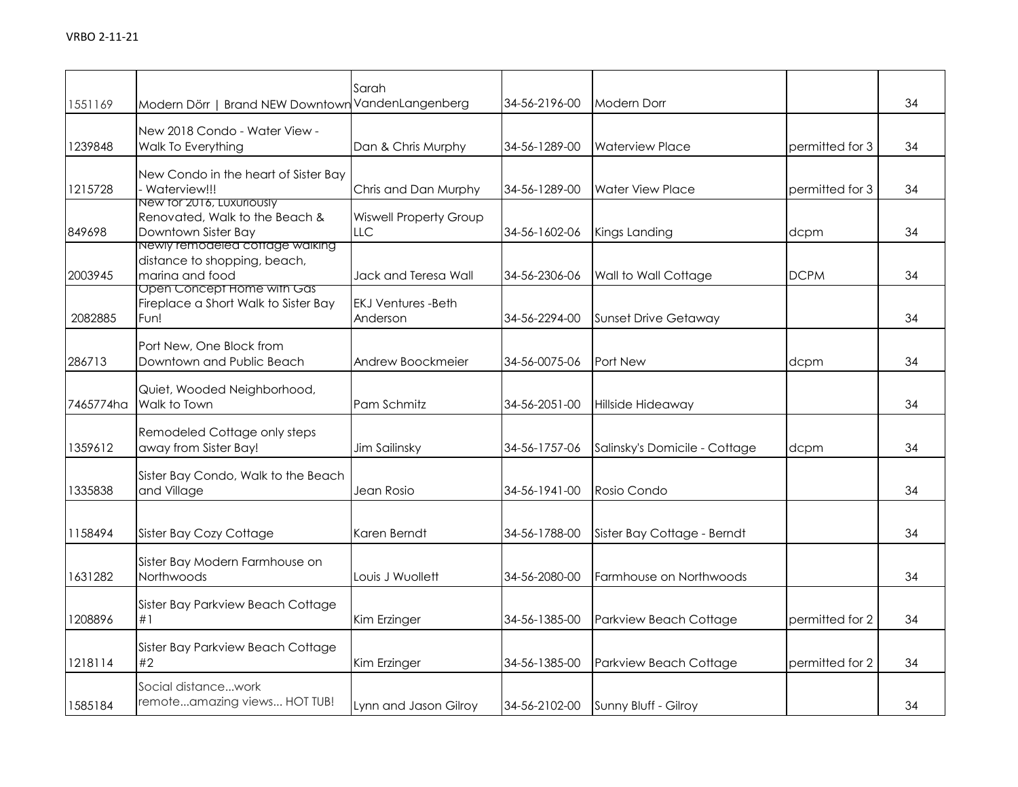|           |                                                       | Sarah                                |               |                               |                 |    |
|-----------|-------------------------------------------------------|--------------------------------------|---------------|-------------------------------|-----------------|----|
| 1551169   | Modern Dörr   Brand NEW Downtown VandenLangenberg     |                                      | 34-56-2196-00 | <b>Modern Dorr</b>            |                 | 34 |
|           | New 2018 Condo - Water View -                         |                                      |               |                               |                 |    |
| 1239848   | Walk To Everything                                    | Dan & Chris Murphy                   | 34-56-1289-00 | <b>Waterview Place</b>        | permitted for 3 | 34 |
|           | New Condo in the heart of Sister Bay                  |                                      |               |                               |                 |    |
| 1215728   | - Waterview!!!                                        | Chris and Dan Murphy                 | 34-56-1289-00 | <b>Water View Place</b>       | permitted for 3 | 34 |
|           | New for 2016, Luxuriously                             |                                      |               |                               |                 |    |
| 849698    | Renovated, Walk to the Beach &<br>Downtown Sister Bay | <b>Wiswell Property Group</b><br>LLC | 34-56-1602-06 | Kings Landing                 | dcpm            | 34 |
|           | Newly remodeled cottage walking                       |                                      |               |                               |                 |    |
|           | distance to shopping, beach,                          |                                      |               |                               |                 |    |
| 2003945   | marina and food<br>Open Concept Home with Gas         | Jack and Teresa Wall                 | 34-56-2306-06 | Wall to Wall Cottage          | <b>DCPM</b>     | 34 |
|           | Fireplace a Short Walk to Sister Bay                  | <b>EKJ Ventures -Beth</b>            |               |                               |                 |    |
| 2082885   | Fun!                                                  | Anderson                             | 34-56-2294-00 | <b>Sunset Drive Getaway</b>   |                 | 34 |
|           | Port New, One Block from                              |                                      |               |                               |                 |    |
| 286713    | Downtown and Public Beach                             | Andrew Boockmeier                    | 34-56-0075-06 | Port New                      | dcpm            | 34 |
|           |                                                       |                                      |               |                               |                 |    |
| 7465774ha | Quiet, Wooded Neighborhood,<br>Walk to Town           | Pam Schmitz                          | 34-56-2051-00 | Hillside Hideaway             |                 | 34 |
|           |                                                       |                                      |               |                               |                 |    |
|           | Remodeled Cottage only steps                          |                                      |               |                               |                 |    |
| 1359612   | away from Sister Bay!                                 | Jim Sailinsky                        | 34-56-1757-06 | Salinsky's Domicile - Cottage | dcpm            | 34 |
|           | Sister Bay Condo, Walk to the Beach                   |                                      |               |                               |                 |    |
| 1335838   | and Village                                           | Jean Rosio                           | 34-56-1941-00 | Rosio Condo                   |                 | 34 |
|           |                                                       |                                      |               |                               |                 |    |
| 1158494   | Sister Bay Cozy Cottage                               | Karen Berndt                         | 34-56-1788-00 | Sister Bay Cottage - Berndt   |                 | 34 |
|           | Sister Bay Modern Farmhouse on                        |                                      |               |                               |                 |    |
| 1631282   | Northwoods                                            | Louis J Wuollett                     | 34-56-2080-00 | Farmhouse on Northwoods       |                 | 34 |
|           |                                                       |                                      |               |                               |                 |    |
| 1208896   | Sister Bay Parkview Beach Cottage<br>#1               | Kim Erzinger                         | 34-56-1385-00 | Parkview Beach Cottage        | permitted for 2 | 34 |
|           |                                                       |                                      |               |                               |                 |    |
|           | Sister Bay Parkview Beach Cottage                     |                                      |               |                               |                 |    |
| 1218114   | #2                                                    | Kim Erzinger                         | 34-56-1385-00 | Parkview Beach Cottage        | permitted for 2 | 34 |
|           | Social distancework                                   |                                      |               |                               |                 |    |
| 1585184   | remoteamazing views HOT TUB!                          | Lynn and Jason Gilroy                | 34-56-2102-00 | Sunny Bluff - Gilroy          |                 | 34 |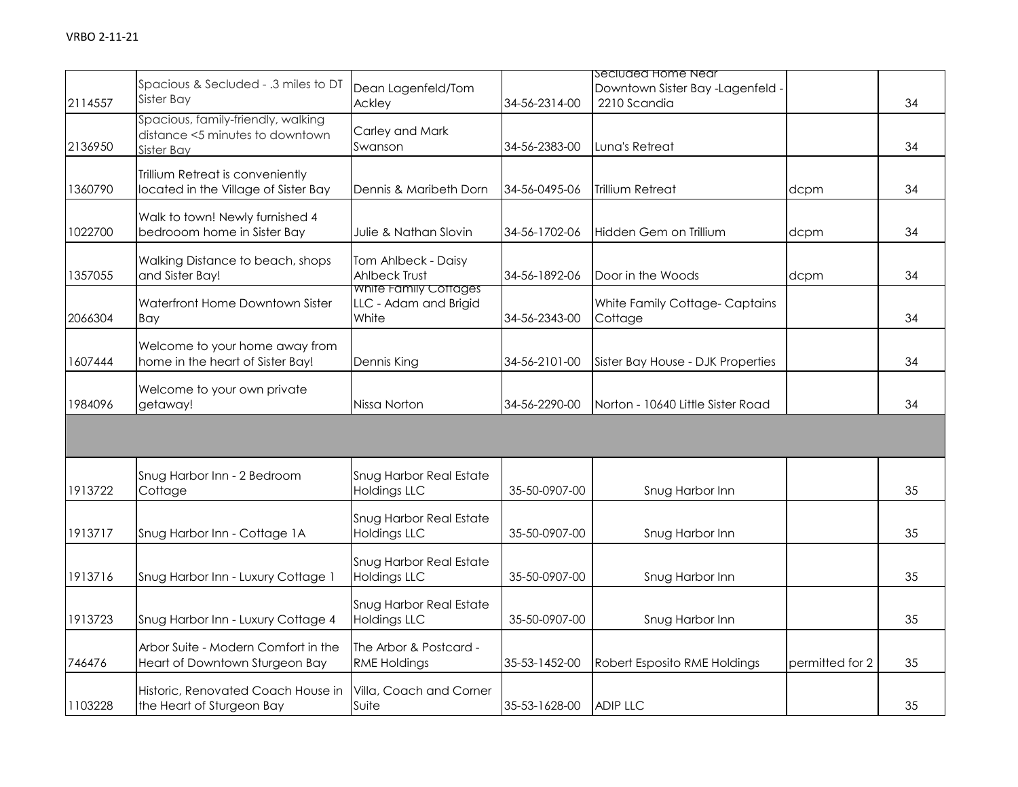| 2114557 | Spacious & Secluded - .3 miles to DT<br>Sister Bay                                  | Dean Lagenfeld/Tom<br>Ackley                            | 34-56-2314-00 | Seciuded Home Near<br>Downtown Sister Bay -Lagenfeld -<br>2210 Scandia |                 | 34 |
|---------|-------------------------------------------------------------------------------------|---------------------------------------------------------|---------------|------------------------------------------------------------------------|-----------------|----|
| 2136950 | Spacious, family-friendly, walking<br>distance <5 minutes to downtown<br>Sister Bay | Carley and Mark<br>Swanson                              | 34-56-2383-00 | Luna's Retreat                                                         |                 | 34 |
| 1360790 | Trillium Retreat is conveniently<br>located in the Village of Sister Bay            | Dennis & Maribeth Dorn                                  | 34-56-0495-06 | Trillium Retreat                                                       | dcpm            | 34 |
| 1022700 | Walk to town! Newly furnished 4<br>bedrooom home in Sister Bay                      | Julie & Nathan Slovin                                   | 34-56-1702-06 | Hidden Gem on Trillium                                                 | dcpm            | 34 |
| 1357055 | Walking Distance to beach, shops<br>and Sister Bay!                                 | Tom Ahlbeck - Daisy<br><b>Ahlbeck Trust</b>             | 34-56-1892-06 | Door in the Woods                                                      | dcpm            | 34 |
| 2066304 | Waterfront Home Downtown Sister<br>Bay                                              | White Family Cottages<br>LLC - Adam and Brigid<br>White | 34-56-2343-00 | White Family Cottage-Captains<br>Cottage                               |                 | 34 |
| 1607444 | Welcome to your home away from<br>home in the heart of Sister Bay!                  | Dennis King                                             | 34-56-2101-00 | Sister Bay House - DJK Properties                                      |                 | 34 |
| 1984096 | Welcome to your own private<br>getaway!                                             | Nissa Norton                                            | 34-56-2290-00 | Norton - 10640 Little Sister Road                                      |                 | 34 |
|         |                                                                                     |                                                         |               |                                                                        |                 |    |
| 1913722 | Snug Harbor Inn - 2 Bedroom<br>Cottage                                              | Snug Harbor Real Estate<br><b>Holdings LLC</b>          | 35-50-0907-00 | Snug Harbor Inn                                                        |                 | 35 |
| 1913717 | Snug Harbor Inn - Cottage 1A                                                        | Snug Harbor Real Estate<br><b>Holdings LLC</b>          | 35-50-0907-00 | Snug Harbor Inn                                                        |                 | 35 |
| 1913716 | Snug Harbor Inn - Luxury Cottage 1                                                  | Snug Harbor Real Estate<br><b>Holdings LLC</b>          | 35-50-0907-00 | Snug Harbor Inn                                                        |                 | 35 |
| 1913723 | Snug Harbor Inn - Luxury Cottage 4                                                  | Snug Harbor Real Estate<br><b>Holdings LLC</b>          | 35-50-0907-00 | Snug Harbor Inn                                                        |                 | 35 |
| 746476  | Arbor Suite - Modern Comfort in the<br>Heart of Downtown Sturgeon Bay               | The Arbor & Postcard -<br><b>RME Holdings</b>           | 35-53-1452-00 | Robert Esposito RME Holdings                                           | permitted for 2 | 35 |
| 1103228 | Historic, Renovated Coach House in<br>the Heart of Sturgeon Bay                     | Villa, Coach and Corner<br>Suite                        | 35-53-1628-00 | <b>ADIP LLC</b>                                                        |                 | 35 |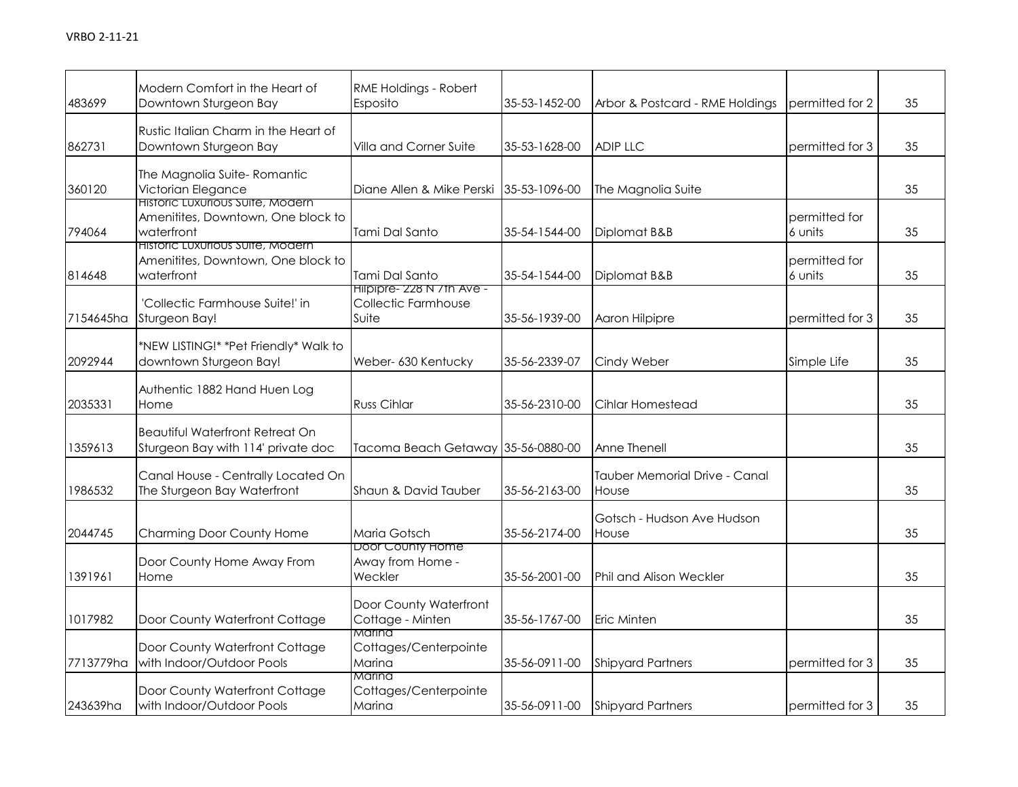| 483699    | Modern Comfort in the Heart of<br>Downtown Sturgeon Bay                                     | RME Holdings - Robert<br>Esposito                         | 35-53-1452-00 | Arbor & Postcard - RME Holdings        | permitted for 2          | 35 |
|-----------|---------------------------------------------------------------------------------------------|-----------------------------------------------------------|---------------|----------------------------------------|--------------------------|----|
| 862731    | Rustic Italian Charm in the Heart of<br>Downtown Sturgeon Bay                               | Villa and Corner Suite                                    | 35-53-1628-00 | <b>ADIP LLC</b>                        | permitted for 3          | 35 |
| 360120    | The Magnolia Suite-Romantic<br>Victorian Elegance                                           | Diane Allen & Mike Perski                                 | 35-53-1096-00 | The Magnolia Suite                     |                          | 35 |
| 794064    | <b>Historic Luxurious Suite, Modern</b><br>Amenitites, Downtown, One block to<br>waterfront | Tami Dal Santo                                            | 35-54-1544-00 | Diplomat B&B                           | permitted for<br>6 units | 35 |
| 814648    | Historic Luxurious Suite, Modern<br>Amenitites, Downtown, One block to<br>waterfront        | Tami Dal Santo                                            | 35-54-1544-00 | Diplomat B&B                           | permitted for<br>6 units | 35 |
| 7154645ha | 'Collectic Farmhouse Suite!' in<br>Sturgeon Bay!                                            | Hilpipre- 228 N /th Ave -<br>Collectic Farmhouse<br>Suite | 35-56-1939-00 | Aaron Hilpipre                         | permitted for 3          | 35 |
| 2092944   | *NEW LISTING!* *Pet Friendly* Walk to<br>downtown Sturgeon Bay!                             | Weber- 630 Kentucky                                       | 35-56-2339-07 | Cindy Weber                            | Simple Life              | 35 |
| 2035331   | Authentic 1882 Hand Huen Log<br>Home                                                        | Russ Cihlar                                               | 35-56-2310-00 | Cihlar Homestead                       |                          | 35 |
| 1359613   | <b>Beautiful Waterfront Retreat On</b><br>Sturgeon Bay with 114' private doc                | Tacoma Beach Getaway 35-56-0880-00                        |               | Anne Thenell                           |                          | 35 |
| 1986532   | Canal House - Centrally Located On<br>The Sturgeon Bay Waterfront                           | Shaun & David Tauber                                      | 35-56-2163-00 | Tauber Memorial Drive - Canal<br>House |                          | 35 |
| 2044745   | Charming Door County Home                                                                   | Maria Gotsch                                              | 35-56-2174-00 | Gotsch - Hudson Ave Hudson<br>House    |                          | 35 |
| 1391961   | Door County Home Away From<br>Home                                                          | Door County Home<br>Away from Home -<br>Weckler           | 35-56-2001-00 | <b>Phil and Alison Weckler</b>         |                          | 35 |
| 1017982   | Door County Waterfront Cottage                                                              | Door County Waterfront<br>Cottage - Minten                | 35-56-1767-00 | Eric Minten                            |                          | 35 |
| 7713779ha | Door County Waterfront Cottage<br>with Indoor/Outdoor Pools                                 | Marina<br>Cottages/Centerpointe<br>Marina                 | 35-56-0911-00 | <b>Shipyard Partners</b>               | permitted for 3          | 35 |
| 243639ha  | Door County Waterfront Cottage<br>with Indoor/Outdoor Pools                                 | Marina<br>Cottages/Centerpointe<br>Marina                 | 35-56-0911-00 | <b>Shipyard Partners</b>               | permitted for 3          | 35 |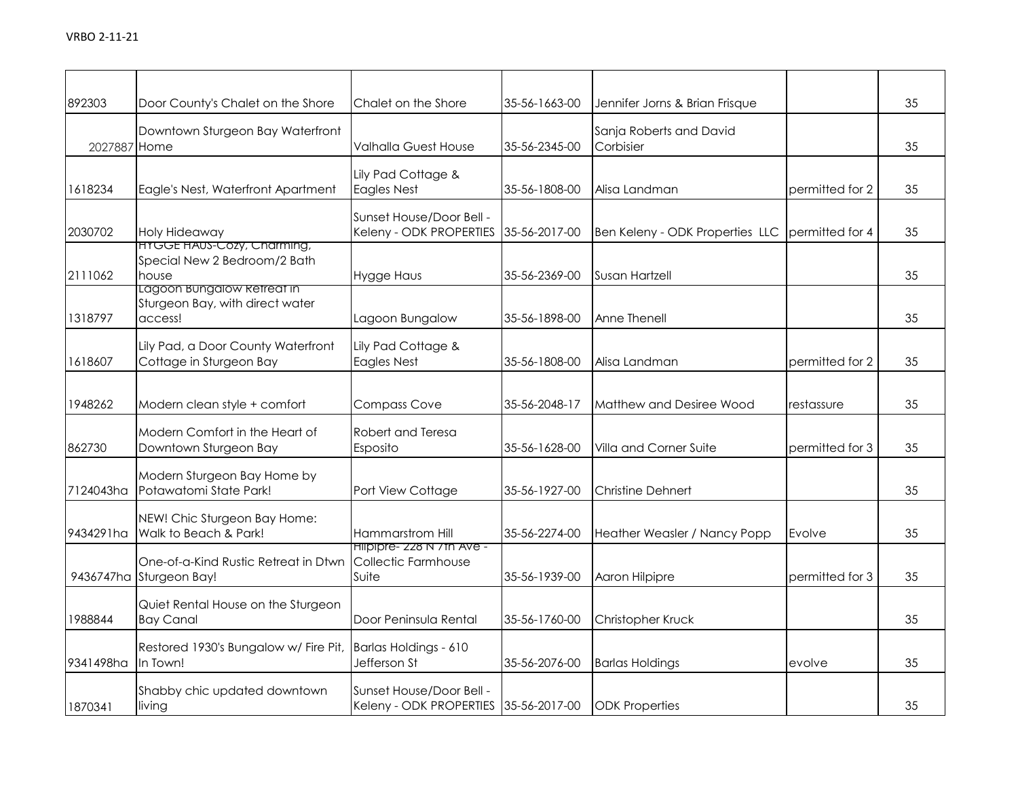| 892303       | Door County's Chalet on the Shore                                   | Chalet on the Shore                                               | 35-56-1663-00 | Jennifer Jorns & Brian Frisque       |                 | 35 |
|--------------|---------------------------------------------------------------------|-------------------------------------------------------------------|---------------|--------------------------------------|-----------------|----|
| 2027887 Home | Downtown Sturgeon Bay Waterfront                                    | Valhalla Guest House                                              | 35-56-2345-00 | Sanja Roberts and David<br>Corbisier |                 | 35 |
| 1618234      | Eagle's Nest, Waterfront Apartment                                  | Lily Pad Cottage &<br><b>Eagles Nest</b>                          | 35-56-1808-00 | Alisa Landman                        | permitted for 2 | 35 |
| 2030702      | Holy Hideaway<br><b>HYGGE HAUS-Cozy, Charming,</b>                  | Sunset House/Door Bell -<br>Keleny - ODK PROPERTIES               | 35-56-2017-00 | Ben Keleny - ODK Properties LLC      | permitted for 4 | 35 |
| 2111062      | Special New 2 Bedroom/2 Bath<br>house<br>Lagoon Bungalow Retreat in | <b>Hygge Haus</b>                                                 | 35-56-2369-00 | Susan Hartzell                       |                 | 35 |
| 1318797      | Sturgeon Bay, with direct water<br>access!                          | Lagoon Bungalow                                                   | 35-56-1898-00 | Anne Thenell                         |                 | 35 |
| 1618607      | Lily Pad, a Door County Waterfront<br>Cottage in Sturgeon Bay       | Lily Pad Cottage &<br><b>Eagles Nest</b>                          | 35-56-1808-00 | Alisa Landman                        | permitted for 2 | 35 |
| 1948262      | Modern clean style + comfort                                        | <b>Compass Cove</b>                                               | 35-56-2048-17 | Matthew and Desiree Wood             | restassure      | 35 |
| 862730       | Modern Comfort in the Heart of<br>Downtown Sturgeon Bay             | Robert and Teresa<br>Esposito                                     | 35-56-1628-00 | Villa and Corner Suite               | permitted for 3 | 35 |
| 7124043ha    | Modern Sturgeon Bay Home by<br>Potawatomi State Park!               | Port View Cottage                                                 | 35-56-1927-00 | <b>Christine Dehnert</b>             |                 | 35 |
| 9434291ha    | NEW! Chic Sturgeon Bay Home:<br>Walk to Beach & Park!               | Hammarstrom Hill<br>Hilpipre- 228 N / th Ave -                    | 35-56-2274-00 | Heather Weasler / Nancy Popp         | Evolve          | 35 |
|              | One-of-a-Kind Rustic Retreat in Dtwn<br>9436747ha Sturgeon Bay!     | Collectic Farmhouse<br>Suite                                      | 35-56-1939-00 | Aaron Hilpipre                       | permitted for 3 | 35 |
| 1988844      | Quiet Rental House on the Sturgeon<br><b>Bay Canal</b>              | Door Peninsula Rental                                             | 35-56-1760-00 | Christopher Kruck                    |                 | 35 |
| 9341498ha    | Restored 1930's Bungalow w/ Fire Pit,<br>In Town!                   | Barlas Holdings - 610<br>Jefferson St                             | 35-56-2076-00 | <b>Barlas Holdings</b>               | evolve          | 35 |
| 1870341      | Shabby chic updated downtown<br>living                              | Sunset House/Door Bell -<br>Keleny - ODK PROPERTIES 35-56-2017-00 |               | <b>ODK Properties</b>                |                 | 35 |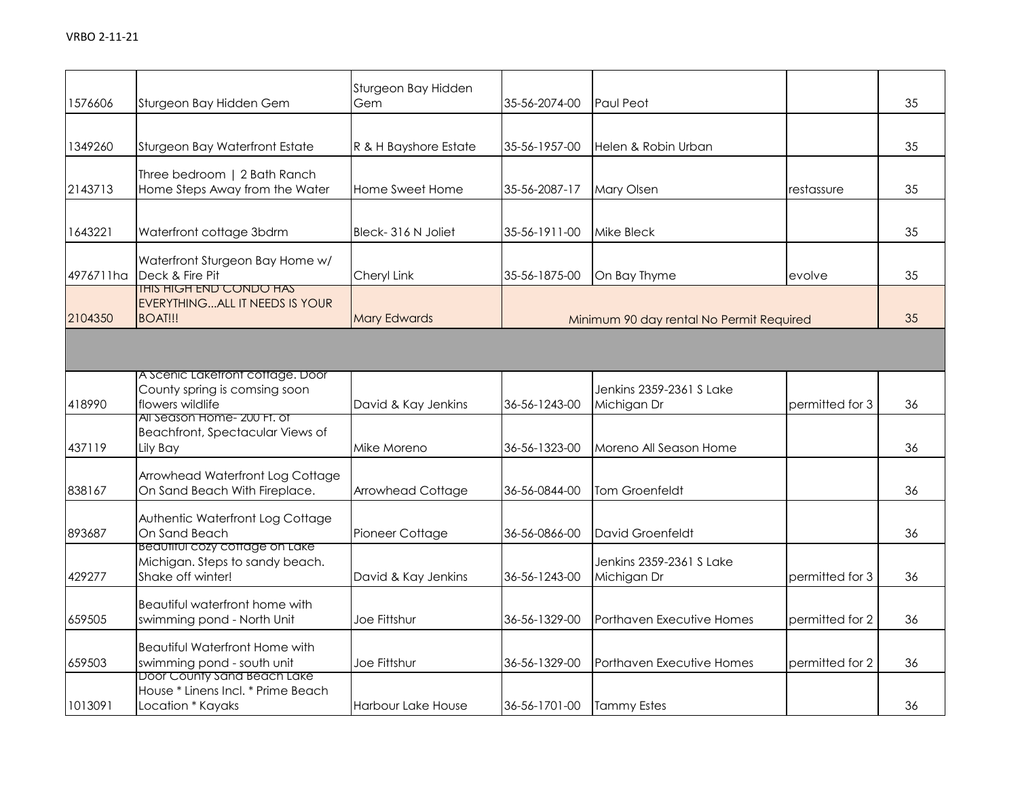| 1576606   | Sturgeon Bay Hidden Gem                                                                   | Sturgeon Bay Hidden<br>Gem | 35-56-2074-00 | Paul Peot                                |                 | 35 |
|-----------|-------------------------------------------------------------------------------------------|----------------------------|---------------|------------------------------------------|-----------------|----|
| 1349260   | Sturgeon Bay Waterfront Estate                                                            | R & H Bayshore Estate      | 35-56-1957-00 | Helen & Robin Urban                      |                 | 35 |
| 2143713   | Three bedroom   2 Bath Ranch<br>Home Steps Away from the Water                            | Home Sweet Home            | 35-56-2087-17 | Mary Olsen                               | restassure      | 35 |
| 1643221   | Waterfront cottage 3bdrm                                                                  | Bleck-316 N Joliet         | 35-56-1911-00 | Mike Bleck                               |                 | 35 |
| 4976711ha | Waterfront Sturgeon Bay Home w/<br>Deck & Fire Pit                                        | Cheryl Link                | 35-56-1875-00 | On Bay Thyme                             | evolve          | 35 |
| 2104350   | <b>THIS HIGH END CONDO HAS</b><br><b>EVERYTHINGALL IT NEEDS IS YOUR</b><br><b>BOAT!!!</b> | <b>Mary Edwards</b>        |               | Minimum 90 day rental No Permit Required |                 | 35 |
|           |                                                                                           |                            |               |                                          |                 |    |
| 418990    | A Scenic Laketront cottage. Door<br>County spring is comsing soon<br>flowers wildlife     | David & Kay Jenkins        | 36-56-1243-00 | Jenkins 2359-2361 S Lake<br>Michigan Dr  | permitted for 3 | 36 |
| 437119    | All Season Home- 200 Ft. of<br>Beachfront, Spectacular Views of<br>Lily Bay               | Mike Moreno                | 36-56-1323-00 | Moreno All Season Home                   |                 | 36 |
| 838167    | Arrowhead Waterfront Log Cottage<br>On Sand Beach With Fireplace.                         | Arrowhead Cottage          | 36-56-0844-00 | Tom Groenfeldt                           |                 | 36 |
| 893687    | Authentic Waterfront Log Cottage<br>On Sand Beach                                         | Pioneer Cottage            | 36-56-0866-00 | David Groenfeldt                         |                 | 36 |
| 429277    | Beaufiful cozy coffage on Lake<br>Michigan. Steps to sandy beach.<br>Shake off winter!    | David & Kay Jenkins        | 36-56-1243-00 | Jenkins 2359-2361 S Lake<br>Michigan Dr  | permitted for 3 | 36 |
| 659505    | Beautiful waterfront home with<br>swimming pond - North Unit                              | Joe Fittshur               | 36-56-1329-00 | Porthaven Executive Homes                | permitted for 2 | 36 |
| 659503    | <b>Beautiful Waterfront Home with</b><br>swimming pond - south unit                       | Joe Fittshur               | 36-56-1329-00 | Porthaven Executive Homes                | permitted for 2 | 36 |
| 1013091   | Door County Sand Beach Lake<br>House * Linens Incl. * Prime Beach<br>Location * Kayaks    | Harbour Lake House         | 36-56-1701-00 | <b>Tammy Estes</b>                       |                 | 36 |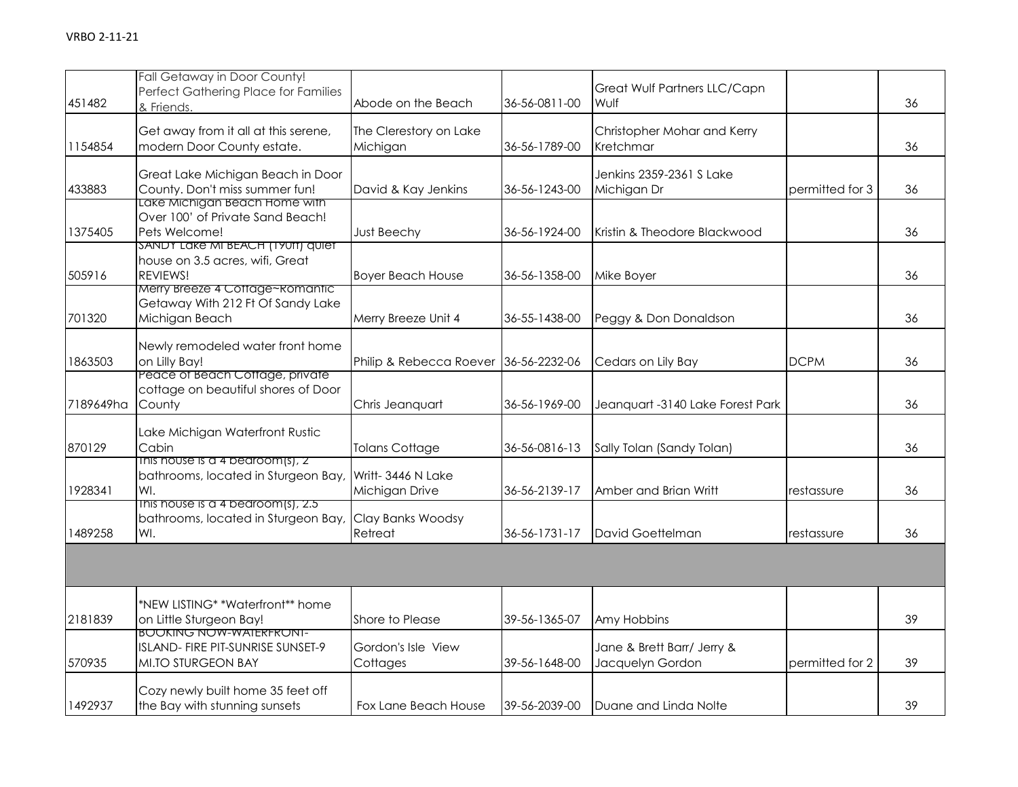| 451482    | Fall Getaway in Door County!<br>Perfect Gathering Place for Families<br>& Friends.                                     | Abode on the Beach                    | 36-56-0811-00 | Great Wulf Partners LLC/Capn<br>Wulf           |                 | 36 |
|-----------|------------------------------------------------------------------------------------------------------------------------|---------------------------------------|---------------|------------------------------------------------|-----------------|----|
| 1154854   | Get away from it all at this serene,<br>modern Door County estate.                                                     | The Clerestory on Lake<br>Michigan    | 36-56-1789-00 | Christopher Mohar and Kerry<br>Kretchmar       |                 | 36 |
| 433883    | Great Lake Michigan Beach in Door<br>County. Don't miss summer fun!                                                    | David & Kay Jenkins                   | 36-56-1243-00 | Jenkins 2359-2361 S Lake<br>Michigan Dr        | permitted for 3 | 36 |
| 1375405   | Lake Michigan Beach Home with<br>Over 100' of Private Sand Beach!<br>Pets Welcome!<br>SANDY LAKE MI BEACH (1901) quiet | <b>Just Beechy</b>                    | 36-56-1924-00 | Kristin & Theodore Blackwood                   |                 | 36 |
| 505916    | house on 3.5 acres, wifi, Great<br>REVIEWS!<br>Merry Breeze 4 Cottage~Romantic                                         | <b>Boyer Beach House</b>              | 36-56-1358-00 | Mike Boyer                                     |                 | 36 |
| 701320    | Getaway With 212 Ft Of Sandy Lake<br>Michigan Beach                                                                    | Merry Breeze Unit 4                   | 36-55-1438-00 | Peggy & Don Donaldson                          |                 | 36 |
| 1863503   | Newly remodeled water front home<br>on Lilly Bay!                                                                      | Philip & Rebecca Roever 36-56-2232-06 |               | Cedars on Lily Bay                             | <b>DCPM</b>     | 36 |
| 7189649ha | Peace of Beach Coffage, private<br>cottage on beautiful shores of Door<br>County                                       | Chris Jeanquart                       | 36-56-1969-00 | Jeanquart -3140 Lake Forest Park               |                 | 36 |
| 870129    | Lake Michigan Waterfront Rustic<br>Cabin                                                                               | <b>Tolans Cottage</b>                 | 36-56-0816-13 | Sally Tolan (Sandy Tolan)                      |                 | 36 |
| 1928341   | This house is a 4 bearoom(s), 2<br>bathrooms, located in Sturgeon Bay,<br>WI.                                          | Writt-3446 N Lake<br>Michigan Drive   | 36-56-2139-17 | Amber and Brian Writt                          | restassure      | 36 |
| 1489258   | This house is a 4 bedroom(s), 2.5<br>bathrooms, located in Sturgeon Bay,<br>WI.                                        | Clay Banks Woodsy<br>Retreat          | 36-56-1731-17 | David Goettelman                               | restassure      | 36 |
|           |                                                                                                                        |                                       |               |                                                |                 |    |
| 2181839   | *NEW LISTING* *Waterfront** home<br>on Little Sturgeon Bay!                                                            | Shore to Please                       | 39-56-1365-07 | Amy Hobbins                                    |                 | 39 |
| 570935    | <b>BOOKING NOW-WAIERFRONI-</b><br>ISLAND- FIRE PIT-SUNRISE SUNSET-9<br>MI.TO STURGEON BAY                              | Gordon's Isle View<br>Cottages        | 39-56-1648-00 | Jane & Brett Barr/ Jerry &<br>Jacquelyn Gordon | permitted for 2 | 39 |
| 1492937   | Cozy newly built home 35 feet off<br>the Bay with stunning sunsets                                                     | Fox Lane Beach House                  | 39-56-2039-00 | Duane and Linda Nolte                          |                 | 39 |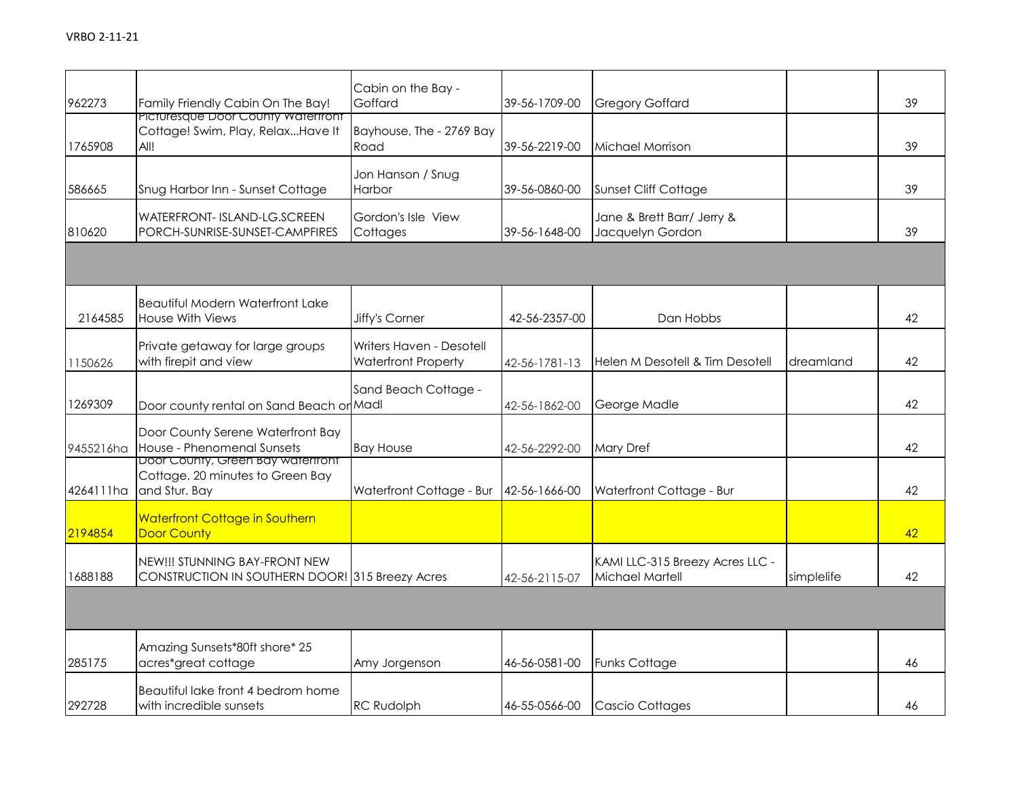| 962273    | Family Friendly Cabin On The Bay!                                                      | Cabin on the Bay -<br>Goffard                          | 39-56-1709-00 | <b>Gregory Goffard</b>                             |            | 39 |
|-----------|----------------------------------------------------------------------------------------|--------------------------------------------------------|---------------|----------------------------------------------------|------------|----|
| 1765908   | Picturesque Door County Waterfront<br>Cottage! Swim, Play, RelaxHave It<br>AII!        | Bayhouse, The - 2769 Bay<br>Road                       | 39-56-2219-00 | Michael Morrison                                   |            | 39 |
| 586665    | Snug Harbor Inn - Sunset Cottage                                                       | Jon Hanson / Snug<br>Harbor                            | 39-56-0860-00 | Sunset Cliff Cottage                               |            | 39 |
| 810620    | WATERFRONT- ISLAND-LG.SCREEN<br>PORCH-SUNRISE-SUNSET-CAMPFIRES                         | Gordon's Isle View<br>Cottages                         | 39-56-1648-00 | Jane & Brett Barr/ Jerry &<br>Jacquelyn Gordon     |            | 39 |
|           |                                                                                        |                                                        |               |                                                    |            |    |
| 2164585   | <b>Beautiful Modern Waterfront Lake</b><br><b>House With Views</b>                     | Jiffy's Corner                                         | 42-56-2357-00 | Dan Hobbs                                          |            | 42 |
| 1150626   | Private getaway for large groups<br>with firepit and view                              | Writers Haven - Desotell<br><b>Waterfront Property</b> | 42-56-1781-13 | Helen M Desotell & Tim Desotell                    | dreamland  | 42 |
| 1269309   | Door county rental on Sand Beach or Madl                                               | Sand Beach Cottage -                                   | 42-56-1862-00 | George Madle                                       |            | 42 |
| 9455216ha | Door County Serene Waterfront Bay<br>House - Phenomenal Sunsets                        | <b>Bay House</b>                                       | 42-56-2292-00 | <b>Mary Dref</b>                                   |            | 42 |
| 4264111ha | Door County, Green Bay waterfront<br>Cottage. 20 minutes to Green Bay<br>and Stur. Bay | Waterfront Cottage - Bur                               | 42-56-1666-00 | Waterfront Cottage - Bur                           |            | 42 |
| 2194854   | <b>Waterfront Cottage in Southern</b><br><b>Door County</b>                            |                                                        |               |                                                    |            | 42 |
| 1688188   | NEW!!! STUNNING BAY-FRONT NEW<br>CONSTRUCTION IN SOUTHERN DOOR! 315 Breezy Acres       |                                                        | 42-56-2115-07 | KAMI LLC-315 Breezy Acres LLC -<br>Michael Martell | simplelife | 42 |
|           |                                                                                        |                                                        |               |                                                    |            |    |
| 285175    | Amazing Sunsets*80ft shore* 25<br>acres*great cottage                                  | Amy Jorgenson                                          | 46-56-0581-00 | Funks Cottage                                      |            | 46 |
| 292728    | Beautiful lake front 4 bedrom home<br>with incredible sunsets                          | <b>RC Rudolph</b>                                      | 46-55-0566-00 | <b>Cascio Cottages</b>                             |            | 46 |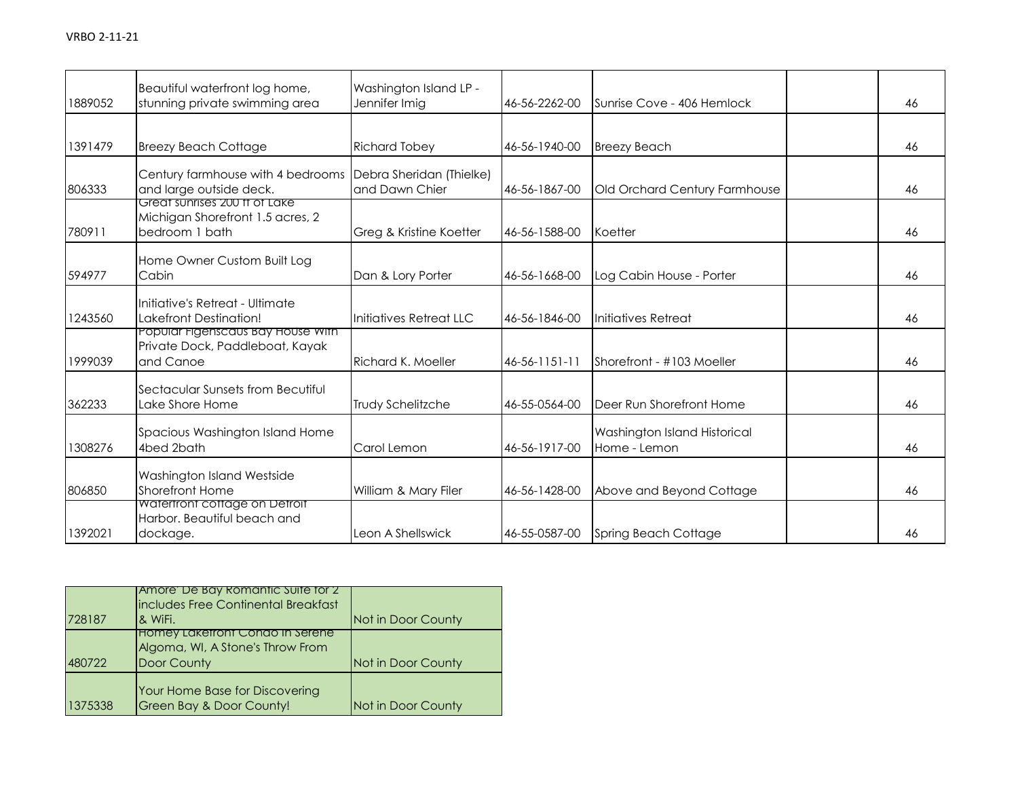| 1889052 | Beautiful waterfront log home,<br>stunning private swimming area                    | Washington Island LP -<br>Jennifer Imig    | 46-56-2262-00 | Sunrise Cove - 406 Hemlock                   | 46 |
|---------|-------------------------------------------------------------------------------------|--------------------------------------------|---------------|----------------------------------------------|----|
| 1391479 | <b>Breezy Beach Cottage</b>                                                         | <b>Richard Tobey</b>                       | 46-56-1940-00 | <b>Breezy Beach</b>                          | 46 |
| 806333  | Century farmhouse with 4 bedrooms<br>and large outside deck.                        | Debra Sheridan (Thielke)<br>and Dawn Chier | 46-56-1867-00 | Old Orchard Century Farmhouse                | 46 |
| 780911  | Great sunrises 200 ft of Lake<br>Michigan Shorefront 1.5 acres, 2<br>bedroom 1 bath | Greg & Kristine Koetter                    | 46-56-1588-00 | Koetter                                      | 46 |
| 594977  | Home Owner Custom Built Log<br>Cabin                                                | Dan & Lory Porter                          | 46-56-1668-00 | Log Cabin House - Porter                     | 46 |
| 1243560 | Initiative's Retreat - Ultimate<br><b>Lakefront Destination!</b>                    | Initiatives Retreat LLC                    | 46-56-1846-00 | Initiatives Retreat                          | 46 |
| 1999039 | Popular Figenscaus Bay House With<br>Private Dock, Paddleboat, Kayak<br>and Canoe   | Richard K. Moeller                         | 46-56-1151-11 | Shorefront - #103 Moeller                    | 46 |
| 362233  | Sectacular Sunsets from Becutiful<br>Lake Shore Home                                | <b>Trudy Schelitzche</b>                   | 46-55-0564-00 | Deer Run Shorefront Home                     | 46 |
| 1308276 | Spacious Washington Island Home<br>4bed 2bath                                       | Carol Lemon                                | 46-56-1917-00 | Washington Island Historical<br>Home - Lemon | 46 |
| 806850  | Washington Island Westside<br>Shorefront Home                                       | William & Mary Filer                       | 46-56-1428-00 | Above and Beyond Cottage                     | 46 |
| 1392021 | Waterfront cottage on Detroit<br>Harbor. Beautiful beach and<br>dockage.            | Leon A Shellswick                          | 46-55-0587-00 | <b>Spring Beach Cottage</b>                  | 46 |

| 728187  | Amore De Bay Romantic Suite for 2<br>includes Free Continental Breakfast<br>& WiFi. | Not in Door County |
|---------|-------------------------------------------------------------------------------------|--------------------|
| 480722  | Homey Lakefront Condo In Serene<br>Algoma, WI, A Stone's Throw From<br>Door County  | Not in Door County |
| 1375338 | Your Home Base for Discovering<br><b>Green Bay &amp; Door County!</b>               | Not in Door County |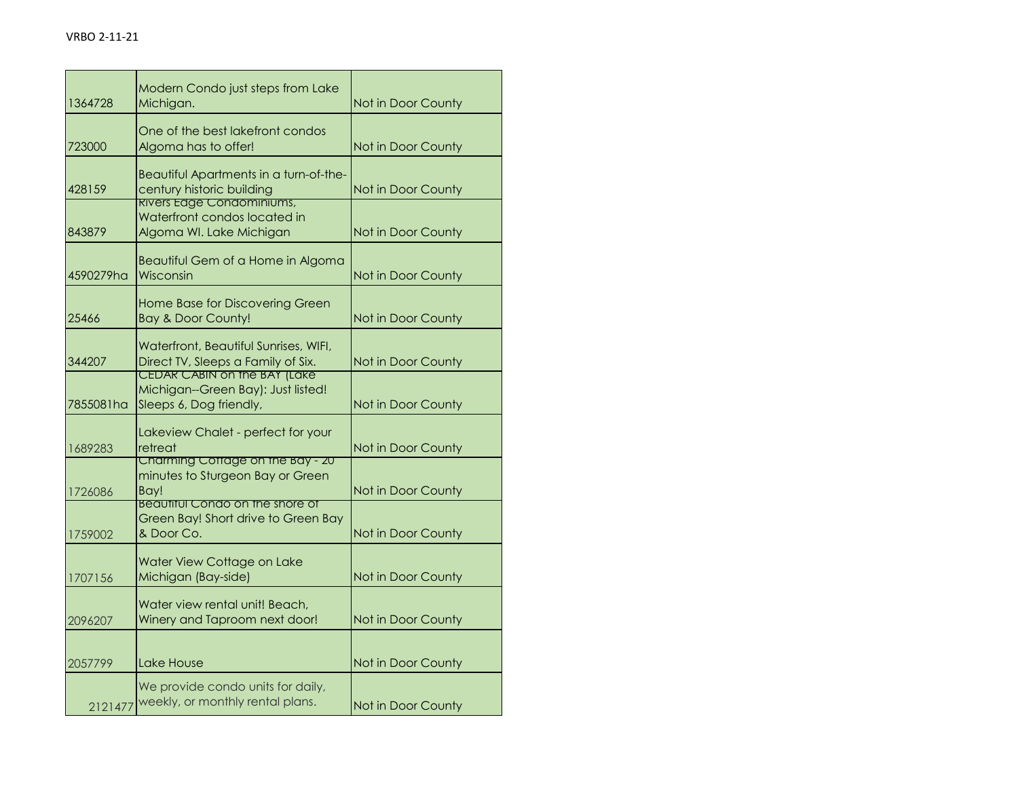| 1364728   | Modern Condo just steps from Lake<br>Michigan.                                                        | Not in Door County |
|-----------|-------------------------------------------------------------------------------------------------------|--------------------|
| 723000    | One of the best lakefront condos<br>Algoma has to offer!                                              | Not in Door County |
| 428159    | Beautiful Apartments in a turn-of-the-<br>century historic building                                   | Not in Door County |
| 843879    | Rivers Edge Condominiums,<br>Waterfront condos located in<br>Algoma WI. Lake Michigan                 | Not in Door County |
| 4590279ha | Beautiful Gem of a Home in Algoma<br>Wisconsin                                                        | Not in Door County |
| 25466     | Home Base for Discovering Green<br><b>Bay &amp; Door County!</b>                                      | Not in Door County |
| 344207    | Waterfront, Beautiful Sunrises, WIFI,<br>Direct TV, Sleeps a Family of Six.                           | Not in Door County |
| 7855081ha | <b>CEDAR CABIN on the BAY (Lake)</b><br>Michigan--Green Bay): Just listed!<br>Sleeps 6, Dog friendly, | Not in Door County |
| 1689283   | Lakeview Chalet - perfect for your<br>retreat                                                         | Not in Door County |
| 1726086   | Charming Cottage on the Bay - 20<br>minutes to Sturgeon Bay or Green<br>Bav!                          | Not in Door County |
| 1759002   | <b>Beautiful Condo on the shore of</b><br>Green Bay! Short drive to Green Bay<br>& Door Co.           | Not in Door County |
| 1707156   | Water View Cottage on Lake<br>Michigan (Bay-side)                                                     | Not in Door County |
| 2096207   | Water view rental unit! Beach,<br>Winery and Taproom next door!                                       | Not in Door County |
| 2057799   | Lake House                                                                                            | Not in Door County |
| 2121477   | We provide condo units for daily,<br>weekly, or monthly rental plans.                                 | Not in Door County |